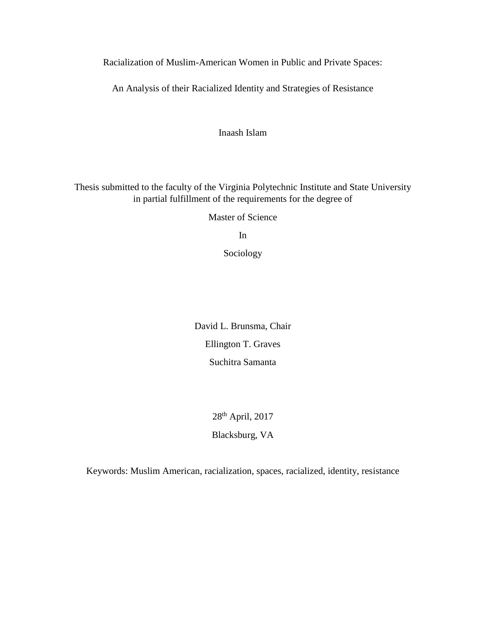Racialization of Muslim-American Women in Public and Private Spaces:

An Analysis of their Racialized Identity and Strategies of Resistance

Inaash Islam

Thesis submitted to the faculty of the Virginia Polytechnic Institute and State University in partial fulfillment of the requirements for the degree of

Master of Science

In

Sociology

David L. Brunsma, Chair Ellington T. Graves Suchitra Samanta

> 28th April, 2017 Blacksburg, VA

Keywords: Muslim American, racialization, spaces, racialized, identity, resistance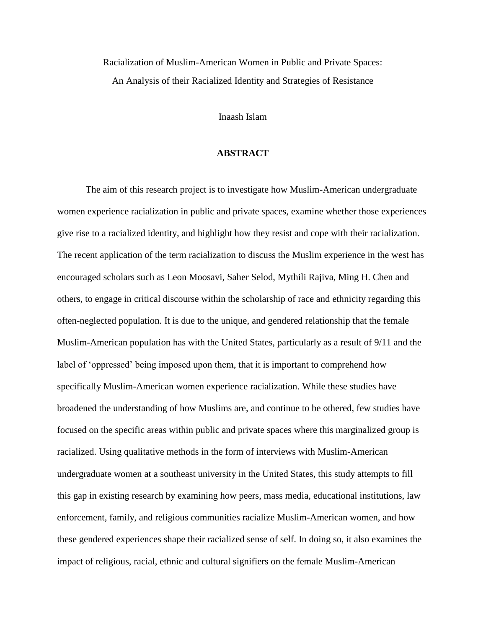Racialization of Muslim-American Women in Public and Private Spaces: An Analysis of their Racialized Identity and Strategies of Resistance

Inaash Islam

# **ABSTRACT**

The aim of this research project is to investigate how Muslim-American undergraduate women experience racialization in public and private spaces, examine whether those experiences give rise to a racialized identity, and highlight how they resist and cope with their racialization. The recent application of the term racialization to discuss the Muslim experience in the west has encouraged scholars such as Leon Moosavi, Saher Selod, Mythili Rajiva, Ming H. Chen and others, to engage in critical discourse within the scholarship of race and ethnicity regarding this often-neglected population. It is due to the unique, and gendered relationship that the female Muslim-American population has with the United States, particularly as a result of 9/11 and the label of 'oppressed' being imposed upon them, that it is important to comprehend how specifically Muslim-American women experience racialization. While these studies have broadened the understanding of how Muslims are, and continue to be othered, few studies have focused on the specific areas within public and private spaces where this marginalized group is racialized. Using qualitative methods in the form of interviews with Muslim-American undergraduate women at a southeast university in the United States, this study attempts to fill this gap in existing research by examining how peers, mass media, educational institutions, law enforcement, family, and religious communities racialize Muslim-American women, and how these gendered experiences shape their racialized sense of self. In doing so, it also examines the impact of religious, racial, ethnic and cultural signifiers on the female Muslim-American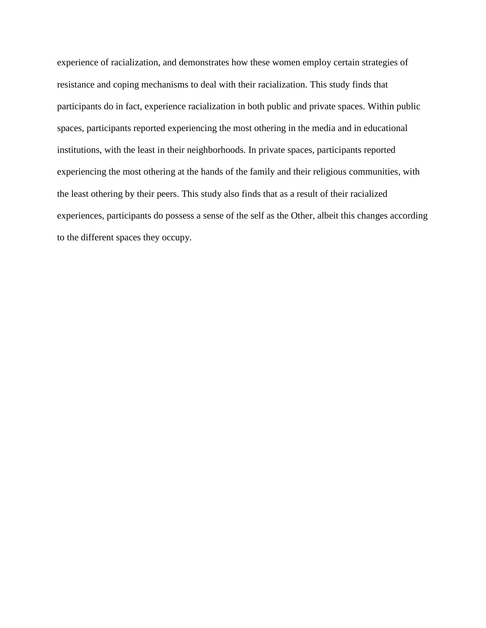experience of racialization, and demonstrates how these women employ certain strategies of resistance and coping mechanisms to deal with their racialization. This study finds that participants do in fact, experience racialization in both public and private spaces. Within public spaces, participants reported experiencing the most othering in the media and in educational institutions, with the least in their neighborhoods. In private spaces, participants reported experiencing the most othering at the hands of the family and their religious communities, with the least othering by their peers. This study also finds that as a result of their racialized experiences, participants do possess a sense of the self as the Other, albeit this changes according to the different spaces they occupy.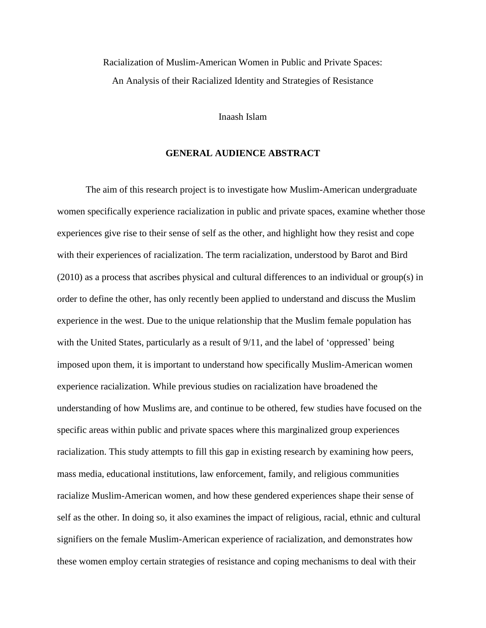Racialization of Muslim-American Women in Public and Private Spaces: An Analysis of their Racialized Identity and Strategies of Resistance

#### Inaash Islam

# **GENERAL AUDIENCE ABSTRACT**

The aim of this research project is to investigate how Muslim-American undergraduate women specifically experience racialization in public and private spaces, examine whether those experiences give rise to their sense of self as the other, and highlight how they resist and cope with their experiences of racialization. The term racialization, understood by Barot and Bird (2010) as a process that ascribes physical and cultural differences to an individual or group(s) in order to define the other, has only recently been applied to understand and discuss the Muslim experience in the west. Due to the unique relationship that the Muslim female population has with the United States, particularly as a result of 9/11, and the label of 'oppressed' being imposed upon them, it is important to understand how specifically Muslim-American women experience racialization. While previous studies on racialization have broadened the understanding of how Muslims are, and continue to be othered, few studies have focused on the specific areas within public and private spaces where this marginalized group experiences racialization. This study attempts to fill this gap in existing research by examining how peers, mass media, educational institutions, law enforcement, family, and religious communities racialize Muslim-American women, and how these gendered experiences shape their sense of self as the other. In doing so, it also examines the impact of religious, racial, ethnic and cultural signifiers on the female Muslim-American experience of racialization, and demonstrates how these women employ certain strategies of resistance and coping mechanisms to deal with their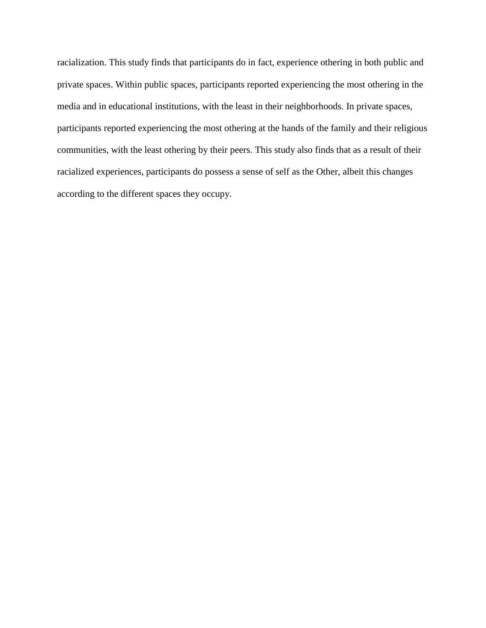racialization. This study finds that participants do in fact, experience othering in both public and private spaces. Within public spaces, participants reported experiencing the most othering in the media and in educational institutions, with the least in their neighborhoods. In private spaces, participants reported experiencing the most othering at the hands of the family and their religious communities, with the least othering by their peers. This study also finds that as a result of their racialized experiences, participants do possess a sense of self as the Other, albeit this changes according to the different spaces they occupy.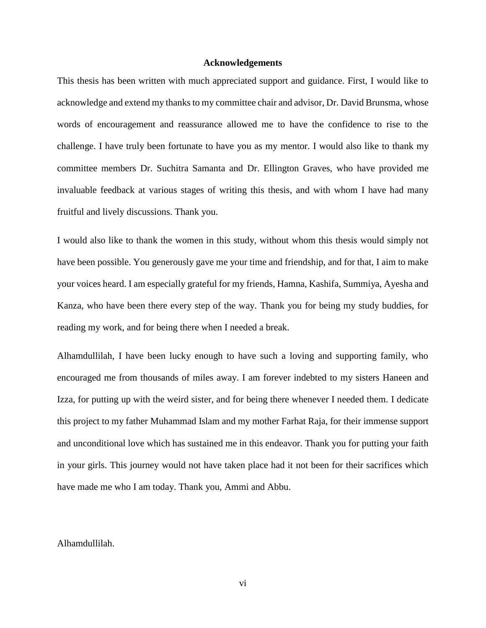### **Acknowledgements**

This thesis has been written with much appreciated support and guidance. First, I would like to acknowledge and extend my thanks to my committee chair and advisor, Dr. David Brunsma, whose words of encouragement and reassurance allowed me to have the confidence to rise to the challenge. I have truly been fortunate to have you as my mentor. I would also like to thank my committee members Dr. Suchitra Samanta and Dr. Ellington Graves, who have provided me invaluable feedback at various stages of writing this thesis, and with whom I have had many fruitful and lively discussions. Thank you.

I would also like to thank the women in this study, without whom this thesis would simply not have been possible. You generously gave me your time and friendship, and for that, I aim to make your voices heard. I am especially grateful for my friends, Hamna, Kashifa, Summiya, Ayesha and Kanza, who have been there every step of the way. Thank you for being my study buddies, for reading my work, and for being there when I needed a break.

Alhamdullilah, I have been lucky enough to have such a loving and supporting family, who encouraged me from thousands of miles away. I am forever indebted to my sisters Haneen and Izza, for putting up with the weird sister, and for being there whenever I needed them. I dedicate this project to my father Muhammad Islam and my mother Farhat Raja, for their immense support and unconditional love which has sustained me in this endeavor. Thank you for putting your faith in your girls. This journey would not have taken place had it not been for their sacrifices which have made me who I am today. Thank you, Ammi and Abbu.

#### Alhamdullilah.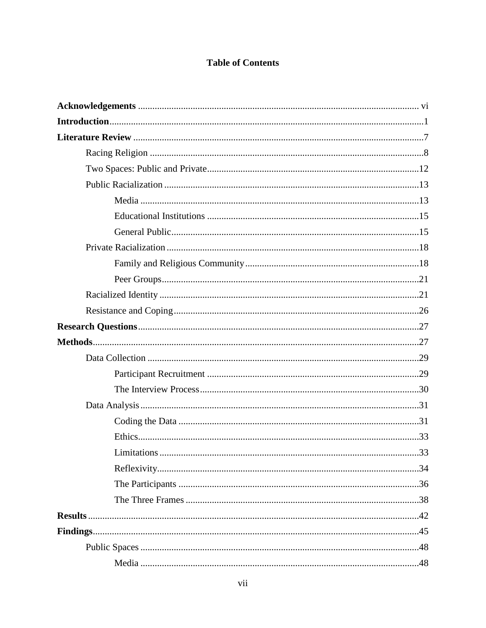# **Table of Contents**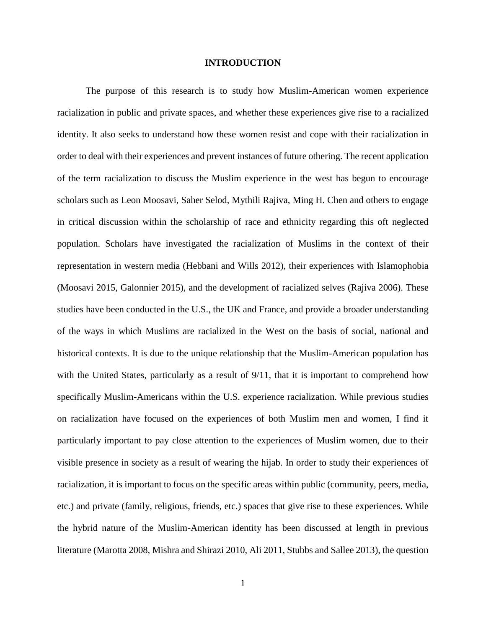### **INTRODUCTION**

The purpose of this research is to study how Muslim-American women experience racialization in public and private spaces, and whether these experiences give rise to a racialized identity. It also seeks to understand how these women resist and cope with their racialization in order to deal with their experiences and prevent instances of future othering. The recent application of the term racialization to discuss the Muslim experience in the west has begun to encourage scholars such as Leon Moosavi, Saher Selod, Mythili Rajiva, Ming H. Chen and others to engage in critical discussion within the scholarship of race and ethnicity regarding this oft neglected population. Scholars have investigated the racialization of Muslims in the context of their representation in western media (Hebbani and Wills 2012), their experiences with Islamophobia (Moosavi 2015, Galonnier 2015), and the development of racialized selves (Rajiva 2006). These studies have been conducted in the U.S., the UK and France, and provide a broader understanding of the ways in which Muslims are racialized in the West on the basis of social, national and historical contexts. It is due to the unique relationship that the Muslim-American population has with the United States, particularly as a result of  $9/11$ , that it is important to comprehend how specifically Muslim-Americans within the U.S. experience racialization. While previous studies on racialization have focused on the experiences of both Muslim men and women, I find it particularly important to pay close attention to the experiences of Muslim women, due to their visible presence in society as a result of wearing the hijab. In order to study their experiences of racialization, it is important to focus on the specific areas within public (community, peers, media, etc.) and private (family, religious, friends, etc.) spaces that give rise to these experiences. While the hybrid nature of the Muslim-American identity has been discussed at length in previous literature (Marotta 2008, Mishra and Shirazi 2010, Ali 2011, Stubbs and Sallee 2013), the question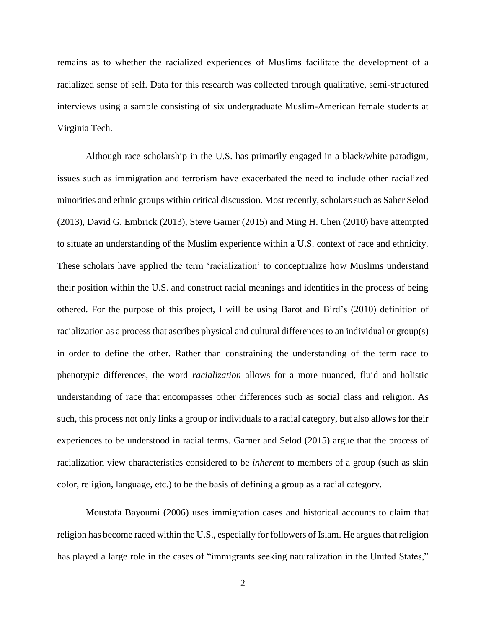remains as to whether the racialized experiences of Muslims facilitate the development of a racialized sense of self. Data for this research was collected through qualitative, semi-structured interviews using a sample consisting of six undergraduate Muslim-American female students at Virginia Tech.

Although race scholarship in the U.S. has primarily engaged in a black/white paradigm, issues such as immigration and terrorism have exacerbated the need to include other racialized minorities and ethnic groups within critical discussion. Most recently, scholars such as Saher Selod (2013), David G. Embrick (2013), Steve Garner (2015) and Ming H. Chen (2010) have attempted to situate an understanding of the Muslim experience within a U.S. context of race and ethnicity. These scholars have applied the term 'racialization' to conceptualize how Muslims understand their position within the U.S. and construct racial meanings and identities in the process of being othered. For the purpose of this project, I will be using Barot and Bird's (2010) definition of racialization as a process that ascribes physical and cultural differences to an individual or group(s) in order to define the other. Rather than constraining the understanding of the term race to phenotypic differences, the word *racialization* allows for a more nuanced, fluid and holistic understanding of race that encompasses other differences such as social class and religion. As such, this process not only links a group or individuals to a racial category, but also allows for their experiences to be understood in racial terms. Garner and Selod (2015) argue that the process of racialization view characteristics considered to be *inherent* to members of a group (such as skin color, religion, language, etc.) to be the basis of defining a group as a racial category.

Moustafa Bayoumi (2006) uses immigration cases and historical accounts to claim that religion has become raced within the U.S., especially for followers of Islam. He argues that religion has played a large role in the cases of "immigrants seeking naturalization in the United States,"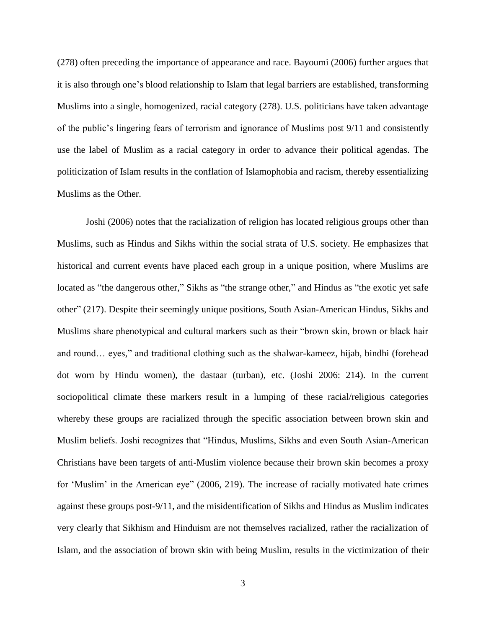(278) often preceding the importance of appearance and race. Bayoumi (2006) further argues that it is also through one's blood relationship to Islam that legal barriers are established, transforming Muslims into a single, homogenized, racial category (278). U.S. politicians have taken advantage of the public's lingering fears of terrorism and ignorance of Muslims post 9/11 and consistently use the label of Muslim as a racial category in order to advance their political agendas. The politicization of Islam results in the conflation of Islamophobia and racism, thereby essentializing Muslims as the Other.

Joshi (2006) notes that the racialization of religion has located religious groups other than Muslims, such as Hindus and Sikhs within the social strata of U.S. society. He emphasizes that historical and current events have placed each group in a unique position, where Muslims are located as "the dangerous other," Sikhs as "the strange other," and Hindus as "the exotic yet safe other" (217). Despite their seemingly unique positions, South Asian-American Hindus, Sikhs and Muslims share phenotypical and cultural markers such as their "brown skin, brown or black hair and round… eyes," and traditional clothing such as the shalwar-kameez, hijab, bindhi (forehead dot worn by Hindu women), the dastaar (turban), etc. (Joshi 2006: 214). In the current sociopolitical climate these markers result in a lumping of these racial/religious categories whereby these groups are racialized through the specific association between brown skin and Muslim beliefs. Joshi recognizes that "Hindus, Muslims, Sikhs and even South Asian-American Christians have been targets of anti-Muslim violence because their brown skin becomes a proxy for 'Muslim' in the American eye" (2006, 219). The increase of racially motivated hate crimes against these groups post-9/11, and the misidentification of Sikhs and Hindus as Muslim indicates very clearly that Sikhism and Hinduism are not themselves racialized, rather the racialization of Islam, and the association of brown skin with being Muslim, results in the victimization of their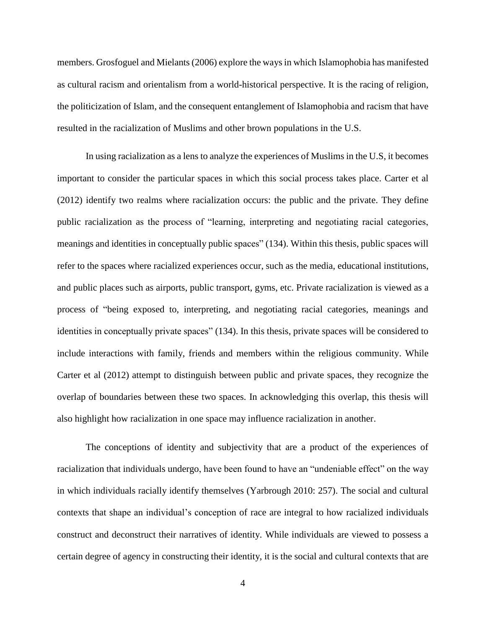members. Grosfoguel and Mielants (2006) explore the ways in which Islamophobia has manifested as cultural racism and orientalism from a world-historical perspective. It is the racing of religion, the politicization of Islam, and the consequent entanglement of Islamophobia and racism that have resulted in the racialization of Muslims and other brown populations in the U.S.

In using racialization as a lens to analyze the experiences of Muslims in the U.S, it becomes important to consider the particular spaces in which this social process takes place. Carter et al (2012) identify two realms where racialization occurs: the public and the private. They define public racialization as the process of "learning, interpreting and negotiating racial categories, meanings and identities in conceptually public spaces" (134). Within this thesis, public spaces will refer to the spaces where racialized experiences occur, such as the media, educational institutions, and public places such as airports, public transport, gyms, etc. Private racialization is viewed as a process of "being exposed to, interpreting, and negotiating racial categories, meanings and identities in conceptually private spaces" (134). In this thesis, private spaces will be considered to include interactions with family, friends and members within the religious community. While Carter et al (2012) attempt to distinguish between public and private spaces, they recognize the overlap of boundaries between these two spaces. In acknowledging this overlap, this thesis will also highlight how racialization in one space may influence racialization in another.

The conceptions of identity and subjectivity that are a product of the experiences of racialization that individuals undergo, have been found to have an "undeniable effect" on the way in which individuals racially identify themselves (Yarbrough 2010: 257). The social and cultural contexts that shape an individual's conception of race are integral to how racialized individuals construct and deconstruct their narratives of identity. While individuals are viewed to possess a certain degree of agency in constructing their identity, it is the social and cultural contexts that are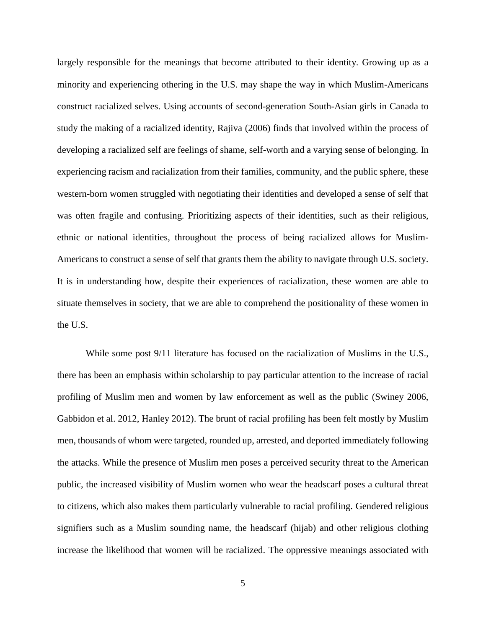largely responsible for the meanings that become attributed to their identity. Growing up as a minority and experiencing othering in the U.S. may shape the way in which Muslim-Americans construct racialized selves. Using accounts of second-generation South-Asian girls in Canada to study the making of a racialized identity, Rajiva (2006) finds that involved within the process of developing a racialized self are feelings of shame, self-worth and a varying sense of belonging. In experiencing racism and racialization from their families, community, and the public sphere, these western-born women struggled with negotiating their identities and developed a sense of self that was often fragile and confusing. Prioritizing aspects of their identities, such as their religious, ethnic or national identities, throughout the process of being racialized allows for Muslim-Americans to construct a sense of self that grants them the ability to navigate through U.S. society. It is in understanding how, despite their experiences of racialization, these women are able to situate themselves in society, that we are able to comprehend the positionality of these women in the U.S.

While some post 9/11 literature has focused on the racialization of Muslims in the U.S., there has been an emphasis within scholarship to pay particular attention to the increase of racial profiling of Muslim men and women by law enforcement as well as the public (Swiney 2006, Gabbidon et al. 2012, Hanley 2012). The brunt of racial profiling has been felt mostly by Muslim men, thousands of whom were targeted, rounded up, arrested, and deported immediately following the attacks. While the presence of Muslim men poses a perceived security threat to the American public, the increased visibility of Muslim women who wear the headscarf poses a cultural threat to citizens, which also makes them particularly vulnerable to racial profiling. Gendered religious signifiers such as a Muslim sounding name, the headscarf (hijab) and other religious clothing increase the likelihood that women will be racialized. The oppressive meanings associated with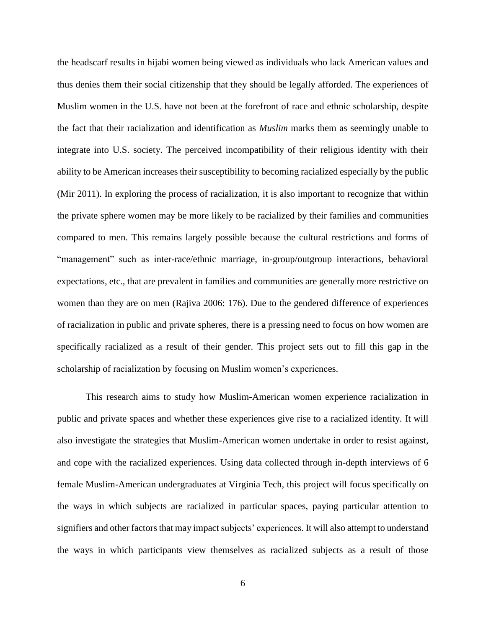the headscarf results in hijabi women being viewed as individuals who lack American values and thus denies them their social citizenship that they should be legally afforded. The experiences of Muslim women in the U.S. have not been at the forefront of race and ethnic scholarship, despite the fact that their racialization and identification as *Muslim* marks them as seemingly unable to integrate into U.S. society. The perceived incompatibility of their religious identity with their ability to be American increases their susceptibility to becoming racialized especially by the public (Mir 2011). In exploring the process of racialization, it is also important to recognize that within the private sphere women may be more likely to be racialized by their families and communities compared to men. This remains largely possible because the cultural restrictions and forms of "management" such as inter-race/ethnic marriage, in-group/outgroup interactions, behavioral expectations, etc., that are prevalent in families and communities are generally more restrictive on women than they are on men (Rajiva 2006: 176). Due to the gendered difference of experiences of racialization in public and private spheres, there is a pressing need to focus on how women are specifically racialized as a result of their gender. This project sets out to fill this gap in the scholarship of racialization by focusing on Muslim women's experiences.

This research aims to study how Muslim-American women experience racialization in public and private spaces and whether these experiences give rise to a racialized identity. It will also investigate the strategies that Muslim-American women undertake in order to resist against, and cope with the racialized experiences. Using data collected through in-depth interviews of 6 female Muslim-American undergraduates at Virginia Tech, this project will focus specifically on the ways in which subjects are racialized in particular spaces, paying particular attention to signifiers and other factors that may impact subjects' experiences. It will also attempt to understand the ways in which participants view themselves as racialized subjects as a result of those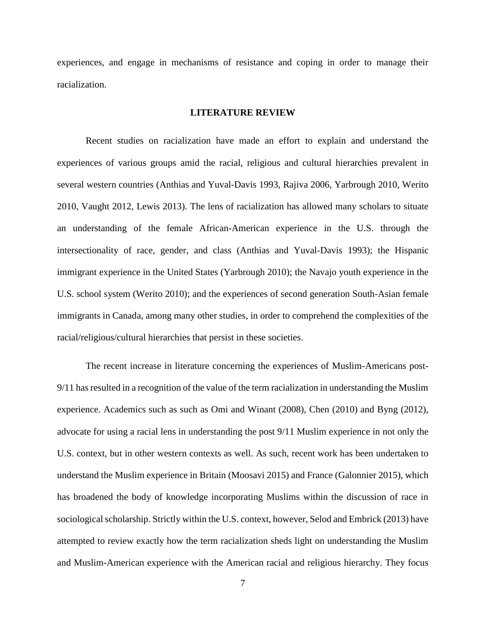experiences, and engage in mechanisms of resistance and coping in order to manage their racialization.

#### **LITERATURE REVIEW**

Recent studies on racialization have made an effort to explain and understand the experiences of various groups amid the racial, religious and cultural hierarchies prevalent in several western countries (Anthias and Yuval-Davis 1993, Rajiva 2006, Yarbrough 2010, Werito 2010, Vaught 2012, Lewis 2013). The lens of racialization has allowed many scholars to situate an understanding of the female African-American experience in the U.S. through the intersectionality of race, gender, and class (Anthias and Yuval-Davis 1993); the Hispanic immigrant experience in the United States (Yarbrough 2010); the Navajo youth experience in the U.S. school system (Werito 2010); and the experiences of second generation South-Asian female immigrants in Canada, among many other studies, in order to comprehend the complexities of the racial/religious/cultural hierarchies that persist in these societies.

The recent increase in literature concerning the experiences of Muslim-Americans post-9/11 has resulted in a recognition of the value of the term racialization in understanding the Muslim experience. Academics such as such as Omi and Winant (2008), Chen (2010) and Byng (2012), advocate for using a racial lens in understanding the post 9/11 Muslim experience in not only the U.S. context, but in other western contexts as well. As such, recent work has been undertaken to understand the Muslim experience in Britain (Moosavi 2015) and France (Galonnier 2015), which has broadened the body of knowledge incorporating Muslims within the discussion of race in sociological scholarship. Strictly within the U.S. context, however, Selod and Embrick (2013) have attempted to review exactly how the term racialization sheds light on understanding the Muslim and Muslim-American experience with the American racial and religious hierarchy. They focus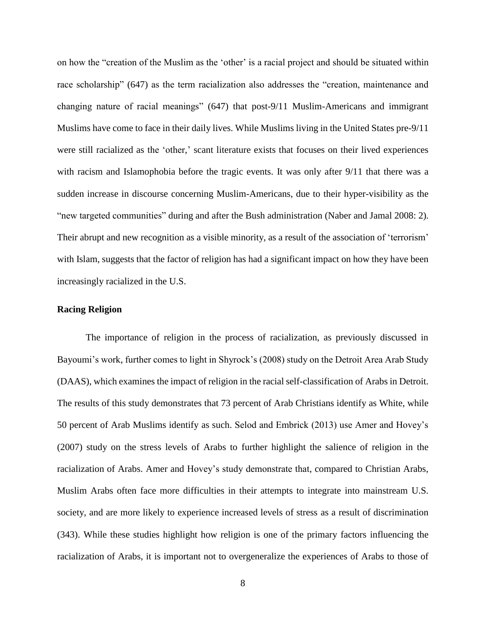on how the "creation of the Muslim as the 'other' is a racial project and should be situated within race scholarship" (647) as the term racialization also addresses the "creation, maintenance and changing nature of racial meanings" (647) that post-9/11 Muslim-Americans and immigrant Muslims have come to face in their daily lives. While Muslims living in the United States pre-9/11 were still racialized as the 'other,' scant literature exists that focuses on their lived experiences with racism and Islamophobia before the tragic events. It was only after 9/11 that there was a sudden increase in discourse concerning Muslim-Americans, due to their hyper-visibility as the "new targeted communities" during and after the Bush administration (Naber and Jamal 2008: 2). Their abrupt and new recognition as a visible minority, as a result of the association of 'terrorism' with Islam, suggests that the factor of religion has had a significant impact on how they have been increasingly racialized in the U.S.

## **Racing Religion**

The importance of religion in the process of racialization, as previously discussed in Bayoumi's work, further comes to light in Shyrock's (2008) study on the Detroit Area Arab Study (DAAS), which examines the impact of religion in the racial self-classification of Arabs in Detroit. The results of this study demonstrates that 73 percent of Arab Christians identify as White, while 50 percent of Arab Muslims identify as such. Selod and Embrick (2013) use Amer and Hovey's (2007) study on the stress levels of Arabs to further highlight the salience of religion in the racialization of Arabs. Amer and Hovey's study demonstrate that, compared to Christian Arabs, Muslim Arabs often face more difficulties in their attempts to integrate into mainstream U.S. society, and are more likely to experience increased levels of stress as a result of discrimination (343). While these studies highlight how religion is one of the primary factors influencing the racialization of Arabs, it is important not to overgeneralize the experiences of Arabs to those of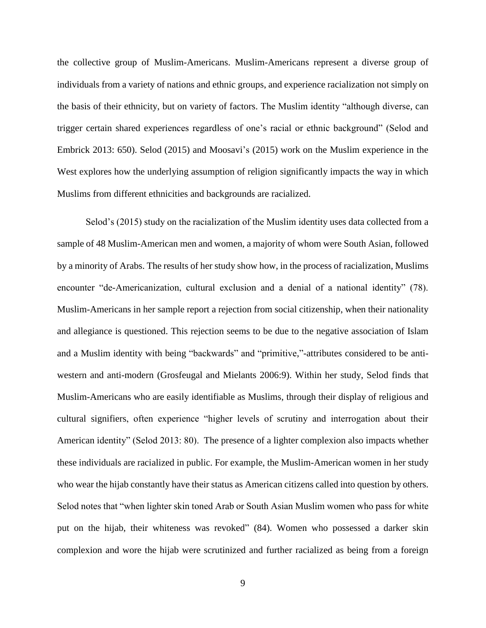the collective group of Muslim-Americans. Muslim-Americans represent a diverse group of individuals from a variety of nations and ethnic groups, and experience racialization not simply on the basis of their ethnicity, but on variety of factors. The Muslim identity "although diverse, can trigger certain shared experiences regardless of one's racial or ethnic background" (Selod and Embrick 2013: 650). Selod (2015) and Moosavi's (2015) work on the Muslim experience in the West explores how the underlying assumption of religion significantly impacts the way in which Muslims from different ethnicities and backgrounds are racialized.

Selod's (2015) study on the racialization of the Muslim identity uses data collected from a sample of 48 Muslim-American men and women, a majority of whom were South Asian, followed by a minority of Arabs. The results of her study show how, in the process of racialization, Muslims encounter "de-Americanization, cultural exclusion and a denial of a national identity" (78). Muslim-Americans in her sample report a rejection from social citizenship, when their nationality and allegiance is questioned. This rejection seems to be due to the negative association of Islam and a Muslim identity with being "backwards" and "primitive,"-attributes considered to be antiwestern and anti-modern (Grosfeugal and Mielants 2006:9). Within her study, Selod finds that Muslim-Americans who are easily identifiable as Muslims, through their display of religious and cultural signifiers, often experience "higher levels of scrutiny and interrogation about their American identity" (Selod 2013: 80). The presence of a lighter complexion also impacts whether these individuals are racialized in public. For example, the Muslim-American women in her study who wear the hijab constantly have their status as American citizens called into question by others. Selod notes that "when lighter skin toned Arab or South Asian Muslim women who pass for white put on the hijab, their whiteness was revoked" (84). Women who possessed a darker skin complexion and wore the hijab were scrutinized and further racialized as being from a foreign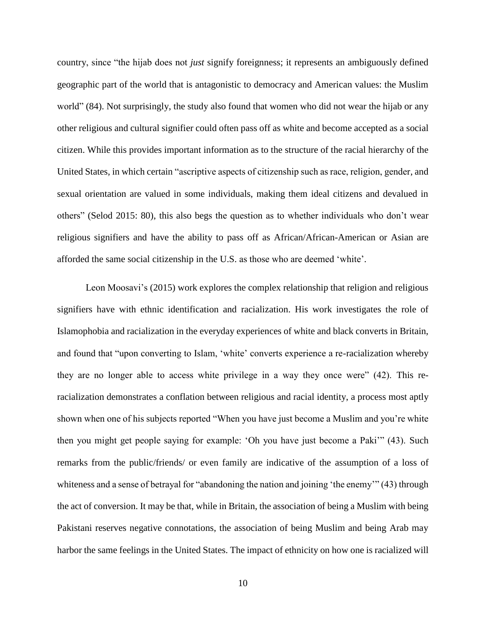country, since "the hijab does not *just* signify foreignness; it represents an ambiguously defined geographic part of the world that is antagonistic to democracy and American values: the Muslim world" (84). Not surprisingly, the study also found that women who did not wear the hijab or any other religious and cultural signifier could often pass off as white and become accepted as a social citizen. While this provides important information as to the structure of the racial hierarchy of the United States, in which certain "ascriptive aspects of citizenship such as race, religion, gender, and sexual orientation are valued in some individuals, making them ideal citizens and devalued in others" (Selod 2015: 80), this also begs the question as to whether individuals who don't wear religious signifiers and have the ability to pass off as African/African-American or Asian are afforded the same social citizenship in the U.S. as those who are deemed 'white'.

Leon Moosavi's (2015) work explores the complex relationship that religion and religious signifiers have with ethnic identification and racialization. His work investigates the role of Islamophobia and racialization in the everyday experiences of white and black converts in Britain, and found that "upon converting to Islam, 'white' converts experience a re-racialization whereby they are no longer able to access white privilege in a way they once were" (42). This reracialization demonstrates a conflation between religious and racial identity, a process most aptly shown when one of his subjects reported "When you have just become a Muslim and you're white then you might get people saying for example: 'Oh you have just become a Paki'" (43). Such remarks from the public/friends/ or even family are indicative of the assumption of a loss of whiteness and a sense of betrayal for "abandoning the nation and joining 'the enemy'" (43) through the act of conversion. It may be that, while in Britain, the association of being a Muslim with being Pakistani reserves negative connotations, the association of being Muslim and being Arab may harbor the same feelings in the United States. The impact of ethnicity on how one is racialized will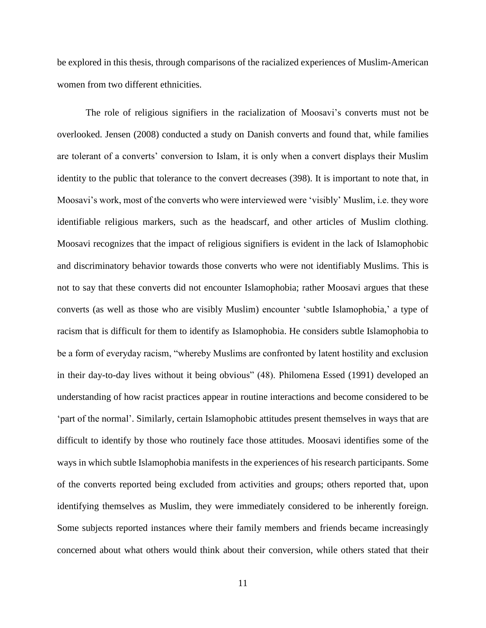be explored in this thesis, through comparisons of the racialized experiences of Muslim-American women from two different ethnicities.

The role of religious signifiers in the racialization of Moosavi's converts must not be overlooked. Jensen (2008) conducted a study on Danish converts and found that, while families are tolerant of a converts' conversion to Islam, it is only when a convert displays their Muslim identity to the public that tolerance to the convert decreases (398). It is important to note that, in Moosavi's work, most of the converts who were interviewed were 'visibly' Muslim, i.e. they wore identifiable religious markers, such as the headscarf, and other articles of Muslim clothing. Moosavi recognizes that the impact of religious signifiers is evident in the lack of Islamophobic and discriminatory behavior towards those converts who were not identifiably Muslims. This is not to say that these converts did not encounter Islamophobia; rather Moosavi argues that these converts (as well as those who are visibly Muslim) encounter 'subtle Islamophobia,' a type of racism that is difficult for them to identify as Islamophobia. He considers subtle Islamophobia to be a form of everyday racism, "whereby Muslims are confronted by latent hostility and exclusion in their day-to-day lives without it being obvious" (48). Philomena Essed (1991) developed an understanding of how racist practices appear in routine interactions and become considered to be 'part of the normal'. Similarly, certain Islamophobic attitudes present themselves in ways that are difficult to identify by those who routinely face those attitudes. Moosavi identifies some of the ways in which subtle Islamophobia manifests in the experiences of his research participants. Some of the converts reported being excluded from activities and groups; others reported that, upon identifying themselves as Muslim, they were immediately considered to be inherently foreign. Some subjects reported instances where their family members and friends became increasingly concerned about what others would think about their conversion, while others stated that their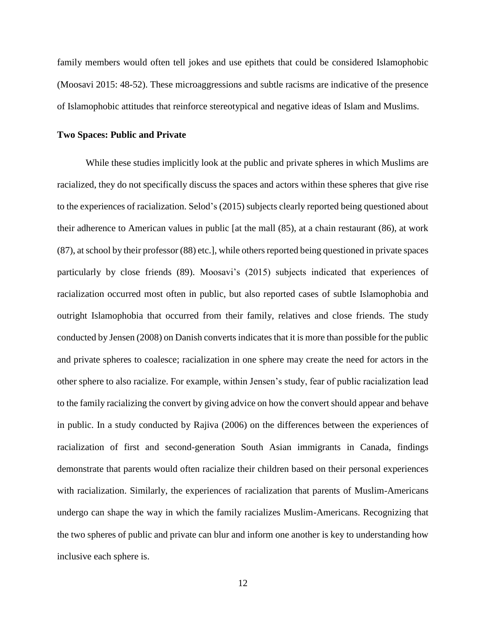family members would often tell jokes and use epithets that could be considered Islamophobic (Moosavi 2015: 48-52). These microaggressions and subtle racisms are indicative of the presence of Islamophobic attitudes that reinforce stereotypical and negative ideas of Islam and Muslims.

#### **Two Spaces: Public and Private**

While these studies implicitly look at the public and private spheres in which Muslims are racialized, they do not specifically discuss the spaces and actors within these spheres that give rise to the experiences of racialization. Selod's (2015) subjects clearly reported being questioned about their adherence to American values in public [at the mall (85), at a chain restaurant (86), at work (87), at school by their professor (88) etc.], while others reported being questioned in private spaces particularly by close friends (89). Moosavi's (2015) subjects indicated that experiences of racialization occurred most often in public, but also reported cases of subtle Islamophobia and outright Islamophobia that occurred from their family, relatives and close friends. The study conducted by Jensen (2008) on Danish converts indicates that it is more than possible for the public and private spheres to coalesce; racialization in one sphere may create the need for actors in the other sphere to also racialize. For example, within Jensen's study, fear of public racialization lead to the family racializing the convert by giving advice on how the convert should appear and behave in public. In a study conducted by Rajiva (2006) on the differences between the experiences of racialization of first and second-generation South Asian immigrants in Canada, findings demonstrate that parents would often racialize their children based on their personal experiences with racialization. Similarly, the experiences of racialization that parents of Muslim-Americans undergo can shape the way in which the family racializes Muslim-Americans. Recognizing that the two spheres of public and private can blur and inform one another is key to understanding how inclusive each sphere is.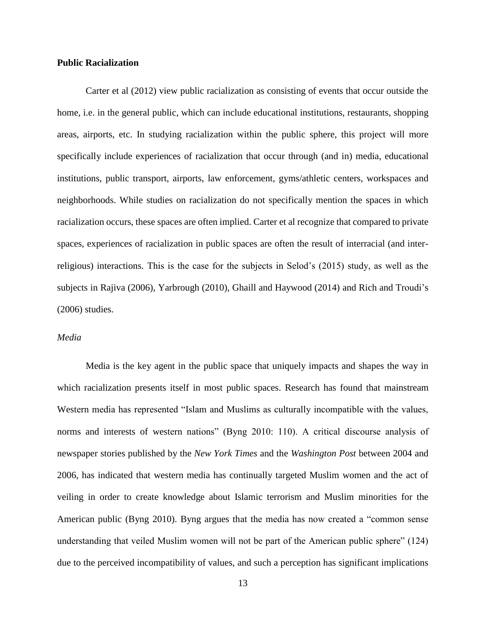#### **Public Racialization**

Carter et al (2012) view public racialization as consisting of events that occur outside the home, i.e. in the general public, which can include educational institutions, restaurants, shopping areas, airports, etc. In studying racialization within the public sphere, this project will more specifically include experiences of racialization that occur through (and in) media, educational institutions, public transport, airports, law enforcement, gyms/athletic centers, workspaces and neighborhoods. While studies on racialization do not specifically mention the spaces in which racialization occurs, these spaces are often implied. Carter et al recognize that compared to private spaces, experiences of racialization in public spaces are often the result of interracial (and interreligious) interactions. This is the case for the subjects in Selod's (2015) study, as well as the subjects in Rajiva (2006), Yarbrough (2010), Ghaill and Haywood (2014) and Rich and Troudi's (2006) studies.

## *Media*

Media is the key agent in the public space that uniquely impacts and shapes the way in which racialization presents itself in most public spaces. Research has found that mainstream Western media has represented "Islam and Muslims as culturally incompatible with the values, norms and interests of western nations" (Byng 2010: 110). A critical discourse analysis of newspaper stories published by the *New York Times* and the *Washington Post* between 2004 and 2006, has indicated that western media has continually targeted Muslim women and the act of veiling in order to create knowledge about Islamic terrorism and Muslim minorities for the American public (Byng 2010). Byng argues that the media has now created a "common sense understanding that veiled Muslim women will not be part of the American public sphere" (124) due to the perceived incompatibility of values, and such a perception has significant implications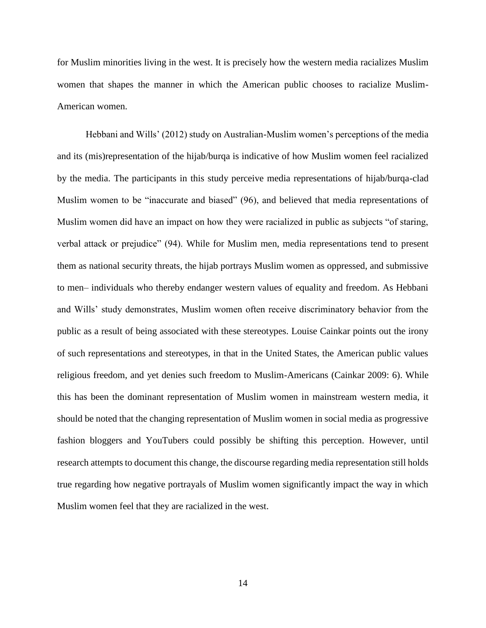for Muslim minorities living in the west. It is precisely how the western media racializes Muslim women that shapes the manner in which the American public chooses to racialize Muslim-American women.

Hebbani and Wills' (2012) study on Australian-Muslim women's perceptions of the media and its (mis)representation of the hijab/burqa is indicative of how Muslim women feel racialized by the media. The participants in this study perceive media representations of hijab/burqa-clad Muslim women to be "inaccurate and biased" (96), and believed that media representations of Muslim women did have an impact on how they were racialized in public as subjects "of staring, verbal attack or prejudice" (94). While for Muslim men, media representations tend to present them as national security threats, the hijab portrays Muslim women as oppressed, and submissive to men– individuals who thereby endanger western values of equality and freedom. As Hebbani and Wills' study demonstrates, Muslim women often receive discriminatory behavior from the public as a result of being associated with these stereotypes. Louise Cainkar points out the irony of such representations and stereotypes, in that in the United States, the American public values religious freedom, and yet denies such freedom to Muslim-Americans (Cainkar 2009: 6). While this has been the dominant representation of Muslim women in mainstream western media, it should be noted that the changing representation of Muslim women in social media as progressive fashion bloggers and YouTubers could possibly be shifting this perception. However, until research attempts to document this change, the discourse regarding media representation still holds true regarding how negative portrayals of Muslim women significantly impact the way in which Muslim women feel that they are racialized in the west.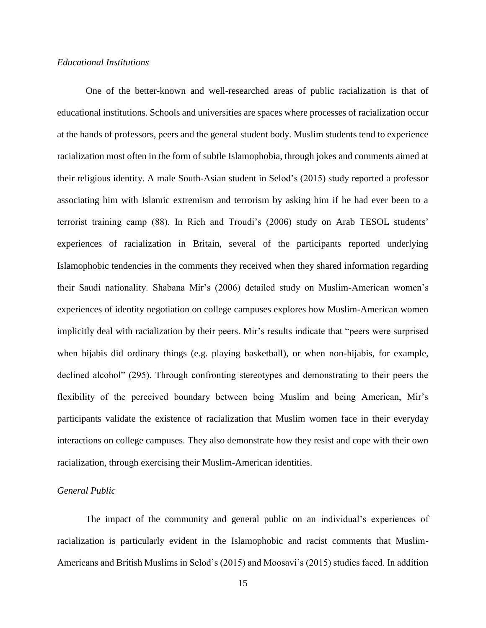## *Educational Institutions*

One of the better-known and well-researched areas of public racialization is that of educational institutions. Schools and universities are spaces where processes of racialization occur at the hands of professors, peers and the general student body. Muslim students tend to experience racialization most often in the form of subtle Islamophobia, through jokes and comments aimed at their religious identity. A male South-Asian student in Selod's (2015) study reported a professor associating him with Islamic extremism and terrorism by asking him if he had ever been to a terrorist training camp (88). In Rich and Troudi's (2006) study on Arab TESOL students' experiences of racialization in Britain, several of the participants reported underlying Islamophobic tendencies in the comments they received when they shared information regarding their Saudi nationality. Shabana Mir's (2006) detailed study on Muslim-American women's experiences of identity negotiation on college campuses explores how Muslim-American women implicitly deal with racialization by their peers. Mir's results indicate that "peers were surprised when hijabis did ordinary things (e.g. playing basketball), or when non-hijabis, for example, declined alcohol" (295). Through confronting stereotypes and demonstrating to their peers the flexibility of the perceived boundary between being Muslim and being American, Mir's participants validate the existence of racialization that Muslim women face in their everyday interactions on college campuses. They also demonstrate how they resist and cope with their own racialization, through exercising their Muslim-American identities.

## *General Public*

The impact of the community and general public on an individual's experiences of racialization is particularly evident in the Islamophobic and racist comments that Muslim-Americans and British Muslims in Selod's (2015) and Moosavi's (2015) studies faced. In addition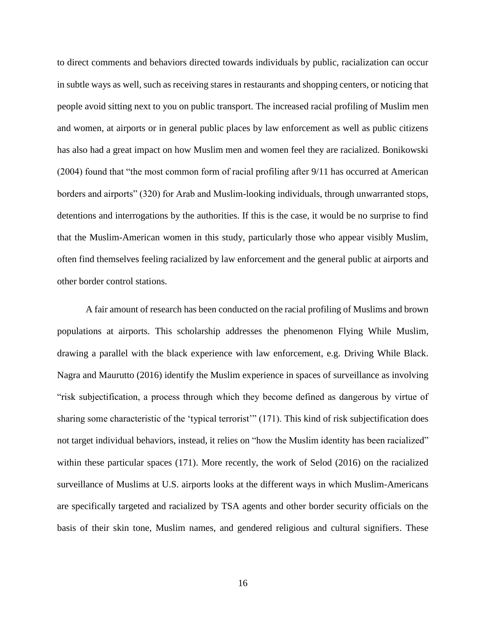to direct comments and behaviors directed towards individuals by public, racialization can occur in subtle ways as well, such as receiving stares in restaurants and shopping centers, or noticing that people avoid sitting next to you on public transport. The increased racial profiling of Muslim men and women, at airports or in general public places by law enforcement as well as public citizens has also had a great impact on how Muslim men and women feel they are racialized. Bonikowski (2004) found that "the most common form of racial profiling after 9/11 has occurred at American borders and airports" (320) for Arab and Muslim-looking individuals, through unwarranted stops, detentions and interrogations by the authorities. If this is the case, it would be no surprise to find that the Muslim-American women in this study, particularly those who appear visibly Muslim, often find themselves feeling racialized by law enforcement and the general public at airports and other border control stations.

A fair amount of research has been conducted on the racial profiling of Muslims and brown populations at airports. This scholarship addresses the phenomenon Flying While Muslim, drawing a parallel with the black experience with law enforcement, e.g. Driving While Black. Nagra and Maurutto (2016) identify the Muslim experience in spaces of surveillance as involving "risk subjectification, a process through which they become defined as dangerous by virtue of sharing some characteristic of the 'typical terrorist'" (171). This kind of risk subjectification does not target individual behaviors, instead, it relies on "how the Muslim identity has been racialized" within these particular spaces (171). More recently, the work of Selod (2016) on the racialized surveillance of Muslims at U.S. airports looks at the different ways in which Muslim-Americans are specifically targeted and racialized by TSA agents and other border security officials on the basis of their skin tone, Muslim names, and gendered religious and cultural signifiers. These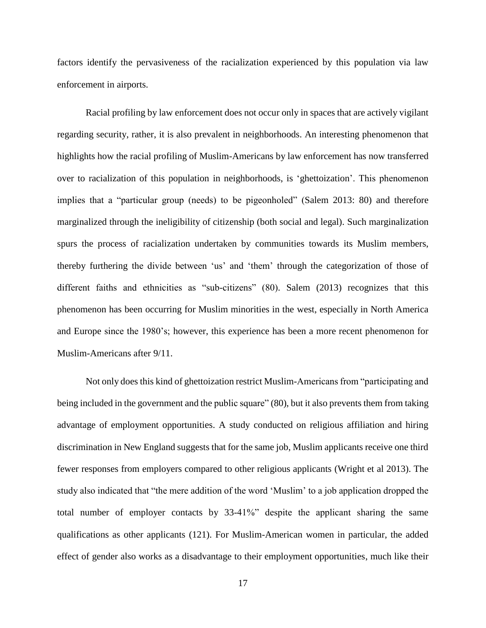factors identify the pervasiveness of the racialization experienced by this population via law enforcement in airports.

Racial profiling by law enforcement does not occur only in spaces that are actively vigilant regarding security, rather, it is also prevalent in neighborhoods. An interesting phenomenon that highlights how the racial profiling of Muslim-Americans by law enforcement has now transferred over to racialization of this population in neighborhoods, is 'ghettoization'. This phenomenon implies that a "particular group (needs) to be pigeonholed" (Salem 2013: 80) and therefore marginalized through the ineligibility of citizenship (both social and legal). Such marginalization spurs the process of racialization undertaken by communities towards its Muslim members, thereby furthering the divide between 'us' and 'them' through the categorization of those of different faiths and ethnicities as "sub-citizens" (80). Salem (2013) recognizes that this phenomenon has been occurring for Muslim minorities in the west, especially in North America and Europe since the 1980's; however, this experience has been a more recent phenomenon for Muslim-Americans after 9/11.

Not only does this kind of ghettoization restrict Muslim-Americans from "participating and being included in the government and the public square" (80), but it also prevents them from taking advantage of employment opportunities. A study conducted on religious affiliation and hiring discrimination in New England suggests that for the same job, Muslim applicants receive one third fewer responses from employers compared to other religious applicants (Wright et al 2013). The study also indicated that "the mere addition of the word 'Muslim' to a job application dropped the total number of employer contacts by 33-41%" despite the applicant sharing the same qualifications as other applicants (121). For Muslim-American women in particular, the added effect of gender also works as a disadvantage to their employment opportunities, much like their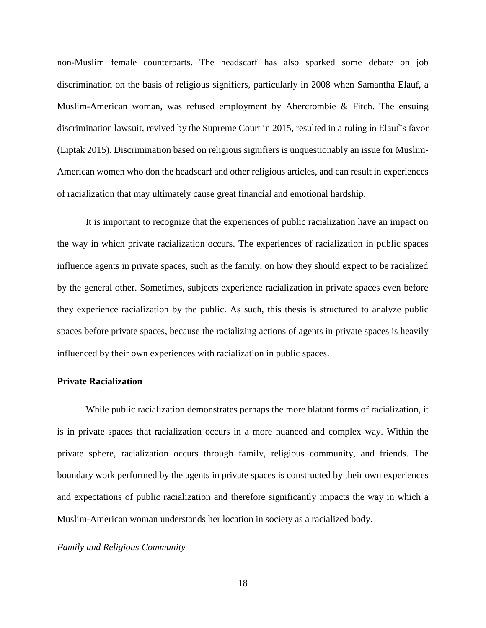non-Muslim female counterparts. The headscarf has also sparked some debate on job discrimination on the basis of religious signifiers, particularly in 2008 when Samantha Elauf, a Muslim-American woman, was refused employment by Abercrombie & Fitch. The ensuing discrimination lawsuit, revived by the Supreme Court in 2015, resulted in a ruling in Elauf's favor (Liptak 2015). Discrimination based on religious signifiers is unquestionably an issue for Muslim-American women who don the headscarf and other religious articles, and can result in experiences of racialization that may ultimately cause great financial and emotional hardship.

It is important to recognize that the experiences of public racialization have an impact on the way in which private racialization occurs. The experiences of racialization in public spaces influence agents in private spaces, such as the family, on how they should expect to be racialized by the general other. Sometimes, subjects experience racialization in private spaces even before they experience racialization by the public. As such, this thesis is structured to analyze public spaces before private spaces, because the racializing actions of agents in private spaces is heavily influenced by their own experiences with racialization in public spaces.

## **Private Racialization**

While public racialization demonstrates perhaps the more blatant forms of racialization, it is in private spaces that racialization occurs in a more nuanced and complex way. Within the private sphere, racialization occurs through family, religious community, and friends. The boundary work performed by the agents in private spaces is constructed by their own experiences and expectations of public racialization and therefore significantly impacts the way in which a Muslim-American woman understands her location in society as a racialized body.

## *Family and Religious Community*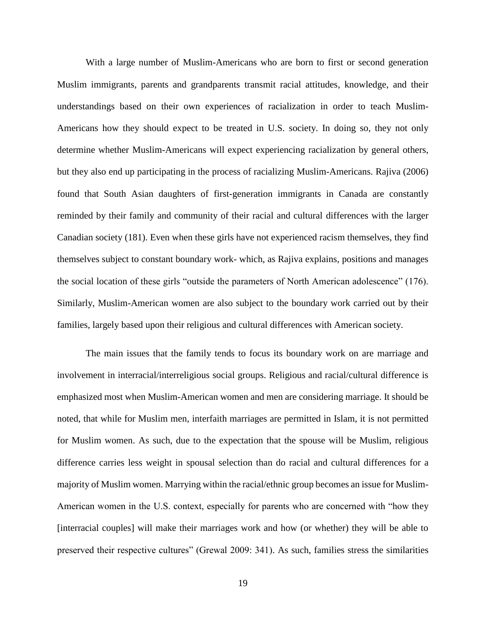With a large number of Muslim-Americans who are born to first or second generation Muslim immigrants, parents and grandparents transmit racial attitudes, knowledge, and their understandings based on their own experiences of racialization in order to teach Muslim-Americans how they should expect to be treated in U.S. society. In doing so, they not only determine whether Muslim-Americans will expect experiencing racialization by general others, but they also end up participating in the process of racializing Muslim-Americans. Rajiva (2006) found that South Asian daughters of first-generation immigrants in Canada are constantly reminded by their family and community of their racial and cultural differences with the larger Canadian society (181). Even when these girls have not experienced racism themselves, they find themselves subject to constant boundary work- which, as Rajiva explains, positions and manages the social location of these girls "outside the parameters of North American adolescence" (176). Similarly, Muslim-American women are also subject to the boundary work carried out by their families, largely based upon their religious and cultural differences with American society.

The main issues that the family tends to focus its boundary work on are marriage and involvement in interracial/interreligious social groups. Religious and racial/cultural difference is emphasized most when Muslim-American women and men are considering marriage. It should be noted, that while for Muslim men, interfaith marriages are permitted in Islam, it is not permitted for Muslim women. As such, due to the expectation that the spouse will be Muslim, religious difference carries less weight in spousal selection than do racial and cultural differences for a majority of Muslim women. Marrying within the racial/ethnic group becomes an issue for Muslim-American women in the U.S. context, especially for parents who are concerned with "how they [interracial couples] will make their marriages work and how (or whether) they will be able to preserved their respective cultures" (Grewal 2009: 341). As such, families stress the similarities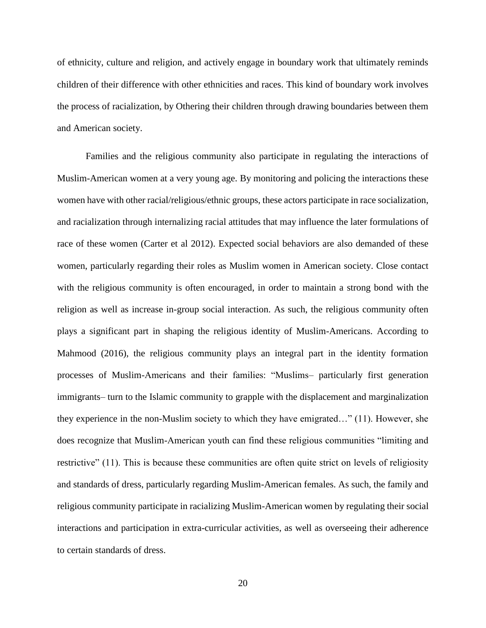of ethnicity, culture and religion, and actively engage in boundary work that ultimately reminds children of their difference with other ethnicities and races. This kind of boundary work involves the process of racialization, by Othering their children through drawing boundaries between them and American society.

Families and the religious community also participate in regulating the interactions of Muslim-American women at a very young age. By monitoring and policing the interactions these women have with other racial/religious/ethnic groups, these actors participate in race socialization, and racialization through internalizing racial attitudes that may influence the later formulations of race of these women (Carter et al 2012). Expected social behaviors are also demanded of these women, particularly regarding their roles as Muslim women in American society. Close contact with the religious community is often encouraged, in order to maintain a strong bond with the religion as well as increase in-group social interaction. As such, the religious community often plays a significant part in shaping the religious identity of Muslim-Americans. According to Mahmood (2016), the religious community plays an integral part in the identity formation processes of Muslim-Americans and their families: "Muslims– particularly first generation immigrants– turn to the Islamic community to grapple with the displacement and marginalization they experience in the non-Muslim society to which they have emigrated…" (11). However, she does recognize that Muslim-American youth can find these religious communities "limiting and restrictive" (11). This is because these communities are often quite strict on levels of religiosity and standards of dress, particularly regarding Muslim-American females. As such, the family and religious community participate in racializing Muslim-American women by regulating their social interactions and participation in extra-curricular activities, as well as overseeing their adherence to certain standards of dress.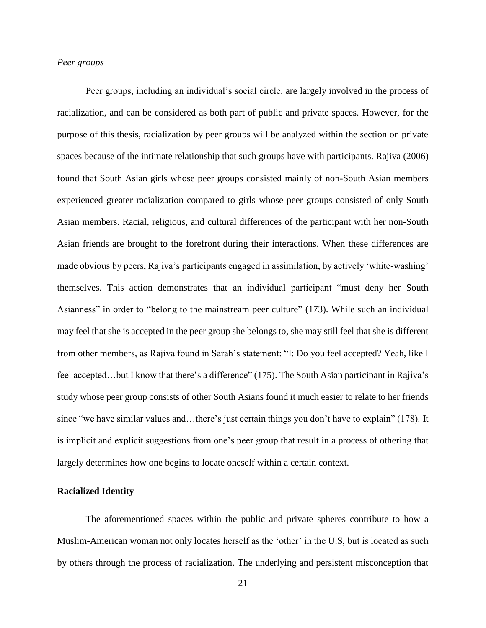# *Peer groups*

Peer groups, including an individual's social circle, are largely involved in the process of racialization, and can be considered as both part of public and private spaces. However, for the purpose of this thesis, racialization by peer groups will be analyzed within the section on private spaces because of the intimate relationship that such groups have with participants. Rajiva (2006) found that South Asian girls whose peer groups consisted mainly of non-South Asian members experienced greater racialization compared to girls whose peer groups consisted of only South Asian members. Racial, religious, and cultural differences of the participant with her non-South Asian friends are brought to the forefront during their interactions. When these differences are made obvious by peers, Rajiva's participants engaged in assimilation, by actively 'white-washing' themselves. This action demonstrates that an individual participant "must deny her South Asianness" in order to "belong to the mainstream peer culture" (173). While such an individual may feel that she is accepted in the peer group she belongs to, she may still feel that she is different from other members, as Rajiva found in Sarah's statement: "I: Do you feel accepted? Yeah, like I feel accepted…but I know that there's a difference" (175). The South Asian participant in Rajiva's study whose peer group consists of other South Asians found it much easier to relate to her friends since "we have similar values and…there's just certain things you don't have to explain" (178). It is implicit and explicit suggestions from one's peer group that result in a process of othering that largely determines how one begins to locate oneself within a certain context.

## **Racialized Identity**

The aforementioned spaces within the public and private spheres contribute to how a Muslim-American woman not only locates herself as the 'other' in the U.S, but is located as such by others through the process of racialization. The underlying and persistent misconception that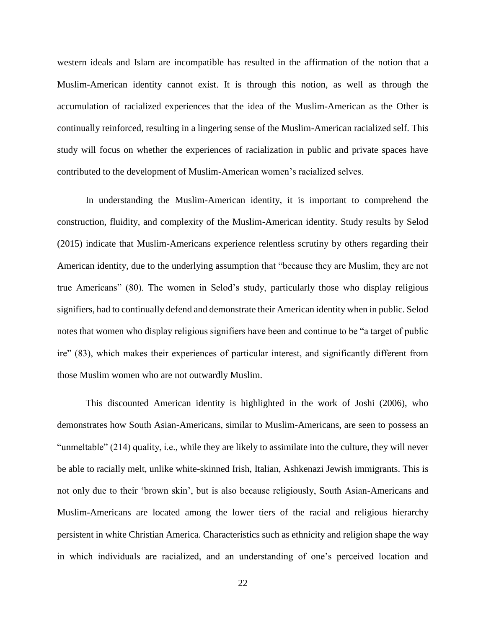western ideals and Islam are incompatible has resulted in the affirmation of the notion that a Muslim-American identity cannot exist. It is through this notion, as well as through the accumulation of racialized experiences that the idea of the Muslim-American as the Other is continually reinforced, resulting in a lingering sense of the Muslim-American racialized self. This study will focus on whether the experiences of racialization in public and private spaces have contributed to the development of Muslim-American women's racialized selves.

In understanding the Muslim-American identity, it is important to comprehend the construction, fluidity, and complexity of the Muslim-American identity. Study results by Selod (2015) indicate that Muslim-Americans experience relentless scrutiny by others regarding their American identity, due to the underlying assumption that "because they are Muslim, they are not true Americans" (80). The women in Selod's study, particularly those who display religious signifiers, had to continually defend and demonstrate their American identity when in public. Selod notes that women who display religious signifiers have been and continue to be "a target of public ire" (83), which makes their experiences of particular interest, and significantly different from those Muslim women who are not outwardly Muslim.

This discounted American identity is highlighted in the work of Joshi (2006), who demonstrates how South Asian-Americans, similar to Muslim-Americans, are seen to possess an "unmeltable" (214) quality, i.e., while they are likely to assimilate into the culture, they will never be able to racially melt, unlike white-skinned Irish, Italian, Ashkenazi Jewish immigrants. This is not only due to their 'brown skin', but is also because religiously, South Asian-Americans and Muslim-Americans are located among the lower tiers of the racial and religious hierarchy persistent in white Christian America. Characteristics such as ethnicity and religion shape the way in which individuals are racialized, and an understanding of one's perceived location and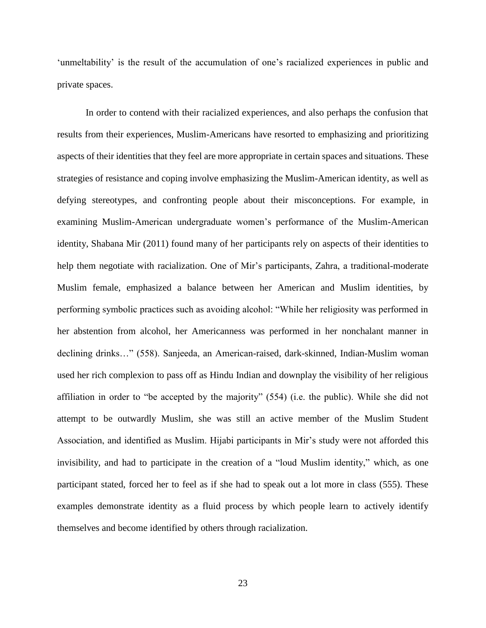'unmeltability' is the result of the accumulation of one's racialized experiences in public and private spaces.

In order to contend with their racialized experiences, and also perhaps the confusion that results from their experiences, Muslim-Americans have resorted to emphasizing and prioritizing aspects of their identities that they feel are more appropriate in certain spaces and situations. These strategies of resistance and coping involve emphasizing the Muslim-American identity, as well as defying stereotypes, and confronting people about their misconceptions. For example, in examining Muslim-American undergraduate women's performance of the Muslim-American identity, Shabana Mir (2011) found many of her participants rely on aspects of their identities to help them negotiate with racialization. One of Mir's participants, Zahra, a traditional-moderate Muslim female, emphasized a balance between her American and Muslim identities, by performing symbolic practices such as avoiding alcohol: "While her religiosity was performed in her abstention from alcohol, her Americanness was performed in her nonchalant manner in declining drinks…" (558). Sanjeeda, an American-raised, dark-skinned, Indian-Muslim woman used her rich complexion to pass off as Hindu Indian and downplay the visibility of her religious affiliation in order to "be accepted by the majority" (554) (i.e. the public). While she did not attempt to be outwardly Muslim, she was still an active member of the Muslim Student Association, and identified as Muslim. Hijabi participants in Mir's study were not afforded this invisibility, and had to participate in the creation of a "loud Muslim identity," which, as one participant stated, forced her to feel as if she had to speak out a lot more in class (555). These examples demonstrate identity as a fluid process by which people learn to actively identify themselves and become identified by others through racialization.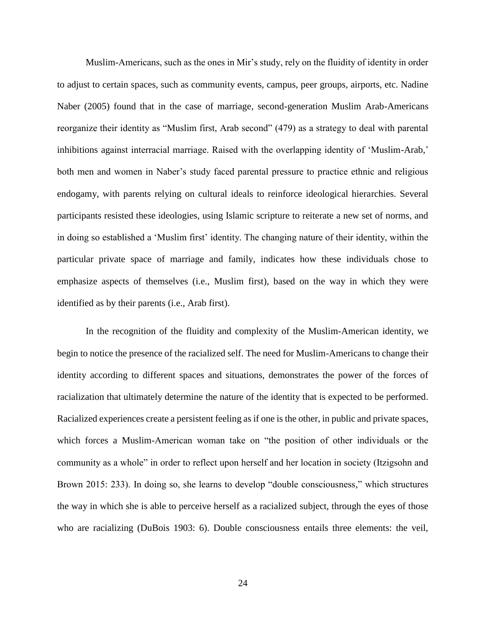Muslim-Americans, such as the ones in Mir's study, rely on the fluidity of identity in order to adjust to certain spaces, such as community events, campus, peer groups, airports, etc. Nadine Naber (2005) found that in the case of marriage, second-generation Muslim Arab-Americans reorganize their identity as "Muslim first, Arab second" (479) as a strategy to deal with parental inhibitions against interracial marriage. Raised with the overlapping identity of 'Muslim-Arab,' both men and women in Naber's study faced parental pressure to practice ethnic and religious endogamy, with parents relying on cultural ideals to reinforce ideological hierarchies. Several participants resisted these ideologies, using Islamic scripture to reiterate a new set of norms, and in doing so established a 'Muslim first' identity. The changing nature of their identity, within the particular private space of marriage and family, indicates how these individuals chose to emphasize aspects of themselves (i.e., Muslim first), based on the way in which they were identified as by their parents (i.e., Arab first).

In the recognition of the fluidity and complexity of the Muslim-American identity, we begin to notice the presence of the racialized self. The need for Muslim-Americans to change their identity according to different spaces and situations, demonstrates the power of the forces of racialization that ultimately determine the nature of the identity that is expected to be performed. Racialized experiences create a persistent feeling as if one is the other, in public and private spaces, which forces a Muslim-American woman take on "the position of other individuals or the community as a whole" in order to reflect upon herself and her location in society (Itzigsohn and Brown 2015: 233). In doing so, she learns to develop "double consciousness," which structures the way in which she is able to perceive herself as a racialized subject, through the eyes of those who are racializing (DuBois 1903: 6). Double consciousness entails three elements: the veil,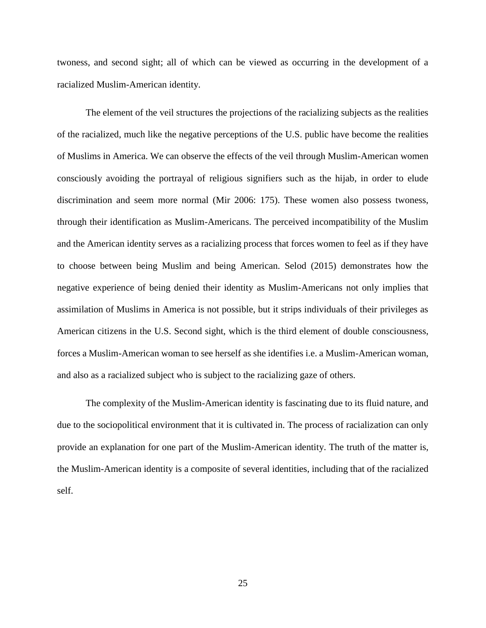twoness, and second sight; all of which can be viewed as occurring in the development of a racialized Muslim-American identity.

The element of the veil structures the projections of the racializing subjects as the realities of the racialized, much like the negative perceptions of the U.S. public have become the realities of Muslims in America. We can observe the effects of the veil through Muslim-American women consciously avoiding the portrayal of religious signifiers such as the hijab, in order to elude discrimination and seem more normal (Mir 2006: 175). These women also possess twoness, through their identification as Muslim-Americans. The perceived incompatibility of the Muslim and the American identity serves as a racializing process that forces women to feel as if they have to choose between being Muslim and being American. Selod (2015) demonstrates how the negative experience of being denied their identity as Muslim-Americans not only implies that assimilation of Muslims in America is not possible, but it strips individuals of their privileges as American citizens in the U.S. Second sight, which is the third element of double consciousness, forces a Muslim-American woman to see herself as she identifies i.e. a Muslim-American woman, and also as a racialized subject who is subject to the racializing gaze of others.

The complexity of the Muslim-American identity is fascinating due to its fluid nature, and due to the sociopolitical environment that it is cultivated in. The process of racialization can only provide an explanation for one part of the Muslim-American identity. The truth of the matter is, the Muslim-American identity is a composite of several identities, including that of the racialized self.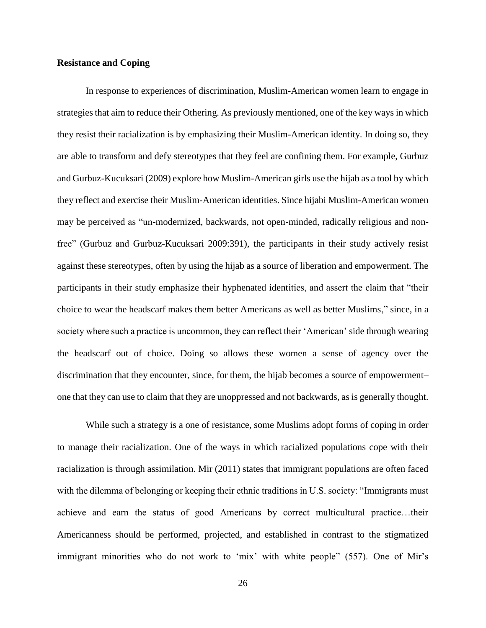# **Resistance and Coping**

In response to experiences of discrimination, Muslim-American women learn to engage in strategies that aim to reduce their Othering. As previously mentioned, one of the key ways in which they resist their racialization is by emphasizing their Muslim-American identity. In doing so, they are able to transform and defy stereotypes that they feel are confining them. For example, Gurbuz and Gurbuz-Kucuksari (2009) explore how Muslim-American girls use the hijab as a tool by which they reflect and exercise their Muslim-American identities. Since hijabi Muslim-American women may be perceived as "un-modernized, backwards, not open-minded, radically religious and nonfree" (Gurbuz and Gurbuz-Kucuksari 2009:391), the participants in their study actively resist against these stereotypes, often by using the hijab as a source of liberation and empowerment. The participants in their study emphasize their hyphenated identities, and assert the claim that "their choice to wear the headscarf makes them better Americans as well as better Muslims," since, in a society where such a practice is uncommon, they can reflect their 'American' side through wearing the headscarf out of choice. Doing so allows these women a sense of agency over the discrimination that they encounter, since, for them, the hijab becomes a source of empowerment– one that they can use to claim that they are unoppressed and not backwards, as is generally thought.

While such a strategy is a one of resistance, some Muslims adopt forms of coping in order to manage their racialization. One of the ways in which racialized populations cope with their racialization is through assimilation. Mir (2011) states that immigrant populations are often faced with the dilemma of belonging or keeping their ethnic traditions in U.S. society: "Immigrants must achieve and earn the status of good Americans by correct multicultural practice…their Americanness should be performed, projected, and established in contrast to the stigmatized immigrant minorities who do not work to 'mix' with white people" (557). One of Mir's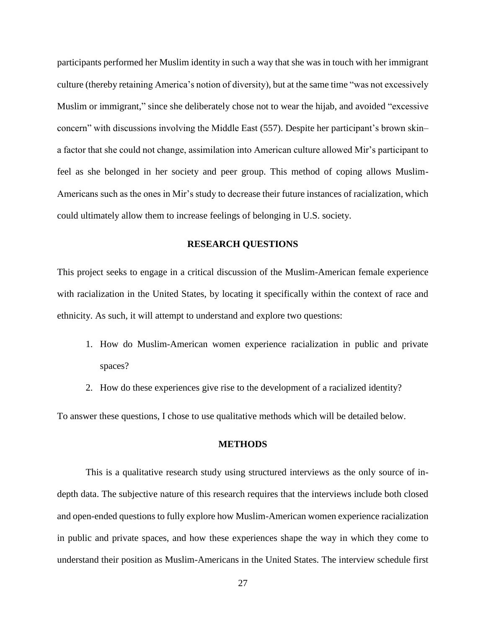participants performed her Muslim identity in such a way that she was in touch with her immigrant culture (thereby retaining America's notion of diversity), but at the same time "was not excessively Muslim or immigrant," since she deliberately chose not to wear the hijab, and avoided "excessive concern" with discussions involving the Middle East (557). Despite her participant's brown skin– a factor that she could not change, assimilation into American culture allowed Mir's participant to feel as she belonged in her society and peer group. This method of coping allows Muslim-Americans such as the ones in Mir's study to decrease their future instances of racialization, which could ultimately allow them to increase feelings of belonging in U.S. society.

## **RESEARCH QUESTIONS**

This project seeks to engage in a critical discussion of the Muslim-American female experience with racialization in the United States, by locating it specifically within the context of race and ethnicity. As such, it will attempt to understand and explore two questions:

- 1. How do Muslim-American women experience racialization in public and private spaces?
- 2. How do these experiences give rise to the development of a racialized identity?

To answer these questions, I chose to use qualitative methods which will be detailed below.

#### **METHODS**

This is a qualitative research study using structured interviews as the only source of indepth data. The subjective nature of this research requires that the interviews include both closed and open-ended questions to fully explore how Muslim-American women experience racialization in public and private spaces, and how these experiences shape the way in which they come to understand their position as Muslim-Americans in the United States. The interview schedule first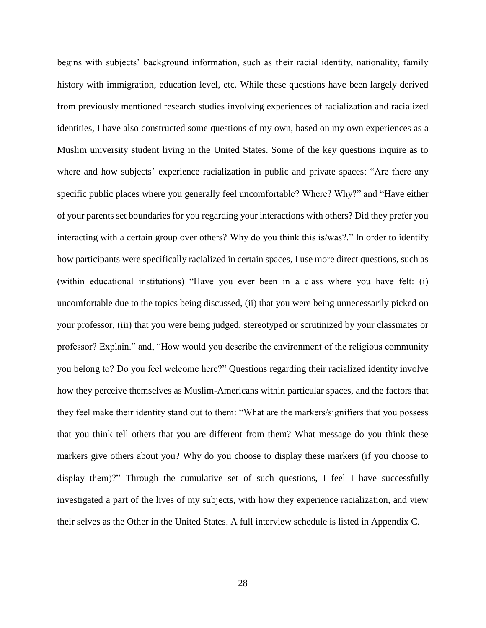begins with subjects' background information, such as their racial identity, nationality, family history with immigration, education level, etc. While these questions have been largely derived from previously mentioned research studies involving experiences of racialization and racialized identities, I have also constructed some questions of my own, based on my own experiences as a Muslim university student living in the United States. Some of the key questions inquire as to where and how subjects' experience racialization in public and private spaces: "Are there any specific public places where you generally feel uncomfortable? Where? Why?" and "Have either of your parents set boundaries for you regarding your interactions with others? Did they prefer you interacting with a certain group over others? Why do you think this is/was?." In order to identify how participants were specifically racialized in certain spaces, I use more direct questions, such as (within educational institutions) "Have you ever been in a class where you have felt: (i) uncomfortable due to the topics being discussed, (ii) that you were being unnecessarily picked on your professor, (iii) that you were being judged, stereotyped or scrutinized by your classmates or professor? Explain." and, "How would you describe the environment of the religious community you belong to? Do you feel welcome here?" Questions regarding their racialized identity involve how they perceive themselves as Muslim-Americans within particular spaces, and the factors that they feel make their identity stand out to them: "What are the markers/signifiers that you possess that you think tell others that you are different from them? What message do you think these markers give others about you? Why do you choose to display these markers (if you choose to display them)?" Through the cumulative set of such questions, I feel I have successfully investigated a part of the lives of my subjects, with how they experience racialization, and view their selves as the Other in the United States. A full interview schedule is listed in Appendix C.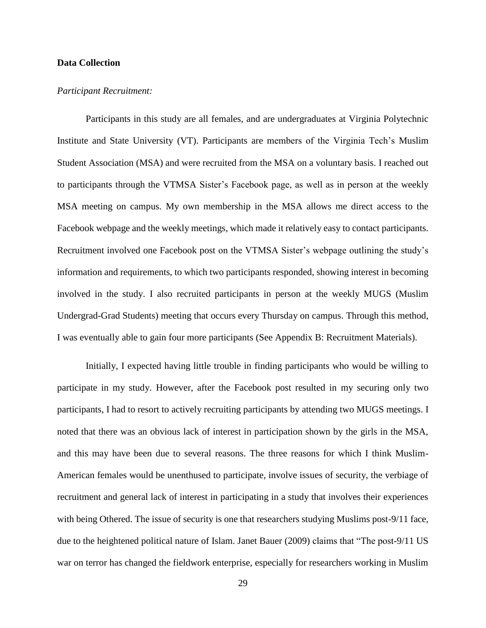## **Data Collection**

#### *Participant Recruitment:*

Participants in this study are all females, and are undergraduates at Virginia Polytechnic Institute and State University (VT). Participants are members of the Virginia Tech's Muslim Student Association (MSA) and were recruited from the MSA on a voluntary basis. I reached out to participants through the VTMSA Sister's Facebook page, as well as in person at the weekly MSA meeting on campus. My own membership in the MSA allows me direct access to the Facebook webpage and the weekly meetings, which made it relatively easy to contact participants. Recruitment involved one Facebook post on the VTMSA Sister's webpage outlining the study's information and requirements, to which two participants responded, showing interest in becoming involved in the study. I also recruited participants in person at the weekly MUGS (Muslim Undergrad-Grad Students) meeting that occurs every Thursday on campus. Through this method, I was eventually able to gain four more participants (See Appendix B: Recruitment Materials).

Initially, I expected having little trouble in finding participants who would be willing to participate in my study. However, after the Facebook post resulted in my securing only two participants, I had to resort to actively recruiting participants by attending two MUGS meetings. I noted that there was an obvious lack of interest in participation shown by the girls in the MSA, and this may have been due to several reasons. The three reasons for which I think Muslim-American females would be unenthused to participate, involve issues of security, the verbiage of recruitment and general lack of interest in participating in a study that involves their experiences with being Othered. The issue of security is one that researchers studying Muslims post-9/11 face, due to the heightened political nature of Islam. Janet Bauer (2009) claims that "The post-9/11 US war on terror has changed the fieldwork enterprise, especially for researchers working in Muslim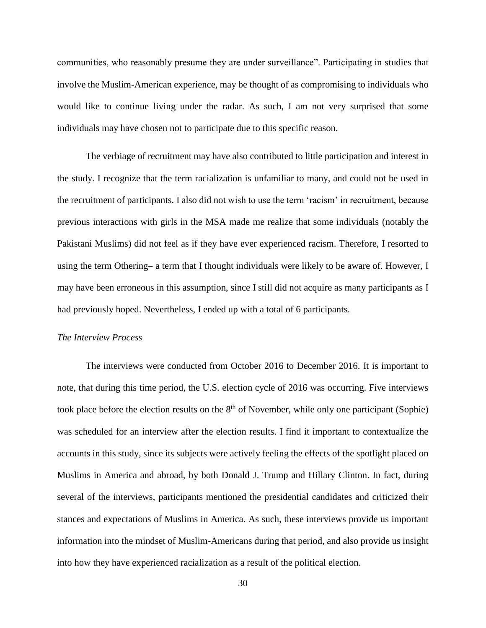communities, who reasonably presume they are under surveillance". Participating in studies that involve the Muslim-American experience, may be thought of as compromising to individuals who would like to continue living under the radar. As such, I am not very surprised that some individuals may have chosen not to participate due to this specific reason.

The verbiage of recruitment may have also contributed to little participation and interest in the study. I recognize that the term racialization is unfamiliar to many, and could not be used in the recruitment of participants. I also did not wish to use the term 'racism' in recruitment, because previous interactions with girls in the MSA made me realize that some individuals (notably the Pakistani Muslims) did not feel as if they have ever experienced racism. Therefore, I resorted to using the term Othering– a term that I thought individuals were likely to be aware of. However, I may have been erroneous in this assumption, since I still did not acquire as many participants as I had previously hoped. Nevertheless, I ended up with a total of 6 participants.

## *The Interview Process*

The interviews were conducted from October 2016 to December 2016. It is important to note, that during this time period, the U.S. election cycle of 2016 was occurring. Five interviews took place before the election results on the  $8<sup>th</sup>$  of November, while only one participant (Sophie) was scheduled for an interview after the election results. I find it important to contextualize the accounts in this study, since its subjects were actively feeling the effects of the spotlight placed on Muslims in America and abroad, by both Donald J. Trump and Hillary Clinton. In fact, during several of the interviews, participants mentioned the presidential candidates and criticized their stances and expectations of Muslims in America. As such, these interviews provide us important information into the mindset of Muslim-Americans during that period, and also provide us insight into how they have experienced racialization as a result of the political election.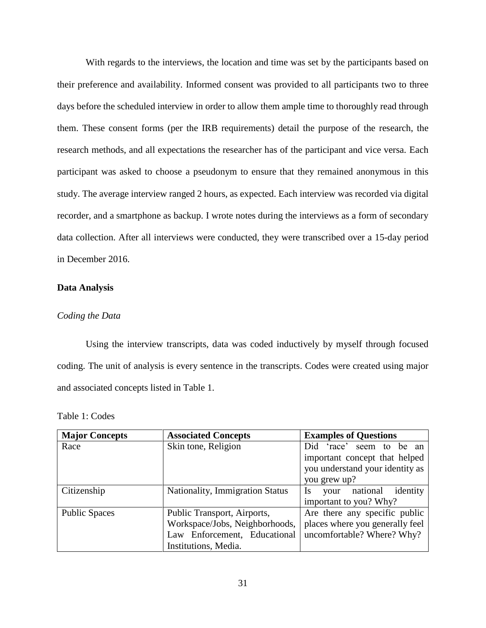With regards to the interviews, the location and time was set by the participants based on their preference and availability. Informed consent was provided to all participants two to three days before the scheduled interview in order to allow them ample time to thoroughly read through them. These consent forms (per the IRB requirements) detail the purpose of the research, the research methods, and all expectations the researcher has of the participant and vice versa. Each participant was asked to choose a pseudonym to ensure that they remained anonymous in this study. The average interview ranged 2 hours, as expected. Each interview was recorded via digital recorder, and a smartphone as backup. I wrote notes during the interviews as a form of secondary data collection. After all interviews were conducted, they were transcribed over a 15-day period in December 2016.

# **Data Analysis**

## *Coding the Data*

Using the interview transcripts, data was coded inductively by myself through focused coding. The unit of analysis is every sentence in the transcripts. Codes were created using major and associated concepts listed in Table 1.

Table 1: Codes

| <b>Major Concepts</b> | <b>Associated Concepts</b>      | <b>Examples of Questions</b>              |
|-----------------------|---------------------------------|-------------------------------------------|
| Race                  | Skin tone, Religion             | Did 'race' seem to<br>be an               |
|                       |                                 | important concept that helped             |
|                       |                                 | you understand your identity as           |
|                       |                                 | you grew up?                              |
| Citizenship           | Nationality, Immigration Status | identity<br>national<br><b>Is</b><br>your |
|                       |                                 | important to you? Why?                    |
| <b>Public Spaces</b>  | Public Transport, Airports,     | Are there any specific public             |
|                       | Workspace/Jobs, Neighborhoods,  | places where you generally feel           |
|                       | Law Enforcement, Educational    | uncomfortable? Where? Why?                |
|                       | Institutions, Media.            |                                           |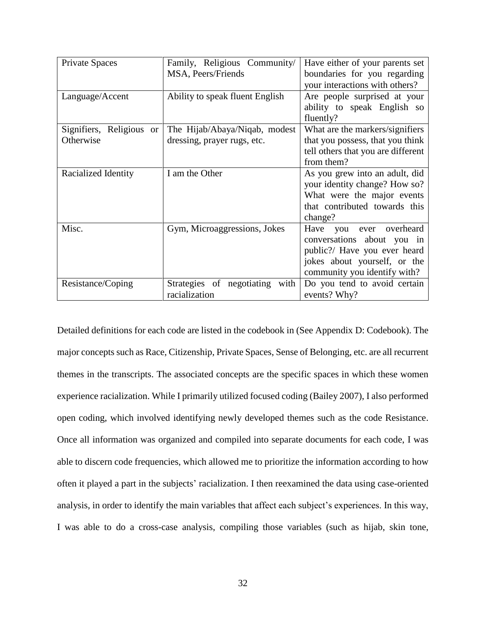| Private Spaces                     | Family, Religious Community/      | Have either of your parents set    |
|------------------------------------|-----------------------------------|------------------------------------|
|                                    | MSA, Peers/Friends                | boundaries for you regarding       |
|                                    |                                   | your interactions with others?     |
| Language/Accent                    | Ability to speak fluent English   | Are people surprised at your       |
|                                    |                                   | ability to speak English so        |
|                                    |                                   | fluently?                          |
| Signifiers, Religious<br><b>or</b> | The Hijab/Abaya/Niqab, modest     | What are the markers/signifiers    |
| Otherwise                          | dressing, prayer rugs, etc.       | that you possess, that you think   |
|                                    |                                   | tell others that you are different |
|                                    |                                   | from them?                         |
| Racialized Identity                | I am the Other                    | As you grew into an adult, did     |
|                                    |                                   | your identity change? How so?      |
|                                    |                                   | What were the major events         |
|                                    |                                   | that contributed towards this      |
|                                    |                                   | change?                            |
| Misc.                              | Gym, Microaggressions, Jokes      | Have you ever overheard            |
|                                    |                                   | conversations about you in         |
|                                    |                                   | public?/ Have you ever heard       |
|                                    |                                   | jokes about yourself, or the       |
|                                    |                                   | community you identify with?       |
| Resistance/Coping                  | Strategies of negotiating<br>with | Do you tend to avoid certain       |
|                                    | racialization                     | events? Why?                       |

Detailed definitions for each code are listed in the codebook in (See Appendix D: Codebook). The major concepts such as Race, Citizenship, Private Spaces, Sense of Belonging, etc. are all recurrent themes in the transcripts. The associated concepts are the specific spaces in which these women experience racialization. While I primarily utilized focused coding (Bailey 2007), I also performed open coding, which involved identifying newly developed themes such as the code Resistance. Once all information was organized and compiled into separate documents for each code, I was able to discern code frequencies, which allowed me to prioritize the information according to how often it played a part in the subjects' racialization. I then reexamined the data using case-oriented analysis, in order to identify the main variables that affect each subject's experiences. In this way, I was able to do a cross-case analysis, compiling those variables (such as hijab, skin tone,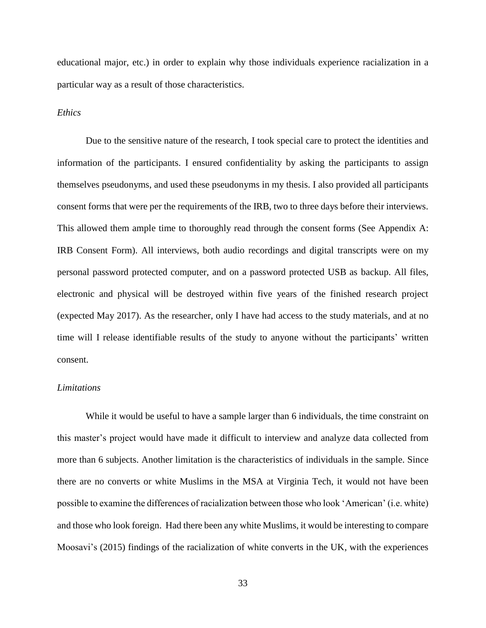educational major, etc.) in order to explain why those individuals experience racialization in a particular way as a result of those characteristics.

### *Ethics*

Due to the sensitive nature of the research, I took special care to protect the identities and information of the participants. I ensured confidentiality by asking the participants to assign themselves pseudonyms, and used these pseudonyms in my thesis. I also provided all participants consent forms that were per the requirements of the IRB, two to three days before their interviews. This allowed them ample time to thoroughly read through the consent forms (See Appendix A: IRB Consent Form). All interviews, both audio recordings and digital transcripts were on my personal password protected computer, and on a password protected USB as backup. All files, electronic and physical will be destroyed within five years of the finished research project (expected May 2017). As the researcher, only I have had access to the study materials, and at no time will I release identifiable results of the study to anyone without the participants' written consent.

## *Limitations*

While it would be useful to have a sample larger than 6 individuals, the time constraint on this master's project would have made it difficult to interview and analyze data collected from more than 6 subjects. Another limitation is the characteristics of individuals in the sample. Since there are no converts or white Muslims in the MSA at Virginia Tech, it would not have been possible to examine the differences of racialization between those who look 'American' (i.e. white) and those who look foreign. Had there been any white Muslims, it would be interesting to compare Moosavi's (2015) findings of the racialization of white converts in the UK, with the experiences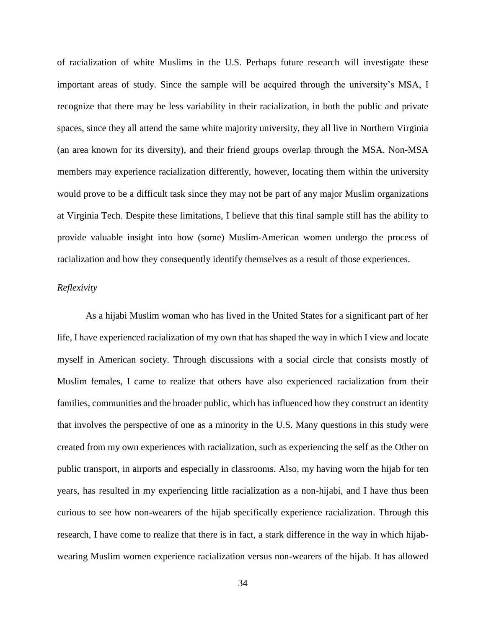of racialization of white Muslims in the U.S. Perhaps future research will investigate these important areas of study. Since the sample will be acquired through the university's MSA, I recognize that there may be less variability in their racialization, in both the public and private spaces, since they all attend the same white majority university, they all live in Northern Virginia (an area known for its diversity), and their friend groups overlap through the MSA. Non-MSA members may experience racialization differently, however, locating them within the university would prove to be a difficult task since they may not be part of any major Muslim organizations at Virginia Tech. Despite these limitations, I believe that this final sample still has the ability to provide valuable insight into how (some) Muslim-American women undergo the process of racialization and how they consequently identify themselves as a result of those experiences.

# *Reflexivity*

As a hijabi Muslim woman who has lived in the United States for a significant part of her life, I have experienced racialization of my own that has shaped the way in which I view and locate myself in American society. Through discussions with a social circle that consists mostly of Muslim females, I came to realize that others have also experienced racialization from their families, communities and the broader public, which has influenced how they construct an identity that involves the perspective of one as a minority in the U.S. Many questions in this study were created from my own experiences with racialization, such as experiencing the self as the Other on public transport, in airports and especially in classrooms. Also, my having worn the hijab for ten years, has resulted in my experiencing little racialization as a non-hijabi, and I have thus been curious to see how non-wearers of the hijab specifically experience racialization. Through this research, I have come to realize that there is in fact, a stark difference in the way in which hijabwearing Muslim women experience racialization versus non-wearers of the hijab. It has allowed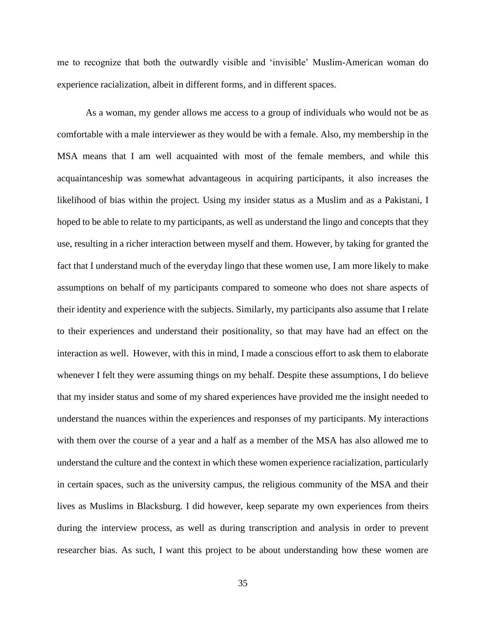me to recognize that both the outwardly visible and 'invisible' Muslim-American woman do experience racialization, albeit in different forms, and in different spaces.

As a woman, my gender allows me access to a group of individuals who would not be as comfortable with a male interviewer as they would be with a female. Also, my membership in the MSA means that I am well acquainted with most of the female members, and while this acquaintanceship was somewhat advantageous in acquiring participants, it also increases the likelihood of bias within the project. Using my insider status as a Muslim and as a Pakistani, I hoped to be able to relate to my participants, as well as understand the lingo and concepts that they use, resulting in a richer interaction between myself and them. However, by taking for granted the fact that I understand much of the everyday lingo that these women use, I am more likely to make assumptions on behalf of my participants compared to someone who does not share aspects of their identity and experience with the subjects. Similarly, my participants also assume that I relate to their experiences and understand their positionality, so that may have had an effect on the interaction as well. However, with this in mind, I made a conscious effort to ask them to elaborate whenever I felt they were assuming things on my behalf. Despite these assumptions, I do believe that my insider status and some of my shared experiences have provided me the insight needed to understand the nuances within the experiences and responses of my participants. My interactions with them over the course of a year and a half as a member of the MSA has also allowed me to understand the culture and the context in which these women experience racialization, particularly in certain spaces, such as the university campus, the religious community of the MSA and their lives as Muslims in Blacksburg. I did however, keep separate my own experiences from theirs during the interview process, as well as during transcription and analysis in order to prevent researcher bias. As such, I want this project to be about understanding how these women are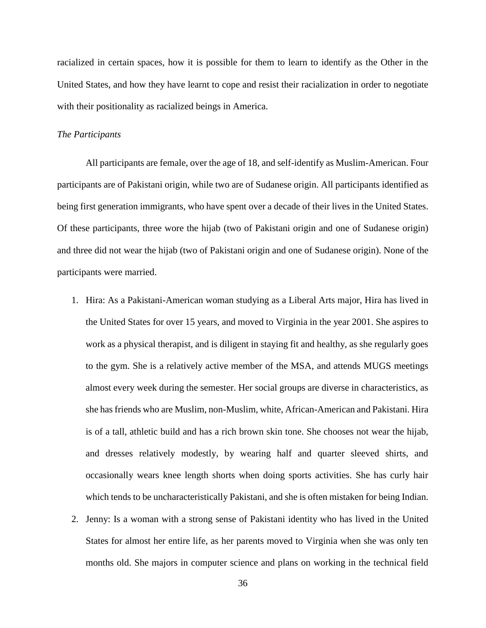racialized in certain spaces, how it is possible for them to learn to identify as the Other in the United States, and how they have learnt to cope and resist their racialization in order to negotiate with their positionality as racialized beings in America.

#### *The Participants*

All participants are female, over the age of 18, and self-identify as Muslim-American. Four participants are of Pakistani origin, while two are of Sudanese origin. All participants identified as being first generation immigrants, who have spent over a decade of their lives in the United States. Of these participants, three wore the hijab (two of Pakistani origin and one of Sudanese origin) and three did not wear the hijab (two of Pakistani origin and one of Sudanese origin). None of the participants were married.

- 1. Hira: As a Pakistani-American woman studying as a Liberal Arts major, Hira has lived in the United States for over 15 years, and moved to Virginia in the year 2001. She aspires to work as a physical therapist, and is diligent in staying fit and healthy, as she regularly goes to the gym. She is a relatively active member of the MSA, and attends MUGS meetings almost every week during the semester. Her social groups are diverse in characteristics, as she has friends who are Muslim, non-Muslim, white, African-American and Pakistani. Hira is of a tall, athletic build and has a rich brown skin tone. She chooses not wear the hijab, and dresses relatively modestly, by wearing half and quarter sleeved shirts, and occasionally wears knee length shorts when doing sports activities. She has curly hair which tends to be uncharacteristically Pakistani, and she is often mistaken for being Indian.
- 2. Jenny: Is a woman with a strong sense of Pakistani identity who has lived in the United States for almost her entire life, as her parents moved to Virginia when she was only ten months old. She majors in computer science and plans on working in the technical field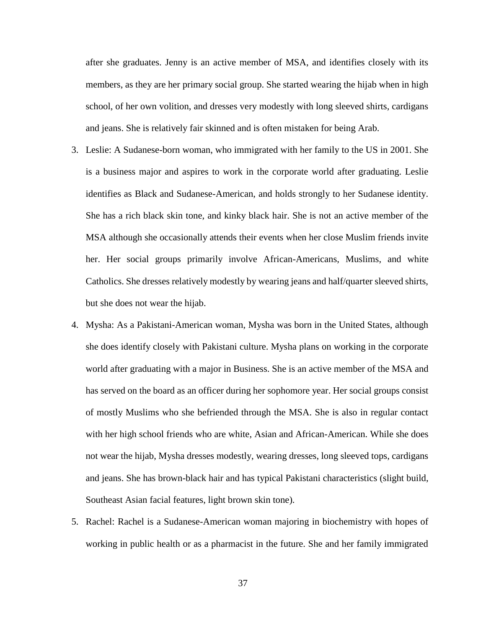after she graduates. Jenny is an active member of MSA, and identifies closely with its members, as they are her primary social group. She started wearing the hijab when in high school, of her own volition, and dresses very modestly with long sleeved shirts, cardigans and jeans. She is relatively fair skinned and is often mistaken for being Arab.

- 3. Leslie: A Sudanese-born woman, who immigrated with her family to the US in 2001. She is a business major and aspires to work in the corporate world after graduating. Leslie identifies as Black and Sudanese-American, and holds strongly to her Sudanese identity. She has a rich black skin tone, and kinky black hair. She is not an active member of the MSA although she occasionally attends their events when her close Muslim friends invite her. Her social groups primarily involve African-Americans, Muslims, and white Catholics. She dresses relatively modestly by wearing jeans and half/quarter sleeved shirts, but she does not wear the hijab.
- 4. Mysha: As a Pakistani-American woman, Mysha was born in the United States, although she does identify closely with Pakistani culture. Mysha plans on working in the corporate world after graduating with a major in Business. She is an active member of the MSA and has served on the board as an officer during her sophomore year. Her social groups consist of mostly Muslims who she befriended through the MSA. She is also in regular contact with her high school friends who are white, Asian and African-American. While she does not wear the hijab, Mysha dresses modestly, wearing dresses, long sleeved tops, cardigans and jeans. She has brown-black hair and has typical Pakistani characteristics (slight build, Southeast Asian facial features, light brown skin tone).
- 5. Rachel: Rachel is a Sudanese-American woman majoring in biochemistry with hopes of working in public health or as a pharmacist in the future. She and her family immigrated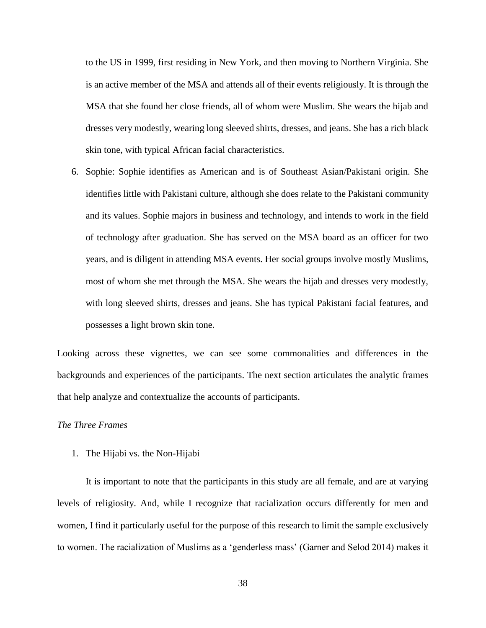to the US in 1999, first residing in New York, and then moving to Northern Virginia. She is an active member of the MSA and attends all of their events religiously. It is through the MSA that she found her close friends, all of whom were Muslim. She wears the hijab and dresses very modestly, wearing long sleeved shirts, dresses, and jeans. She has a rich black skin tone, with typical African facial characteristics.

6. Sophie: Sophie identifies as American and is of Southeast Asian/Pakistani origin. She identifies little with Pakistani culture, although she does relate to the Pakistani community and its values. Sophie majors in business and technology, and intends to work in the field of technology after graduation. She has served on the MSA board as an officer for two years, and is diligent in attending MSA events. Her social groups involve mostly Muslims, most of whom she met through the MSA. She wears the hijab and dresses very modestly, with long sleeved shirts, dresses and jeans. She has typical Pakistani facial features, and possesses a light brown skin tone.

Looking across these vignettes, we can see some commonalities and differences in the backgrounds and experiences of the participants. The next section articulates the analytic frames that help analyze and contextualize the accounts of participants.

## *The Three Frames*

1. The Hijabi vs. the Non-Hijabi

It is important to note that the participants in this study are all female, and are at varying levels of religiosity. And, while I recognize that racialization occurs differently for men and women, I find it particularly useful for the purpose of this research to limit the sample exclusively to women. The racialization of Muslims as a 'genderless mass' (Garner and Selod 2014) makes it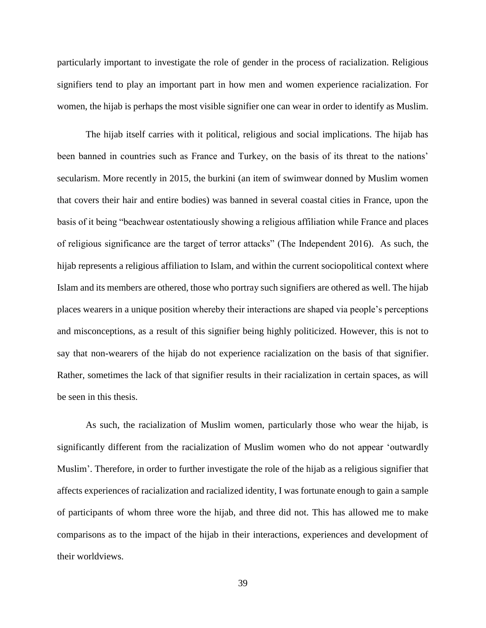particularly important to investigate the role of gender in the process of racialization. Religious signifiers tend to play an important part in how men and women experience racialization. For women, the hijab is perhaps the most visible signifier one can wear in order to identify as Muslim.

The hijab itself carries with it political, religious and social implications. The hijab has been banned in countries such as France and Turkey, on the basis of its threat to the nations' secularism. More recently in 2015, the burkini (an item of swimwear donned by Muslim women that covers their hair and entire bodies) was banned in several coastal cities in France, upon the basis of it being "beachwear ostentatiously showing a religious affiliation while France and places of religious significance are the target of terror attacks" (The Independent 2016). As such, the hijab represents a religious affiliation to Islam, and within the current sociopolitical context where Islam and its members are othered, those who portray such signifiers are othered as well. The hijab places wearers in a unique position whereby their interactions are shaped via people's perceptions and misconceptions, as a result of this signifier being highly politicized. However, this is not to say that non-wearers of the hijab do not experience racialization on the basis of that signifier. Rather, sometimes the lack of that signifier results in their racialization in certain spaces, as will be seen in this thesis.

As such, the racialization of Muslim women, particularly those who wear the hijab, is significantly different from the racialization of Muslim women who do not appear 'outwardly Muslim'. Therefore, in order to further investigate the role of the hijab as a religious signifier that affects experiences of racialization and racialized identity, I was fortunate enough to gain a sample of participants of whom three wore the hijab, and three did not. This has allowed me to make comparisons as to the impact of the hijab in their interactions, experiences and development of their worldviews.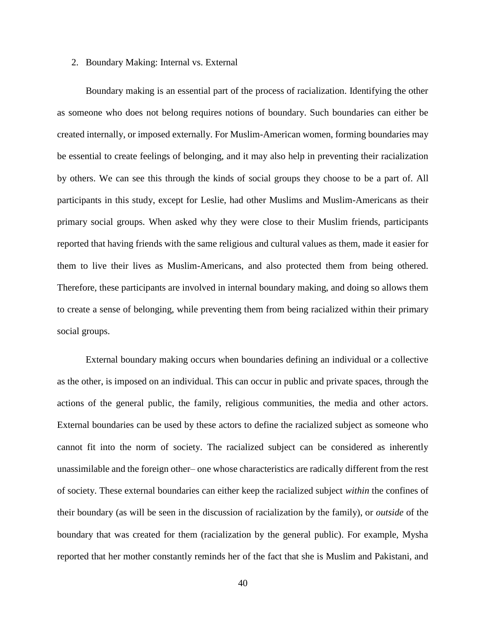### 2. Boundary Making: Internal vs. External

Boundary making is an essential part of the process of racialization. Identifying the other as someone who does not belong requires notions of boundary. Such boundaries can either be created internally, or imposed externally. For Muslim-American women, forming boundaries may be essential to create feelings of belonging, and it may also help in preventing their racialization by others. We can see this through the kinds of social groups they choose to be a part of. All participants in this study, except for Leslie, had other Muslims and Muslim-Americans as their primary social groups. When asked why they were close to their Muslim friends, participants reported that having friends with the same religious and cultural values as them, made it easier for them to live their lives as Muslim-Americans, and also protected them from being othered. Therefore, these participants are involved in internal boundary making, and doing so allows them to create a sense of belonging, while preventing them from being racialized within their primary social groups.

External boundary making occurs when boundaries defining an individual or a collective as the other, is imposed on an individual. This can occur in public and private spaces, through the actions of the general public, the family, religious communities, the media and other actors. External boundaries can be used by these actors to define the racialized subject as someone who cannot fit into the norm of society. The racialized subject can be considered as inherently unassimilable and the foreign other– one whose characteristics are radically different from the rest of society. These external boundaries can either keep the racialized subject *within* the confines of their boundary (as will be seen in the discussion of racialization by the family), or *outside* of the boundary that was created for them (racialization by the general public). For example, Mysha reported that her mother constantly reminds her of the fact that she is Muslim and Pakistani, and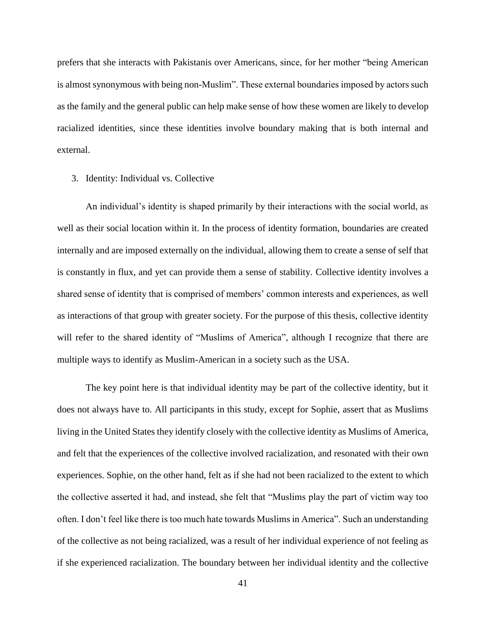prefers that she interacts with Pakistanis over Americans, since, for her mother "being American is almost synonymous with being non-Muslim". These external boundaries imposed by actors such as the family and the general public can help make sense of how these women are likely to develop racialized identities, since these identities involve boundary making that is both internal and external.

### 3. Identity: Individual vs. Collective

An individual's identity is shaped primarily by their interactions with the social world, as well as their social location within it. In the process of identity formation, boundaries are created internally and are imposed externally on the individual, allowing them to create a sense of self that is constantly in flux, and yet can provide them a sense of stability. Collective identity involves a shared sense of identity that is comprised of members' common interests and experiences, as well as interactions of that group with greater society. For the purpose of this thesis, collective identity will refer to the shared identity of "Muslims of America", although I recognize that there are multiple ways to identify as Muslim-American in a society such as the USA.

The key point here is that individual identity may be part of the collective identity, but it does not always have to. All participants in this study, except for Sophie, assert that as Muslims living in the United States they identify closely with the collective identity as Muslims of America, and felt that the experiences of the collective involved racialization, and resonated with their own experiences. Sophie, on the other hand, felt as if she had not been racialized to the extent to which the collective asserted it had, and instead, she felt that "Muslims play the part of victim way too often. I don't feel like there is too much hate towards Muslims in America". Such an understanding of the collective as not being racialized, was a result of her individual experience of not feeling as if she experienced racialization. The boundary between her individual identity and the collective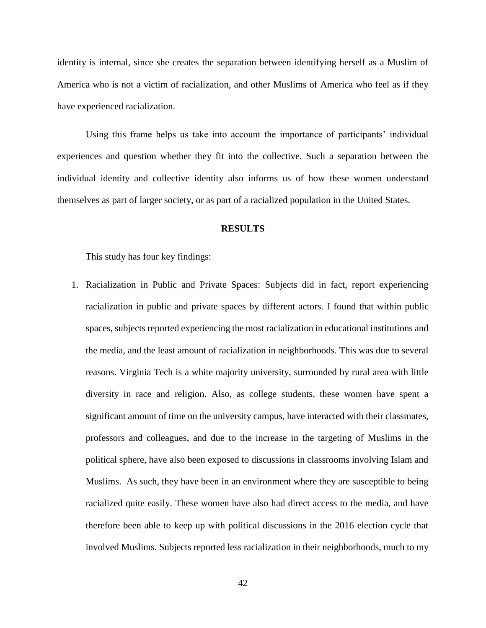identity is internal, since she creates the separation between identifying herself as a Muslim of America who is not a victim of racialization, and other Muslims of America who feel as if they have experienced racialization.

Using this frame helps us take into account the importance of participants' individual experiences and question whether they fit into the collective. Such a separation between the individual identity and collective identity also informs us of how these women understand themselves as part of larger society, or as part of a racialized population in the United States.

## **RESULTS**

This study has four key findings:

1. Racialization in Public and Private Spaces: Subjects did in fact, report experiencing racialization in public and private spaces by different actors. I found that within public spaces, subjects reported experiencing the most racialization in educational institutions and the media, and the least amount of racialization in neighborhoods. This was due to several reasons. Virginia Tech is a white majority university, surrounded by rural area with little diversity in race and religion. Also, as college students, these women have spent a significant amount of time on the university campus, have interacted with their classmates, professors and colleagues, and due to the increase in the targeting of Muslims in the political sphere, have also been exposed to discussions in classrooms involving Islam and Muslims. As such, they have been in an environment where they are susceptible to being racialized quite easily. These women have also had direct access to the media, and have therefore been able to keep up with political discussions in the 2016 election cycle that involved Muslims. Subjects reported less racialization in their neighborhoods, much to my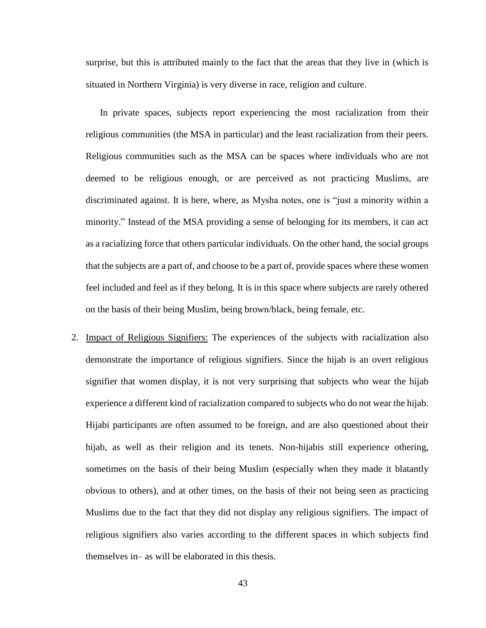surprise, but this is attributed mainly to the fact that the areas that they live in (which is situated in Northern Virginia) is very diverse in race, religion and culture.

In private spaces, subjects report experiencing the most racialization from their religious communities (the MSA in particular) and the least racialization from their peers. Religious communities such as the MSA can be spaces where individuals who are not deemed to be religious enough, or are perceived as not practicing Muslims, are discriminated against. It is here, where, as Mysha notes, one is "just a minority within a minority." Instead of the MSA providing a sense of belonging for its members, it can act as a racializing force that others particular individuals. On the other hand, the social groups that the subjects are a part of, and choose to be a part of, provide spaces where these women feel included and feel as if they belong. It is in this space where subjects are rarely othered on the basis of their being Muslim, being brown/black, being female, etc.

2. Impact of Religious Signifiers: The experiences of the subjects with racialization also demonstrate the importance of religious signifiers. Since the hijab is an overt religious signifier that women display, it is not very surprising that subjects who wear the hijab experience a different kind of racialization compared to subjects who do not wear the hijab. Hijabi participants are often assumed to be foreign, and are also questioned about their hijab, as well as their religion and its tenets. Non-hijabis still experience othering, sometimes on the basis of their being Muslim (especially when they made it blatantly obvious to others), and at other times, on the basis of their not being seen as practicing Muslims due to the fact that they did not display any religious signifiers. The impact of religious signifiers also varies according to the different spaces in which subjects find themselves in– as will be elaborated in this thesis.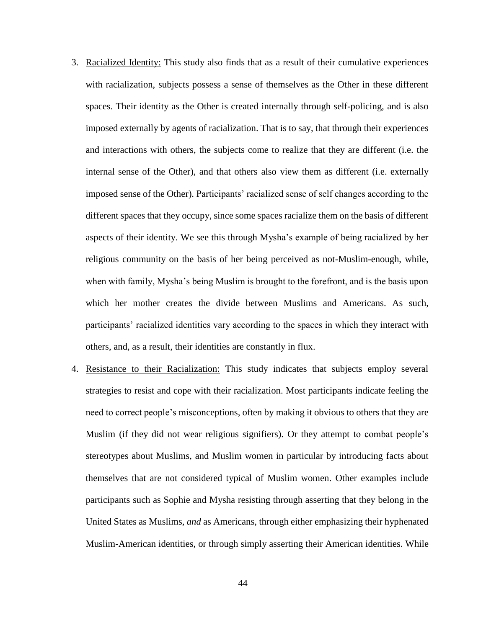- 3. Racialized Identity: This study also finds that as a result of their cumulative experiences with racialization, subjects possess a sense of themselves as the Other in these different spaces. Their identity as the Other is created internally through self-policing, and is also imposed externally by agents of racialization. That is to say, that through their experiences and interactions with others, the subjects come to realize that they are different (i.e. the internal sense of the Other), and that others also view them as different (i.e. externally imposed sense of the Other). Participants' racialized sense of self changes according to the different spaces that they occupy, since some spaces racialize them on the basis of different aspects of their identity. We see this through Mysha's example of being racialized by her religious community on the basis of her being perceived as not-Muslim-enough, while, when with family, Mysha's being Muslim is brought to the forefront, and is the basis upon which her mother creates the divide between Muslims and Americans. As such, participants' racialized identities vary according to the spaces in which they interact with others, and, as a result, their identities are constantly in flux.
- 4. Resistance to their Racialization: This study indicates that subjects employ several strategies to resist and cope with their racialization. Most participants indicate feeling the need to correct people's misconceptions, often by making it obvious to others that they are Muslim (if they did not wear religious signifiers). Or they attempt to combat people's stereotypes about Muslims, and Muslim women in particular by introducing facts about themselves that are not considered typical of Muslim women. Other examples include participants such as Sophie and Mysha resisting through asserting that they belong in the United States as Muslims, *and* as Americans, through either emphasizing their hyphenated Muslim-American identities, or through simply asserting their American identities. While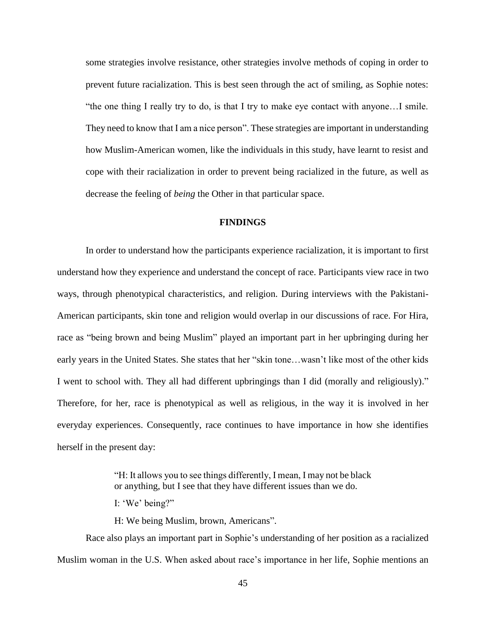some strategies involve resistance, other strategies involve methods of coping in order to prevent future racialization. This is best seen through the act of smiling, as Sophie notes: "the one thing I really try to do, is that I try to make eye contact with anyone…I smile. They need to know that I am a nice person". These strategies are important in understanding how Muslim-American women, like the individuals in this study, have learnt to resist and cope with their racialization in order to prevent being racialized in the future, as well as decrease the feeling of *being* the Other in that particular space.

# **FINDINGS**

In order to understand how the participants experience racialization, it is important to first understand how they experience and understand the concept of race. Participants view race in two ways, through phenotypical characteristics, and religion. During interviews with the Pakistani-American participants, skin tone and religion would overlap in our discussions of race. For Hira, race as "being brown and being Muslim" played an important part in her upbringing during her early years in the United States. She states that her "skin tone…wasn't like most of the other kids I went to school with. They all had different upbringings than I did (morally and religiously)." Therefore, for her, race is phenotypical as well as religious, in the way it is involved in her everyday experiences. Consequently, race continues to have importance in how she identifies herself in the present day:

> "H: It allows you to see things differently, I mean, I may not be black or anything, but I see that they have different issues than we do.

I: 'We' being?"

H: We being Muslim, brown, Americans".

Race also plays an important part in Sophie's understanding of her position as a racialized Muslim woman in the U.S. When asked about race's importance in her life, Sophie mentions an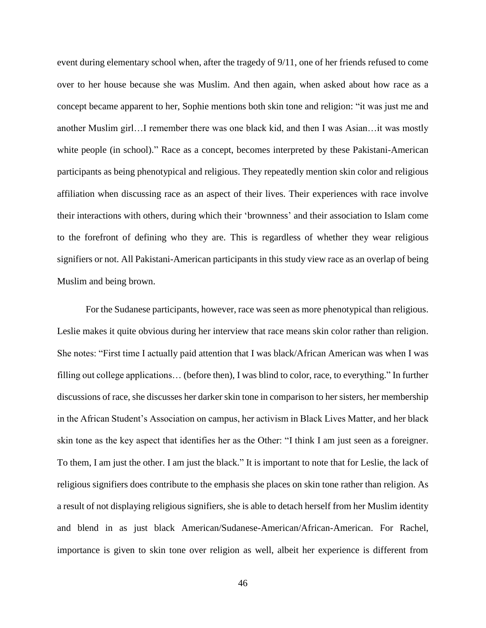event during elementary school when, after the tragedy of 9/11, one of her friends refused to come over to her house because she was Muslim. And then again, when asked about how race as a concept became apparent to her, Sophie mentions both skin tone and religion: "it was just me and another Muslim girl…I remember there was one black kid, and then I was Asian…it was mostly white people (in school)." Race as a concept, becomes interpreted by these Pakistani-American participants as being phenotypical and religious. They repeatedly mention skin color and religious affiliation when discussing race as an aspect of their lives. Their experiences with race involve their interactions with others, during which their 'brownness' and their association to Islam come to the forefront of defining who they are. This is regardless of whether they wear religious signifiers or not. All Pakistani-American participants in this study view race as an overlap of being Muslim and being brown.

For the Sudanese participants, however, race was seen as more phenotypical than religious. Leslie makes it quite obvious during her interview that race means skin color rather than religion. She notes: "First time I actually paid attention that I was black/African American was when I was filling out college applications… (before then), I was blind to color, race, to everything." In further discussions of race, she discusses her darker skin tone in comparison to her sisters, her membership in the African Student's Association on campus, her activism in Black Lives Matter, and her black skin tone as the key aspect that identifies her as the Other: "I think I am just seen as a foreigner. To them, I am just the other. I am just the black." It is important to note that for Leslie, the lack of religious signifiers does contribute to the emphasis she places on skin tone rather than religion. As a result of not displaying religious signifiers, she is able to detach herself from her Muslim identity and blend in as just black American/Sudanese-American/African-American. For Rachel, importance is given to skin tone over religion as well, albeit her experience is different from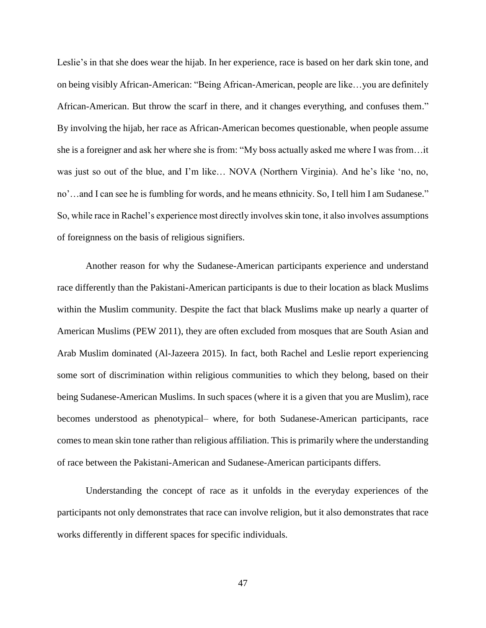Leslie's in that she does wear the hijab. In her experience, race is based on her dark skin tone, and on being visibly African-American: "Being African-American, people are like…you are definitely African-American. But throw the scarf in there, and it changes everything, and confuses them." By involving the hijab, her race as African-American becomes questionable, when people assume she is a foreigner and ask her where she is from: "My boss actually asked me where I was from…it was just so out of the blue, and I'm like… NOVA (Northern Virginia). And he's like 'no, no, no'…and I can see he is fumbling for words, and he means ethnicity. So, I tell him I am Sudanese." So, while race in Rachel's experience most directly involves skin tone, it also involves assumptions of foreignness on the basis of religious signifiers.

Another reason for why the Sudanese-American participants experience and understand race differently than the Pakistani-American participants is due to their location as black Muslims within the Muslim community. Despite the fact that black Muslims make up nearly a quarter of American Muslims (PEW 2011), they are often excluded from mosques that are South Asian and Arab Muslim dominated (Al-Jazeera 2015). In fact, both Rachel and Leslie report experiencing some sort of discrimination within religious communities to which they belong, based on their being Sudanese-American Muslims. In such spaces (where it is a given that you are Muslim), race becomes understood as phenotypical– where, for both Sudanese-American participants, race comes to mean skin tone rather than religious affiliation. This is primarily where the understanding of race between the Pakistani-American and Sudanese-American participants differs.

Understanding the concept of race as it unfolds in the everyday experiences of the participants not only demonstrates that race can involve religion, but it also demonstrates that race works differently in different spaces for specific individuals.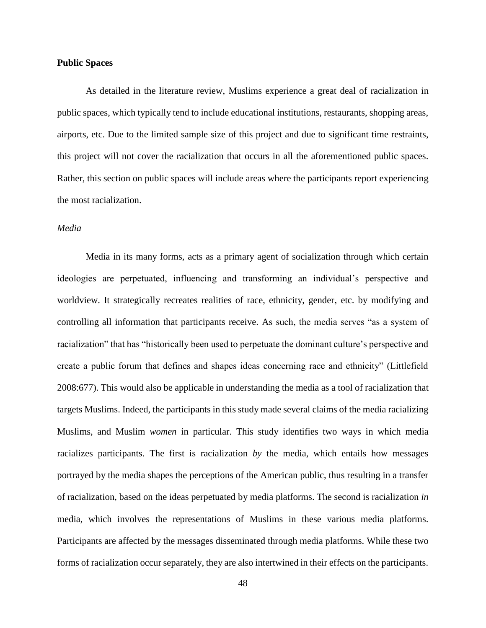## **Public Spaces**

As detailed in the literature review, Muslims experience a great deal of racialization in public spaces, which typically tend to include educational institutions, restaurants, shopping areas, airports, etc. Due to the limited sample size of this project and due to significant time restraints, this project will not cover the racialization that occurs in all the aforementioned public spaces. Rather, this section on public spaces will include areas where the participants report experiencing the most racialization.

### *Media*

Media in its many forms, acts as a primary agent of socialization through which certain ideologies are perpetuated, influencing and transforming an individual's perspective and worldview. It strategically recreates realities of race, ethnicity, gender, etc. by modifying and controlling all information that participants receive. As such, the media serves "as a system of racialization" that has "historically been used to perpetuate the dominant culture's perspective and create a public forum that defines and shapes ideas concerning race and ethnicity" (Littlefield 2008:677). This would also be applicable in understanding the media as a tool of racialization that targets Muslims. Indeed, the participants in this study made several claims of the media racializing Muslims, and Muslim *women* in particular. This study identifies two ways in which media racializes participants. The first is racialization *by* the media, which entails how messages portrayed by the media shapes the perceptions of the American public, thus resulting in a transfer of racialization, based on the ideas perpetuated by media platforms. The second is racialization *in*  media, which involves the representations of Muslims in these various media platforms. Participants are affected by the messages disseminated through media platforms. While these two forms of racialization occur separately, they are also intertwined in their effects on the participants.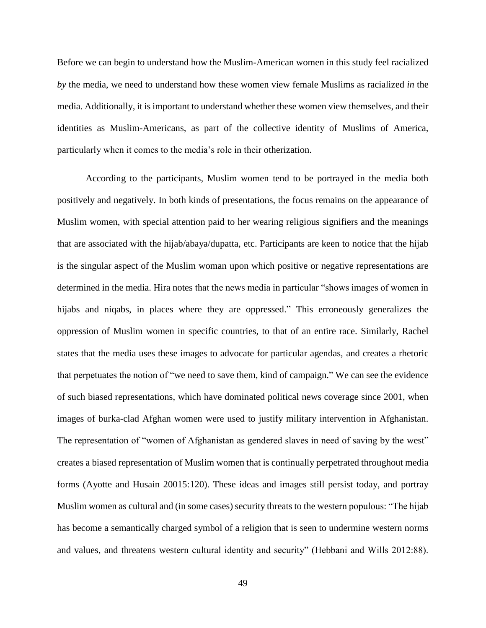Before we can begin to understand how the Muslim-American women in this study feel racialized *by* the media, we need to understand how these women view female Muslims as racialized *in* the media. Additionally, it is important to understand whether these women view themselves, and their identities as Muslim-Americans, as part of the collective identity of Muslims of America, particularly when it comes to the media's role in their otherization.

According to the participants, Muslim women tend to be portrayed in the media both positively and negatively. In both kinds of presentations, the focus remains on the appearance of Muslim women, with special attention paid to her wearing religious signifiers and the meanings that are associated with the hijab/abaya/dupatta, etc. Participants are keen to notice that the hijab is the singular aspect of the Muslim woman upon which positive or negative representations are determined in the media. Hira notes that the news media in particular "shows images of women in hijabs and niqabs, in places where they are oppressed." This erroneously generalizes the oppression of Muslim women in specific countries, to that of an entire race. Similarly, Rachel states that the media uses these images to advocate for particular agendas, and creates a rhetoric that perpetuates the notion of "we need to save them, kind of campaign." We can see the evidence of such biased representations, which have dominated political news coverage since 2001, when images of burka-clad Afghan women were used to justify military intervention in Afghanistan. The representation of "women of Afghanistan as gendered slaves in need of saving by the west" creates a biased representation of Muslim women that is continually perpetrated throughout media forms (Ayotte and Husain 20015:120). These ideas and images still persist today, and portray Muslim women as cultural and (in some cases) security threats to the western populous: "The hijab has become a semantically charged symbol of a religion that is seen to undermine western norms and values, and threatens western cultural identity and security" (Hebbani and Wills 2012:88).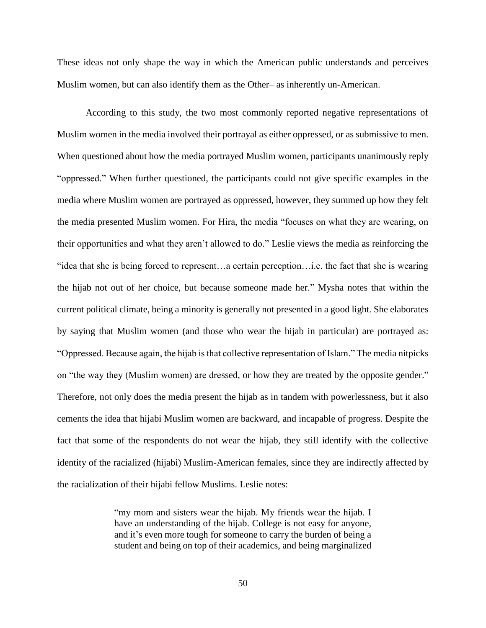These ideas not only shape the way in which the American public understands and perceives Muslim women, but can also identify them as the Other– as inherently un-American.

According to this study, the two most commonly reported negative representations of Muslim women in the media involved their portrayal as either oppressed, or as submissive to men. When questioned about how the media portrayed Muslim women, participants unanimously reply "oppressed." When further questioned, the participants could not give specific examples in the media where Muslim women are portrayed as oppressed, however, they summed up how they felt the media presented Muslim women. For Hira, the media "focuses on what they are wearing, on their opportunities and what they aren't allowed to do." Leslie views the media as reinforcing the "idea that she is being forced to represent…a certain perception…i.e. the fact that she is wearing the hijab not out of her choice, but because someone made her." Mysha notes that within the current political climate, being a minority is generally not presented in a good light. She elaborates by saying that Muslim women (and those who wear the hijab in particular) are portrayed as: "Oppressed. Because again, the hijab is that collective representation of Islam." The media nitpicks on "the way they (Muslim women) are dressed, or how they are treated by the opposite gender." Therefore, not only does the media present the hijab as in tandem with powerlessness, but it also cements the idea that hijabi Muslim women are backward, and incapable of progress. Despite the fact that some of the respondents do not wear the hijab, they still identify with the collective identity of the racialized (hijabi) Muslim-American females, since they are indirectly affected by the racialization of their hijabi fellow Muslims. Leslie notes:

> "my mom and sisters wear the hijab. My friends wear the hijab. I have an understanding of the hijab. College is not easy for anyone, and it's even more tough for someone to carry the burden of being a student and being on top of their academics, and being marginalized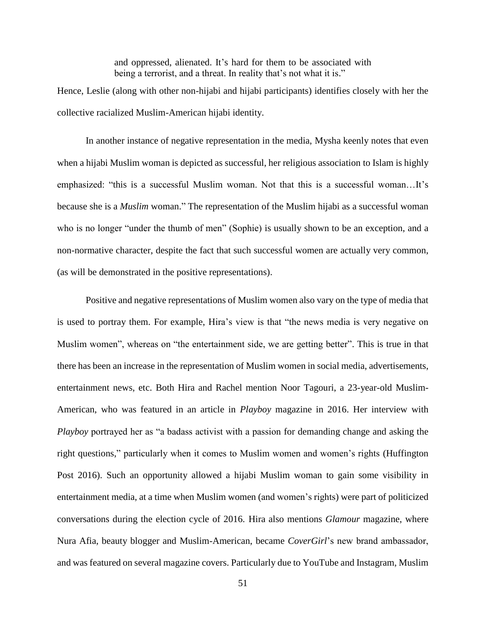and oppressed, alienated. It's hard for them to be associated with being a terrorist, and a threat. In reality that's not what it is."

Hence, Leslie (along with other non-hijabi and hijabi participants) identifies closely with her the collective racialized Muslim-American hijabi identity.

In another instance of negative representation in the media, Mysha keenly notes that even when a hijabi Muslim woman is depicted as successful, her religious association to Islam is highly emphasized: "this is a successful Muslim woman. Not that this is a successful woman…It's because she is a *Muslim* woman." The representation of the Muslim hijabi as a successful woman who is no longer "under the thumb of men" (Sophie) is usually shown to be an exception, and a non-normative character, despite the fact that such successful women are actually very common, (as will be demonstrated in the positive representations).

Positive and negative representations of Muslim women also vary on the type of media that is used to portray them. For example, Hira's view is that "the news media is very negative on Muslim women", whereas on "the entertainment side, we are getting better". This is true in that there has been an increase in the representation of Muslim women in social media, advertisements, entertainment news, etc. Both Hira and Rachel mention Noor Tagouri, a 23-year-old Muslim-American, who was featured in an article in *Playboy* magazine in 2016. Her interview with *Playboy* portrayed her as "a badass activist with a passion for demanding change and asking the right questions," particularly when it comes to Muslim women and women's rights (Huffington Post 2016). Such an opportunity allowed a hijabi Muslim woman to gain some visibility in entertainment media, at a time when Muslim women (and women's rights) were part of politicized conversations during the election cycle of 2016. Hira also mentions *Glamour* magazine, where Nura Afia, beauty blogger and Muslim-American, became *CoverGirl*'s new brand ambassador, and was featured on several magazine covers. Particularly due to YouTube and Instagram, Muslim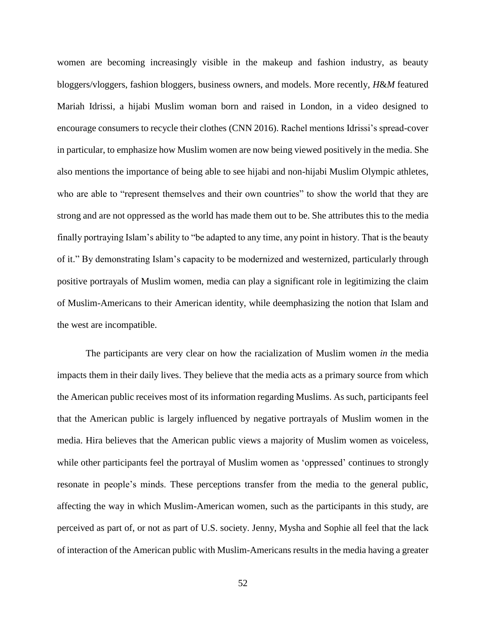women are becoming increasingly visible in the makeup and fashion industry, as beauty bloggers/vloggers, fashion bloggers, business owners, and models. More recently, *H*&*M* featured Mariah Idrissi, a hijabi Muslim woman born and raised in London, in a video designed to encourage consumers to recycle their clothes (CNN 2016). Rachel mentions Idrissi's spread-cover in particular, to emphasize how Muslim women are now being viewed positively in the media. She also mentions the importance of being able to see hijabi and non-hijabi Muslim Olympic athletes, who are able to "represent themselves and their own countries" to show the world that they are strong and are not oppressed as the world has made them out to be. She attributes this to the media finally portraying Islam's ability to "be adapted to any time, any point in history. That is the beauty of it." By demonstrating Islam's capacity to be modernized and westernized, particularly through positive portrayals of Muslim women, media can play a significant role in legitimizing the claim of Muslim-Americans to their American identity, while deemphasizing the notion that Islam and the west are incompatible.

The participants are very clear on how the racialization of Muslim women *in* the media impacts them in their daily lives. They believe that the media acts as a primary source from which the American public receives most of its information regarding Muslims. As such, participants feel that the American public is largely influenced by negative portrayals of Muslim women in the media. Hira believes that the American public views a majority of Muslim women as voiceless, while other participants feel the portrayal of Muslim women as 'oppressed' continues to strongly resonate in people's minds. These perceptions transfer from the media to the general public, affecting the way in which Muslim-American women, such as the participants in this study, are perceived as part of, or not as part of U.S. society. Jenny, Mysha and Sophie all feel that the lack of interaction of the American public with Muslim-Americans results in the media having a greater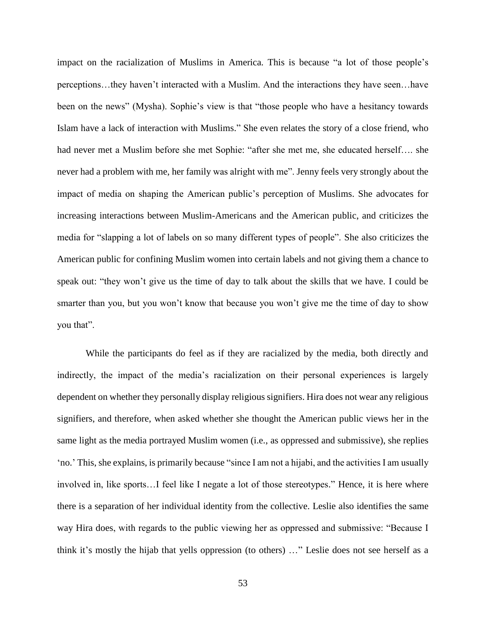impact on the racialization of Muslims in America. This is because "a lot of those people's perceptions…they haven't interacted with a Muslim. And the interactions they have seen…have been on the news" (Mysha). Sophie's view is that "those people who have a hesitancy towards Islam have a lack of interaction with Muslims." She even relates the story of a close friend, who had never met a Muslim before she met Sophie: "after she met me, she educated herself…. she never had a problem with me, her family was alright with me". Jenny feels very strongly about the impact of media on shaping the American public's perception of Muslims. She advocates for increasing interactions between Muslim-Americans and the American public, and criticizes the media for "slapping a lot of labels on so many different types of people". She also criticizes the American public for confining Muslim women into certain labels and not giving them a chance to speak out: "they won't give us the time of day to talk about the skills that we have. I could be smarter than you, but you won't know that because you won't give me the time of day to show you that".

While the participants do feel as if they are racialized by the media, both directly and indirectly, the impact of the media's racialization on their personal experiences is largely dependent on whether they personally display religious signifiers. Hira does not wear any religious signifiers, and therefore, when asked whether she thought the American public views her in the same light as the media portrayed Muslim women (i.e., as oppressed and submissive), she replies 'no.' This, she explains, is primarily because "since I am not a hijabi, and the activities I am usually involved in, like sports…I feel like I negate a lot of those stereotypes." Hence, it is here where there is a separation of her individual identity from the collective. Leslie also identifies the same way Hira does, with regards to the public viewing her as oppressed and submissive: "Because I think it's mostly the hijab that yells oppression (to others) …" Leslie does not see herself as a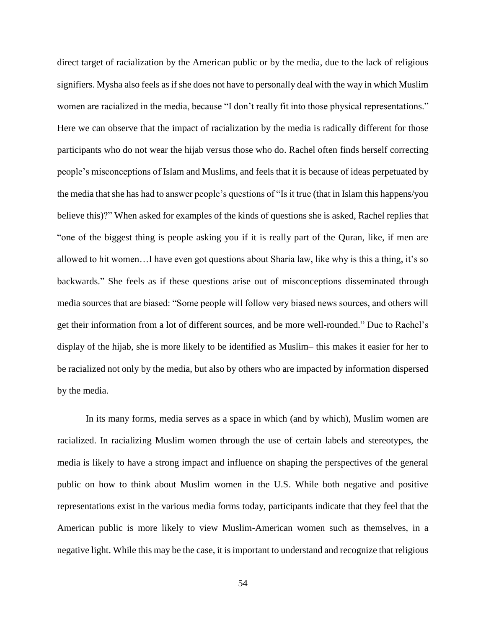direct target of racialization by the American public or by the media, due to the lack of religious signifiers. Mysha also feels as if she does not have to personally deal with the way in which Muslim women are racialized in the media, because "I don't really fit into those physical representations." Here we can observe that the impact of racialization by the media is radically different for those participants who do not wear the hijab versus those who do. Rachel often finds herself correcting people's misconceptions of Islam and Muslims, and feels that it is because of ideas perpetuated by the media that she has had to answer people's questions of "Is it true (that in Islam this happens/you believe this)?" When asked for examples of the kinds of questions she is asked, Rachel replies that "one of the biggest thing is people asking you if it is really part of the Quran, like, if men are allowed to hit women…I have even got questions about Sharia law, like why is this a thing, it's so backwards." She feels as if these questions arise out of misconceptions disseminated through media sources that are biased: "Some people will follow very biased news sources, and others will get their information from a lot of different sources, and be more well-rounded." Due to Rachel's display of the hijab, she is more likely to be identified as Muslim– this makes it easier for her to be racialized not only by the media, but also by others who are impacted by information dispersed by the media.

In its many forms, media serves as a space in which (and by which), Muslim women are racialized. In racializing Muslim women through the use of certain labels and stereotypes, the media is likely to have a strong impact and influence on shaping the perspectives of the general public on how to think about Muslim women in the U.S. While both negative and positive representations exist in the various media forms today, participants indicate that they feel that the American public is more likely to view Muslim-American women such as themselves, in a negative light. While this may be the case, it is important to understand and recognize that religious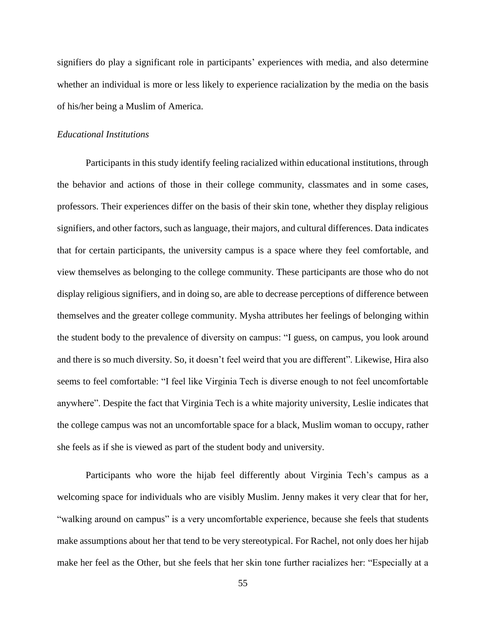signifiers do play a significant role in participants' experiences with media, and also determine whether an individual is more or less likely to experience racialization by the media on the basis of his/her being a Muslim of America.

#### *Educational Institutions*

Participants in this study identify feeling racialized within educational institutions, through the behavior and actions of those in their college community, classmates and in some cases, professors. Their experiences differ on the basis of their skin tone, whether they display religious signifiers, and other factors, such as language, their majors, and cultural differences. Data indicates that for certain participants, the university campus is a space where they feel comfortable, and view themselves as belonging to the college community. These participants are those who do not display religious signifiers, and in doing so, are able to decrease perceptions of difference between themselves and the greater college community. Mysha attributes her feelings of belonging within the student body to the prevalence of diversity on campus: "I guess, on campus, you look around and there is so much diversity. So, it doesn't feel weird that you are different". Likewise, Hira also seems to feel comfortable: "I feel like Virginia Tech is diverse enough to not feel uncomfortable anywhere". Despite the fact that Virginia Tech is a white majority university, Leslie indicates that the college campus was not an uncomfortable space for a black, Muslim woman to occupy, rather she feels as if she is viewed as part of the student body and university.

Participants who wore the hijab feel differently about Virginia Tech's campus as a welcoming space for individuals who are visibly Muslim. Jenny makes it very clear that for her, "walking around on campus" is a very uncomfortable experience, because she feels that students make assumptions about her that tend to be very stereotypical. For Rachel, not only does her hijab make her feel as the Other, but she feels that her skin tone further racializes her: "Especially at a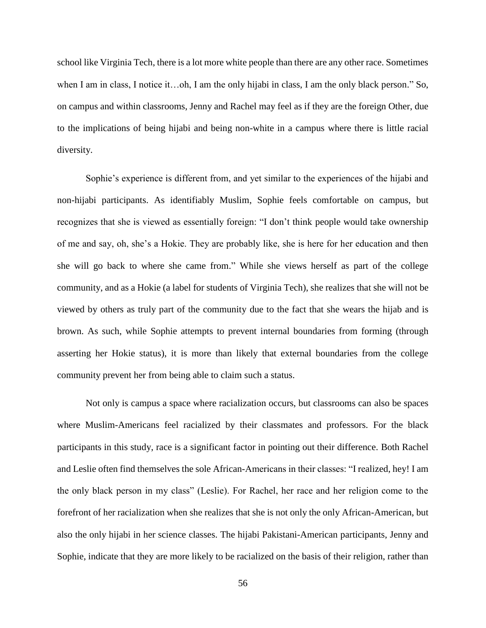school like Virginia Tech, there is a lot more white people than there are any other race. Sometimes when I am in class, I notice it…oh, I am the only hijabi in class, I am the only black person." So, on campus and within classrooms, Jenny and Rachel may feel as if they are the foreign Other, due to the implications of being hijabi and being non-white in a campus where there is little racial diversity.

Sophie's experience is different from, and yet similar to the experiences of the hijabi and non-hijabi participants. As identifiably Muslim, Sophie feels comfortable on campus, but recognizes that she is viewed as essentially foreign: "I don't think people would take ownership of me and say, oh, she's a Hokie. They are probably like, she is here for her education and then she will go back to where she came from." While she views herself as part of the college community, and as a Hokie (a label for students of Virginia Tech), she realizes that she will not be viewed by others as truly part of the community due to the fact that she wears the hijab and is brown. As such, while Sophie attempts to prevent internal boundaries from forming (through asserting her Hokie status), it is more than likely that external boundaries from the college community prevent her from being able to claim such a status.

Not only is campus a space where racialization occurs, but classrooms can also be spaces where Muslim-Americans feel racialized by their classmates and professors. For the black participants in this study, race is a significant factor in pointing out their difference. Both Rachel and Leslie often find themselves the sole African-Americans in their classes: "I realized, hey! I am the only black person in my class" (Leslie). For Rachel, her race and her religion come to the forefront of her racialization when she realizes that she is not only the only African-American, but also the only hijabi in her science classes. The hijabi Pakistani-American participants, Jenny and Sophie, indicate that they are more likely to be racialized on the basis of their religion, rather than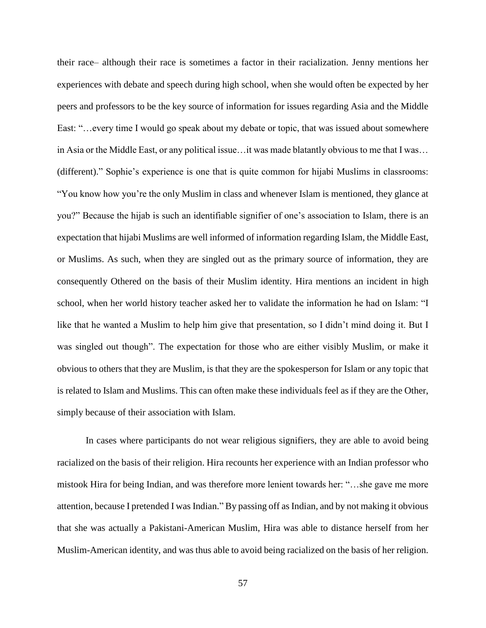their race– although their race is sometimes a factor in their racialization. Jenny mentions her experiences with debate and speech during high school, when she would often be expected by her peers and professors to be the key source of information for issues regarding Asia and the Middle East: "…every time I would go speak about my debate or topic, that was issued about somewhere in Asia or the Middle East, or any political issue…it was made blatantly obvious to me that I was… (different)." Sophie's experience is one that is quite common for hijabi Muslims in classrooms: "You know how you're the only Muslim in class and whenever Islam is mentioned, they glance at you?" Because the hijab is such an identifiable signifier of one's association to Islam, there is an expectation that hijabi Muslims are well informed of information regarding Islam, the Middle East, or Muslims. As such, when they are singled out as the primary source of information, they are consequently Othered on the basis of their Muslim identity. Hira mentions an incident in high school, when her world history teacher asked her to validate the information he had on Islam: "I like that he wanted a Muslim to help him give that presentation, so I didn't mind doing it. But I was singled out though". The expectation for those who are either visibly Muslim, or make it obvious to others that they are Muslim, is that they are the spokesperson for Islam or any topic that is related to Islam and Muslims. This can often make these individuals feel as if they are the Other, simply because of their association with Islam.

In cases where participants do not wear religious signifiers, they are able to avoid being racialized on the basis of their religion. Hira recounts her experience with an Indian professor who mistook Hira for being Indian, and was therefore more lenient towards her: "…she gave me more attention, because I pretended I was Indian." By passing off as Indian, and by not making it obvious that she was actually a Pakistani-American Muslim, Hira was able to distance herself from her Muslim-American identity, and was thus able to avoid being racialized on the basis of her religion.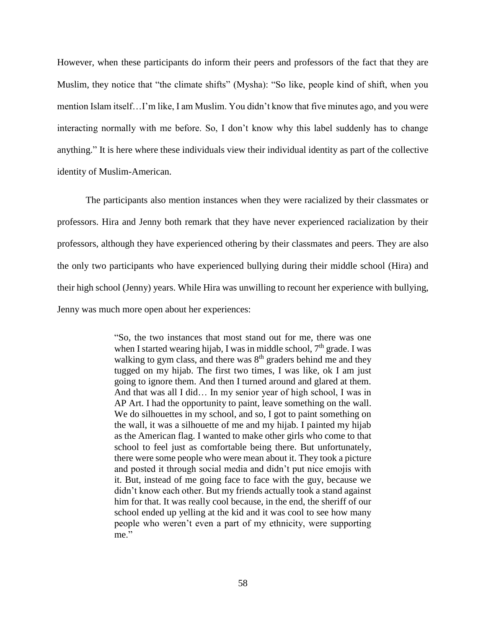However, when these participants do inform their peers and professors of the fact that they are Muslim, they notice that "the climate shifts" (Mysha): "So like, people kind of shift, when you mention Islam itself…I'm like, I am Muslim. You didn't know that five minutes ago, and you were interacting normally with me before. So, I don't know why this label suddenly has to change anything." It is here where these individuals view their individual identity as part of the collective identity of Muslim-American.

The participants also mention instances when they were racialized by their classmates or professors. Hira and Jenny both remark that they have never experienced racialization by their professors, although they have experienced othering by their classmates and peers. They are also the only two participants who have experienced bullying during their middle school (Hira) and their high school (Jenny) years. While Hira was unwilling to recount her experience with bullying, Jenny was much more open about her experiences:

> "So, the two instances that most stand out for me, there was one when I started wearing hijab, I was in middle school,  $7<sup>th</sup>$  grade. I was walking to gym class, and there was 8<sup>th</sup> graders behind me and they tugged on my hijab. The first two times, I was like, ok I am just going to ignore them. And then I turned around and glared at them. And that was all I did… In my senior year of high school, I was in AP Art. I had the opportunity to paint, leave something on the wall. We do silhouettes in my school, and so, I got to paint something on the wall, it was a silhouette of me and my hijab. I painted my hijab as the American flag. I wanted to make other girls who come to that school to feel just as comfortable being there. But unfortunately, there were some people who were mean about it. They took a picture and posted it through social media and didn't put nice emojis with it. But, instead of me going face to face with the guy, because we didn't know each other. But my friends actually took a stand against him for that. It was really cool because, in the end, the sheriff of our school ended up yelling at the kid and it was cool to see how many people who weren't even a part of my ethnicity, were supporting me."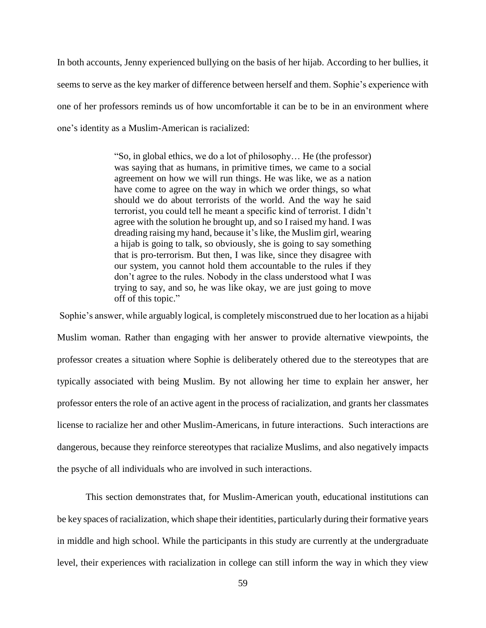In both accounts, Jenny experienced bullying on the basis of her hijab. According to her bullies, it seems to serve as the key marker of difference between herself and them. Sophie's experience with one of her professors reminds us of how uncomfortable it can be to be in an environment where one's identity as a Muslim-American is racialized:

> "So, in global ethics, we do a lot of philosophy… He (the professor) was saying that as humans, in primitive times, we came to a social agreement on how we will run things. He was like, we as a nation have come to agree on the way in which we order things, so what should we do about terrorists of the world. And the way he said terrorist, you could tell he meant a specific kind of terrorist. I didn't agree with the solution he brought up, and so I raised my hand. I was dreading raising my hand, because it's like, the Muslim girl, wearing a hijab is going to talk, so obviously, she is going to say something that is pro-terrorism. But then, I was like, since they disagree with our system, you cannot hold them accountable to the rules if they don't agree to the rules. Nobody in the class understood what I was trying to say, and so, he was like okay, we are just going to move off of this topic."

Sophie's answer, while arguably logical, is completely misconstrued due to her location as a hijabi Muslim woman. Rather than engaging with her answer to provide alternative viewpoints, the professor creates a situation where Sophie is deliberately othered due to the stereotypes that are typically associated with being Muslim. By not allowing her time to explain her answer, her professor enters the role of an active agent in the process of racialization, and grants her classmates license to racialize her and other Muslim-Americans, in future interactions. Such interactions are dangerous, because they reinforce stereotypes that racialize Muslims, and also negatively impacts the psyche of all individuals who are involved in such interactions.

This section demonstrates that, for Muslim-American youth, educational institutions can be key spaces of racialization, which shape their identities, particularly during their formative years in middle and high school. While the participants in this study are currently at the undergraduate level, their experiences with racialization in college can still inform the way in which they view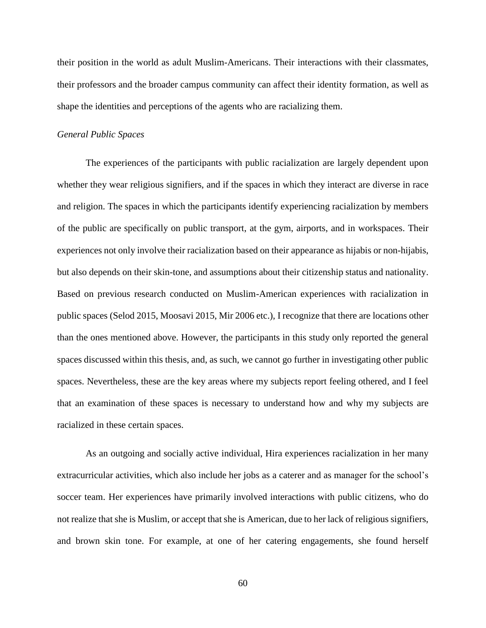their position in the world as adult Muslim-Americans. Their interactions with their classmates, their professors and the broader campus community can affect their identity formation, as well as shape the identities and perceptions of the agents who are racializing them.

#### *General Public Spaces*

The experiences of the participants with public racialization are largely dependent upon whether they wear religious signifiers, and if the spaces in which they interact are diverse in race and religion. The spaces in which the participants identify experiencing racialization by members of the public are specifically on public transport, at the gym, airports, and in workspaces. Their experiences not only involve their racialization based on their appearance as hijabis or non-hijabis, but also depends on their skin-tone, and assumptions about their citizenship status and nationality. Based on previous research conducted on Muslim-American experiences with racialization in public spaces (Selod 2015, Moosavi 2015, Mir 2006 etc.), I recognize that there are locations other than the ones mentioned above. However, the participants in this study only reported the general spaces discussed within this thesis, and, as such, we cannot go further in investigating other public spaces. Nevertheless, these are the key areas where my subjects report feeling othered, and I feel that an examination of these spaces is necessary to understand how and why my subjects are racialized in these certain spaces.

As an outgoing and socially active individual, Hira experiences racialization in her many extracurricular activities, which also include her jobs as a caterer and as manager for the school's soccer team. Her experiences have primarily involved interactions with public citizens, who do not realize that she is Muslim, or accept that she is American, due to her lack of religious signifiers, and brown skin tone. For example, at one of her catering engagements, she found herself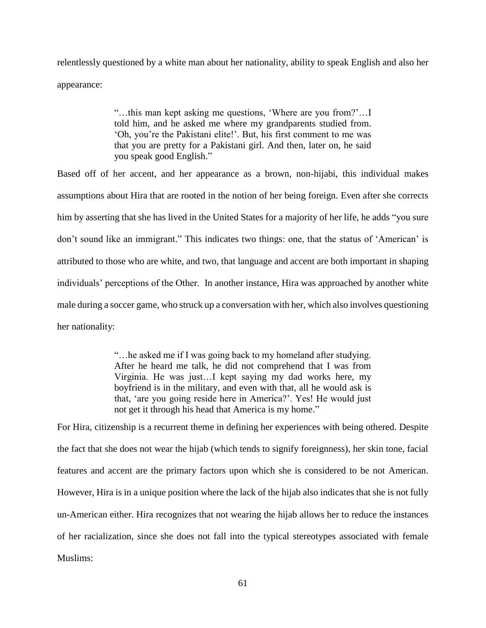relentlessly questioned by a white man about her nationality, ability to speak English and also her appearance:

> "…this man kept asking me questions, 'Where are you from?'…I told him, and he asked me where my grandparents studied from. 'Oh, you're the Pakistani elite!'. But, his first comment to me was that you are pretty for a Pakistani girl. And then, later on, he said you speak good English."

Based off of her accent, and her appearance as a brown, non-hijabi, this individual makes assumptions about Hira that are rooted in the notion of her being foreign. Even after she corrects him by asserting that she has lived in the United States for a majority of her life, he adds "you sure don't sound like an immigrant." This indicates two things: one, that the status of 'American' is attributed to those who are white, and two, that language and accent are both important in shaping individuals' perceptions of the Other. In another instance, Hira was approached by another white male during a soccer game, who struck up a conversation with her, which also involves questioning her nationality:

> "…he asked me if I was going back to my homeland after studying. After he heard me talk, he did not comprehend that I was from Virginia. He was just…I kept saying my dad works here, my boyfriend is in the military, and even with that, all he would ask is that, 'are you going reside here in America?'. Yes! He would just not get it through his head that America is my home."

For Hira, citizenship is a recurrent theme in defining her experiences with being othered. Despite the fact that she does not wear the hijab (which tends to signify foreignness), her skin tone, facial features and accent are the primary factors upon which she is considered to be not American. However, Hira is in a unique position where the lack of the hijab also indicates that she is not fully un-American either. Hira recognizes that not wearing the hijab allows her to reduce the instances of her racialization, since she does not fall into the typical stereotypes associated with female Muslims: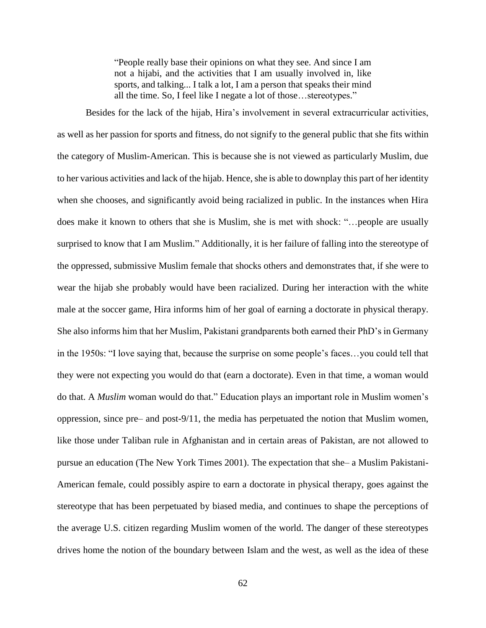"People really base their opinions on what they see. And since I am not a hijabi, and the activities that I am usually involved in, like sports, and talking... I talk a lot, I am a person that speaks their mind all the time. So, I feel like I negate a lot of those…stereotypes."

Besides for the lack of the hijab, Hira's involvement in several extracurricular activities, as well as her passion for sports and fitness, do not signify to the general public that she fits within the category of Muslim-American. This is because she is not viewed as particularly Muslim, due to her various activities and lack of the hijab. Hence, she is able to downplay this part of her identity when she chooses, and significantly avoid being racialized in public. In the instances when Hira does make it known to others that she is Muslim, she is met with shock: "…people are usually surprised to know that I am Muslim." Additionally, it is her failure of falling into the stereotype of the oppressed, submissive Muslim female that shocks others and demonstrates that, if she were to wear the hijab she probably would have been racialized. During her interaction with the white male at the soccer game, Hira informs him of her goal of earning a doctorate in physical therapy. She also informs him that her Muslim, Pakistani grandparents both earned their PhD's in Germany in the 1950s: "I love saying that, because the surprise on some people's faces…you could tell that they were not expecting you would do that (earn a doctorate). Even in that time, a woman would do that. A *Muslim* woman would do that." Education plays an important role in Muslim women's oppression, since pre– and post-9/11, the media has perpetuated the notion that Muslim women, like those under Taliban rule in Afghanistan and in certain areas of Pakistan, are not allowed to pursue an education (The New York Times 2001). The expectation that she– a Muslim Pakistani-American female, could possibly aspire to earn a doctorate in physical therapy, goes against the stereotype that has been perpetuated by biased media, and continues to shape the perceptions of the average U.S. citizen regarding Muslim women of the world. The danger of these stereotypes drives home the notion of the boundary between Islam and the west, as well as the idea of these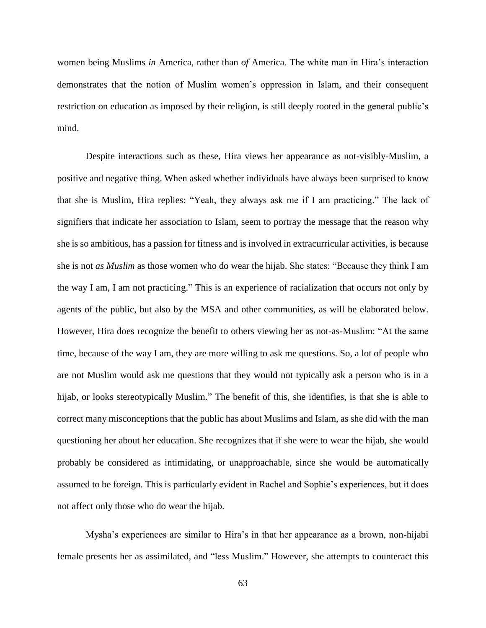women being Muslims *in* America, rather than *of* America. The white man in Hira's interaction demonstrates that the notion of Muslim women's oppression in Islam, and their consequent restriction on education as imposed by their religion, is still deeply rooted in the general public's mind.

Despite interactions such as these, Hira views her appearance as not-visibly-Muslim, a positive and negative thing. When asked whether individuals have always been surprised to know that she is Muslim, Hira replies: "Yeah, they always ask me if I am practicing." The lack of signifiers that indicate her association to Islam, seem to portray the message that the reason why she is so ambitious, has a passion for fitness and is involved in extracurricular activities, is because she is not *as Muslim* as those women who do wear the hijab. She states: "Because they think I am the way I am, I am not practicing." This is an experience of racialization that occurs not only by agents of the public, but also by the MSA and other communities, as will be elaborated below. However, Hira does recognize the benefit to others viewing her as not-as-Muslim: "At the same time, because of the way I am, they are more willing to ask me questions. So, a lot of people who are not Muslim would ask me questions that they would not typically ask a person who is in a hijab, or looks stereotypically Muslim." The benefit of this, she identifies, is that she is able to correct many misconceptions that the public has about Muslims and Islam, as she did with the man questioning her about her education. She recognizes that if she were to wear the hijab, she would probably be considered as intimidating, or unapproachable, since she would be automatically assumed to be foreign. This is particularly evident in Rachel and Sophie's experiences, but it does not affect only those who do wear the hijab.

Mysha's experiences are similar to Hira's in that her appearance as a brown, non-hijabi female presents her as assimilated, and "less Muslim." However, she attempts to counteract this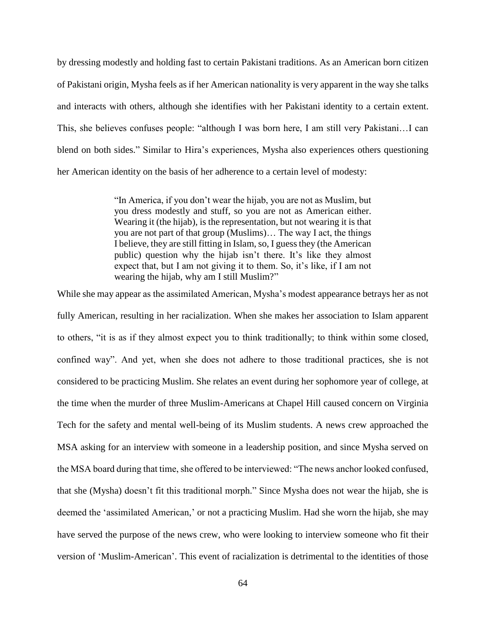by dressing modestly and holding fast to certain Pakistani traditions. As an American born citizen of Pakistani origin, Mysha feels as if her American nationality is very apparent in the way she talks and interacts with others, although she identifies with her Pakistani identity to a certain extent. This, she believes confuses people: "although I was born here, I am still very Pakistani…I can blend on both sides." Similar to Hira's experiences, Mysha also experiences others questioning her American identity on the basis of her adherence to a certain level of modesty:

> "In America, if you don't wear the hijab, you are not as Muslim, but you dress modestly and stuff, so you are not as American either. Wearing it (the hijab), is the representation, but not wearing it is that you are not part of that group (Muslims)… The way I act, the things I believe, they are still fitting in Islam, so, I guess they (the American public) question why the hijab isn't there. It's like they almost expect that, but I am not giving it to them. So, it's like, if I am not wearing the hijab, why am I still Muslim?"

While she may appear as the assimilated American, Mysha's modest appearance betrays her as not fully American, resulting in her racialization. When she makes her association to Islam apparent to others, "it is as if they almost expect you to think traditionally; to think within some closed, confined way". And yet, when she does not adhere to those traditional practices, she is not considered to be practicing Muslim. She relates an event during her sophomore year of college, at the time when the murder of three Muslim-Americans at Chapel Hill caused concern on Virginia Tech for the safety and mental well-being of its Muslim students. A news crew approached the MSA asking for an interview with someone in a leadership position, and since Mysha served on the MSA board during that time, she offered to be interviewed: "The news anchor looked confused, that she (Mysha) doesn't fit this traditional morph." Since Mysha does not wear the hijab, she is deemed the 'assimilated American,' or not a practicing Muslim. Had she worn the hijab, she may have served the purpose of the news crew, who were looking to interview someone who fit their version of 'Muslim-American'. This event of racialization is detrimental to the identities of those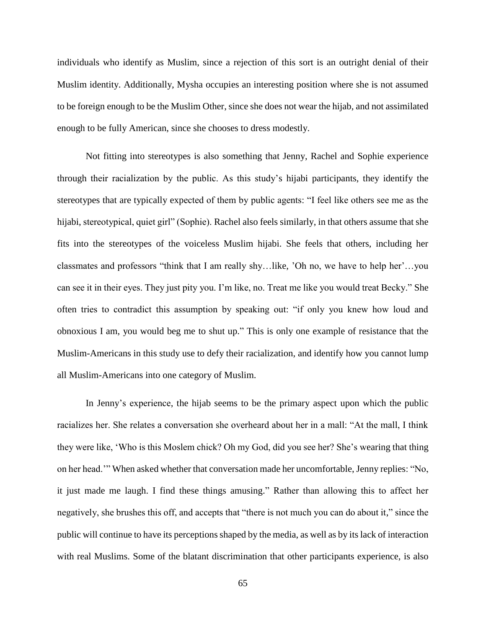individuals who identify as Muslim, since a rejection of this sort is an outright denial of their Muslim identity. Additionally, Mysha occupies an interesting position where she is not assumed to be foreign enough to be the Muslim Other, since she does not wear the hijab, and not assimilated enough to be fully American, since she chooses to dress modestly.

Not fitting into stereotypes is also something that Jenny, Rachel and Sophie experience through their racialization by the public. As this study's hijabi participants, they identify the stereotypes that are typically expected of them by public agents: "I feel like others see me as the hijabi, stereotypical, quiet girl" (Sophie). Rachel also feels similarly, in that others assume that she fits into the stereotypes of the voiceless Muslim hijabi. She feels that others, including her classmates and professors "think that I am really shy…like, 'Oh no, we have to help her'…you can see it in their eyes. They just pity you. I'm like, no. Treat me like you would treat Becky." She often tries to contradict this assumption by speaking out: "if only you knew how loud and obnoxious I am, you would beg me to shut up." This is only one example of resistance that the Muslim-Americans in this study use to defy their racialization, and identify how you cannot lump all Muslim-Americans into one category of Muslim.

In Jenny's experience, the hijab seems to be the primary aspect upon which the public racializes her. She relates a conversation she overheard about her in a mall: "At the mall, I think they were like, 'Who is this Moslem chick? Oh my God, did you see her? She's wearing that thing on her head.'" When asked whether that conversation made her uncomfortable, Jenny replies: "No, it just made me laugh. I find these things amusing." Rather than allowing this to affect her negatively, she brushes this off, and accepts that "there is not much you can do about it," since the public will continue to have its perceptions shaped by the media, as well as by its lack of interaction with real Muslims. Some of the blatant discrimination that other participants experience, is also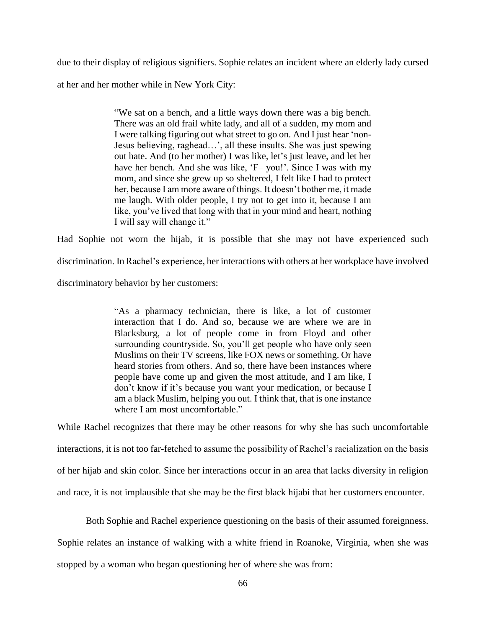due to their display of religious signifiers. Sophie relates an incident where an elderly lady cursed at her and her mother while in New York City:

> "We sat on a bench, and a little ways down there was a big bench. There was an old frail white lady, and all of a sudden, my mom and I were talking figuring out what street to go on. And I just hear 'non-Jesus believing, raghead…', all these insults. She was just spewing out hate. And (to her mother) I was like, let's just leave, and let her have her bench. And she was like, 'F- you!'. Since I was with my mom, and since she grew up so sheltered, I felt like I had to protect her, because I am more aware of things. It doesn't bother me, it made me laugh. With older people, I try not to get into it, because I am like, you've lived that long with that in your mind and heart, nothing I will say will change it."

Had Sophie not worn the hijab, it is possible that she may not have experienced such discrimination. In Rachel's experience, her interactions with others at her workplace have involved discriminatory behavior by her customers:

> "As a pharmacy technician, there is like, a lot of customer interaction that I do. And so, because we are where we are in Blacksburg, a lot of people come in from Floyd and other surrounding countryside. So, you'll get people who have only seen Muslims on their TV screens, like FOX news or something. Or have heard stories from others. And so, there have been instances where people have come up and given the most attitude, and I am like, I don't know if it's because you want your medication, or because I am a black Muslim, helping you out. I think that, that is one instance where I am most uncomfortable."

While Rachel recognizes that there may be other reasons for why she has such uncomfortable interactions, it is not too far-fetched to assume the possibility of Rachel's racialization on the basis of her hijab and skin color. Since her interactions occur in an area that lacks diversity in religion and race, it is not implausible that she may be the first black hijabi that her customers encounter.

Both Sophie and Rachel experience questioning on the basis of their assumed foreignness. Sophie relates an instance of walking with a white friend in Roanoke, Virginia, when she was stopped by a woman who began questioning her of where she was from: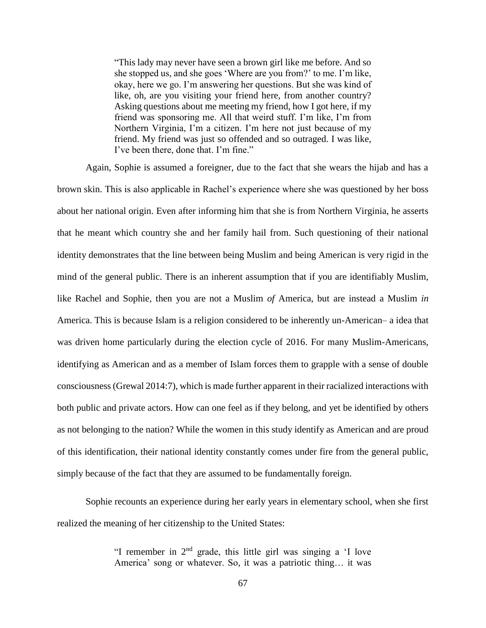"This lady may never have seen a brown girl like me before. And so she stopped us, and she goes 'Where are you from?' to me. I'm like, okay, here we go. I'm answering her questions. But she was kind of like, oh, are you visiting your friend here, from another country? Asking questions about me meeting my friend, how I got here, if my friend was sponsoring me. All that weird stuff. I'm like, I'm from Northern Virginia, I'm a citizen. I'm here not just because of my friend. My friend was just so offended and so outraged. I was like, I've been there, done that. I'm fine."

Again, Sophie is assumed a foreigner, due to the fact that she wears the hijab and has a brown skin. This is also applicable in Rachel's experience where she was questioned by her boss about her national origin. Even after informing him that she is from Northern Virginia, he asserts that he meant which country she and her family hail from. Such questioning of their national identity demonstrates that the line between being Muslim and being American is very rigid in the mind of the general public. There is an inherent assumption that if you are identifiably Muslim, like Rachel and Sophie, then you are not a Muslim *of* America, but are instead a Muslim *in*  America. This is because Islam is a religion considered to be inherently un-American– a idea that was driven home particularly during the election cycle of 2016. For many Muslim-Americans, identifying as American and as a member of Islam forces them to grapple with a sense of double consciousness (Grewal 2014:7), which is made further apparent in their racialized interactions with both public and private actors. How can one feel as if they belong, and yet be identified by others as not belonging to the nation? While the women in this study identify as American and are proud of this identification, their national identity constantly comes under fire from the general public, simply because of the fact that they are assumed to be fundamentally foreign.

Sophie recounts an experience during her early years in elementary school, when she first realized the meaning of her citizenship to the United States:

> "I remember in  $2<sup>nd</sup>$  grade, this little girl was singing a 'I love America' song or whatever. So, it was a patriotic thing… it was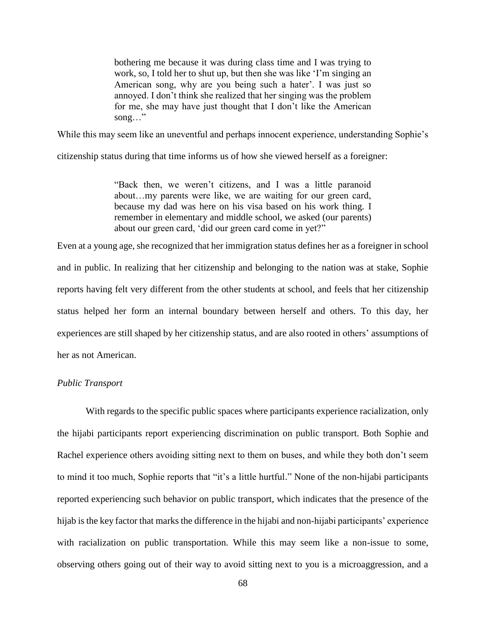bothering me because it was during class time and I was trying to work, so, I told her to shut up, but then she was like 'I'm singing an American song, why are you being such a hater'. I was just so annoyed. I don't think she realized that her singing was the problem for me, she may have just thought that I don't like the American song…"

While this may seem like an uneventful and perhaps innocent experience, understanding Sophie's

citizenship status during that time informs us of how she viewed herself as a foreigner:

"Back then, we weren't citizens, and I was a little paranoid about…my parents were like, we are waiting for our green card, because my dad was here on his visa based on his work thing. I remember in elementary and middle school, we asked (our parents) about our green card, 'did our green card come in yet?"

Even at a young age, she recognized that her immigration status defines her as a foreigner in school and in public. In realizing that her citizenship and belonging to the nation was at stake, Sophie reports having felt very different from the other students at school, and feels that her citizenship status helped her form an internal boundary between herself and others. To this day, her experiences are still shaped by her citizenship status, and are also rooted in others' assumptions of her as not American.

## *Public Transport*

With regards to the specific public spaces where participants experience racialization, only the hijabi participants report experiencing discrimination on public transport. Both Sophie and Rachel experience others avoiding sitting next to them on buses, and while they both don't seem to mind it too much, Sophie reports that "it's a little hurtful." None of the non-hijabi participants reported experiencing such behavior on public transport, which indicates that the presence of the hijab is the key factor that marks the difference in the hijabi and non-hijabi participants' experience with racialization on public transportation. While this may seem like a non-issue to some, observing others going out of their way to avoid sitting next to you is a microaggression, and a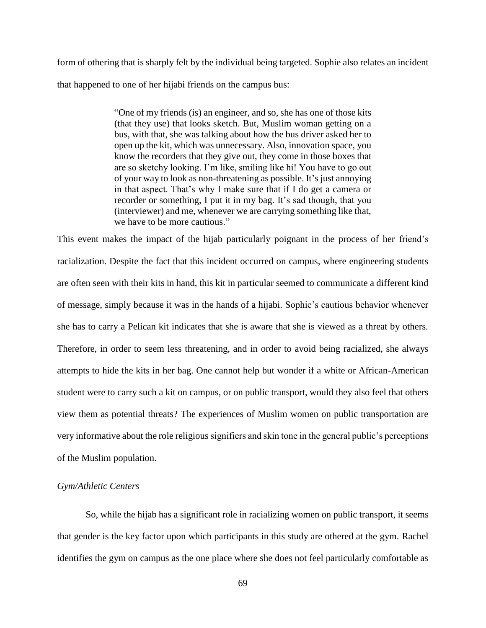form of othering that is sharply felt by the individual being targeted. Sophie also relates an incident that happened to one of her hijabi friends on the campus bus:

> "One of my friends (is) an engineer, and so, she has one of those kits (that they use) that looks sketch. But, Muslim woman getting on a bus, with that, she was talking about how the bus driver asked her to open up the kit, which was unnecessary. Also, innovation space, you know the recorders that they give out, they come in those boxes that are so sketchy looking. I'm like, smiling like hi! You have to go out of your way to look as non-threatening as possible. It's just annoying in that aspect. That's why I make sure that if I do get a camera or recorder or something, I put it in my bag. It's sad though, that you (interviewer) and me, whenever we are carrying something like that, we have to be more cautious."

This event makes the impact of the hijab particularly poignant in the process of her friend's racialization. Despite the fact that this incident occurred on campus, where engineering students are often seen with their kits in hand, this kit in particular seemed to communicate a different kind of message, simply because it was in the hands of a hijabi. Sophie's cautious behavior whenever she has to carry a Pelican kit indicates that she is aware that she is viewed as a threat by others. Therefore, in order to seem less threatening, and in order to avoid being racialized, she always attempts to hide the kits in her bag. One cannot help but wonder if a white or African-American student were to carry such a kit on campus, or on public transport, would they also feel that others view them as potential threats? The experiences of Muslim women on public transportation are very informative about the role religious signifiers and skin tone in the general public's perceptions of the Muslim population.

## *Gym/Athletic Centers*

So, while the hijab has a significant role in racializing women on public transport, it seems that gender is the key factor upon which participants in this study are othered at the gym. Rachel identifies the gym on campus as the one place where she does not feel particularly comfortable as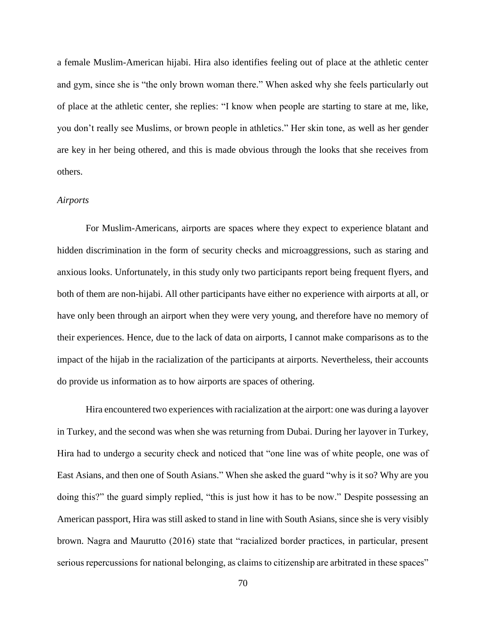a female Muslim-American hijabi. Hira also identifies feeling out of place at the athletic center and gym, since she is "the only brown woman there." When asked why she feels particularly out of place at the athletic center, she replies: "I know when people are starting to stare at me, like, you don't really see Muslims, or brown people in athletics." Her skin tone, as well as her gender are key in her being othered, and this is made obvious through the looks that she receives from others.

#### *Airports*

For Muslim-Americans, airports are spaces where they expect to experience blatant and hidden discrimination in the form of security checks and microaggressions, such as staring and anxious looks. Unfortunately, in this study only two participants report being frequent flyers, and both of them are non-hijabi. All other participants have either no experience with airports at all, or have only been through an airport when they were very young, and therefore have no memory of their experiences. Hence, due to the lack of data on airports, I cannot make comparisons as to the impact of the hijab in the racialization of the participants at airports. Nevertheless, their accounts do provide us information as to how airports are spaces of othering.

Hira encountered two experiences with racialization at the airport: one was during a layover in Turkey, and the second was when she was returning from Dubai. During her layover in Turkey, Hira had to undergo a security check and noticed that "one line was of white people, one was of East Asians, and then one of South Asians." When she asked the guard "why is it so? Why are you doing this?" the guard simply replied, "this is just how it has to be now." Despite possessing an American passport, Hira was still asked to stand in line with South Asians, since she is very visibly brown. Nagra and Maurutto (2016) state that "racialized border practices, in particular, present serious repercussions for national belonging, as claims to citizenship are arbitrated in these spaces"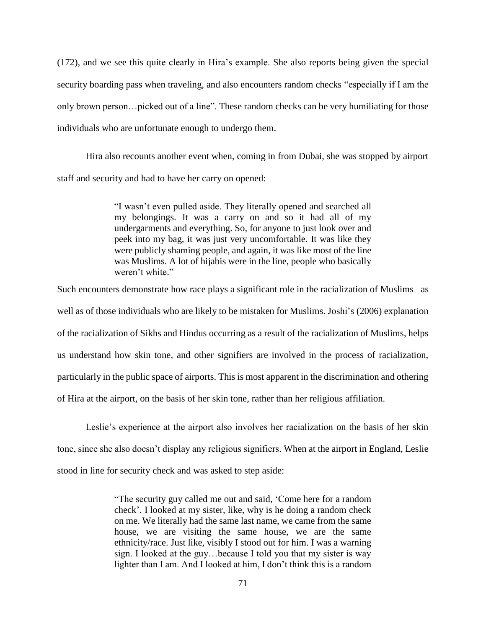(172), and we see this quite clearly in Hira's example. She also reports being given the special security boarding pass when traveling, and also encounters random checks "especially if I am the only brown person…picked out of a line". These random checks can be very humiliating for those individuals who are unfortunate enough to undergo them.

Hira also recounts another event when, coming in from Dubai, she was stopped by airport staff and security and had to have her carry on opened:

> "I wasn't even pulled aside. They literally opened and searched all my belongings. It was a carry on and so it had all of my undergarments and everything. So, for anyone to just look over and peek into my bag, it was just very uncomfortable. It was like they were publicly shaming people, and again, it was like most of the line was Muslims. A lot of hijabis were in the line, people who basically weren't white."

Such encounters demonstrate how race plays a significant role in the racialization of Muslims– as well as of those individuals who are likely to be mistaken for Muslims. Joshi's (2006) explanation of the racialization of Sikhs and Hindus occurring as a result of the racialization of Muslims, helps us understand how skin tone, and other signifiers are involved in the process of racialization, particularly in the public space of airports. This is most apparent in the discrimination and othering of Hira at the airport, on the basis of her skin tone, rather than her religious affiliation.

Leslie's experience at the airport also involves her racialization on the basis of her skin tone, since she also doesn't display any religious signifiers. When at the airport in England, Leslie stood in line for security check and was asked to step aside:

> "The security guy called me out and said, 'Come here for a random check'. I looked at my sister, like, why is he doing a random check on me. We literally had the same last name, we came from the same house, we are visiting the same house, we are the same ethnicity/race. Just like, visibly I stood out for him. I was a warning sign. I looked at the guy…because I told you that my sister is way lighter than I am. And I looked at him, I don't think this is a random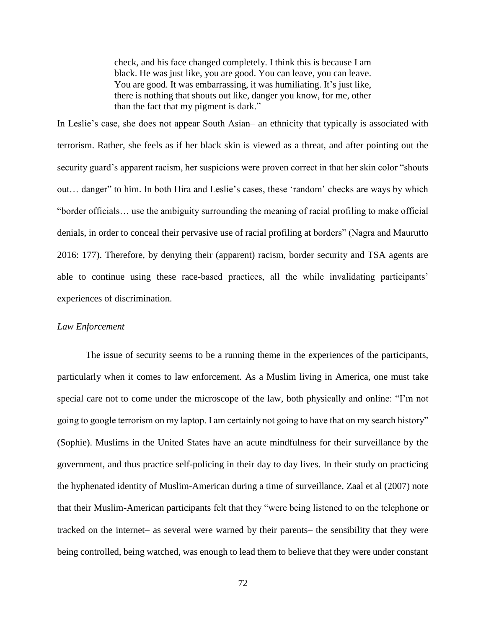check, and his face changed completely. I think this is because I am black. He was just like, you are good. You can leave, you can leave. You are good. It was embarrassing, it was humiliating. It's just like, there is nothing that shouts out like, danger you know, for me, other than the fact that my pigment is dark."

In Leslie's case, she does not appear South Asian– an ethnicity that typically is associated with terrorism. Rather, she feels as if her black skin is viewed as a threat, and after pointing out the security guard's apparent racism, her suspicions were proven correct in that her skin color "shouts out… danger" to him. In both Hira and Leslie's cases, these 'random' checks are ways by which "border officials… use the ambiguity surrounding the meaning of racial profiling to make official denials, in order to conceal their pervasive use of racial profiling at borders" (Nagra and Maurutto 2016: 177). Therefore, by denying their (apparent) racism, border security and TSA agents are able to continue using these race-based practices, all the while invalidating participants' experiences of discrimination.

#### *Law Enforcement*

The issue of security seems to be a running theme in the experiences of the participants, particularly when it comes to law enforcement. As a Muslim living in America, one must take special care not to come under the microscope of the law, both physically and online: "I'm not going to google terrorism on my laptop. I am certainly not going to have that on my search history" (Sophie). Muslims in the United States have an acute mindfulness for their surveillance by the government, and thus practice self-policing in their day to day lives. In their study on practicing the hyphenated identity of Muslim-American during a time of surveillance, Zaal et al (2007) note that their Muslim-American participants felt that they "were being listened to on the telephone or tracked on the internet– as several were warned by their parents– the sensibility that they were being controlled, being watched, was enough to lead them to believe that they were under constant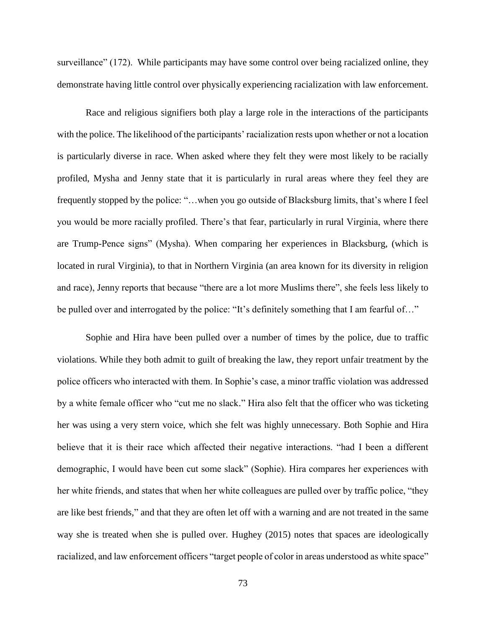surveillance" (172). While participants may have some control over being racialized online, they demonstrate having little control over physically experiencing racialization with law enforcement.

Race and religious signifiers both play a large role in the interactions of the participants with the police. The likelihood of the participants' racialization rests upon whether or not a location is particularly diverse in race. When asked where they felt they were most likely to be racially profiled, Mysha and Jenny state that it is particularly in rural areas where they feel they are frequently stopped by the police: "…when you go outside of Blacksburg limits, that's where I feel you would be more racially profiled. There's that fear, particularly in rural Virginia, where there are Trump-Pence signs" (Mysha). When comparing her experiences in Blacksburg, (which is located in rural Virginia), to that in Northern Virginia (an area known for its diversity in religion and race), Jenny reports that because "there are a lot more Muslims there", she feels less likely to be pulled over and interrogated by the police: "It's definitely something that I am fearful of..."

Sophie and Hira have been pulled over a number of times by the police, due to traffic violations. While they both admit to guilt of breaking the law, they report unfair treatment by the police officers who interacted with them. In Sophie's case, a minor traffic violation was addressed by a white female officer who "cut me no slack." Hira also felt that the officer who was ticketing her was using a very stern voice, which she felt was highly unnecessary. Both Sophie and Hira believe that it is their race which affected their negative interactions. "had I been a different demographic, I would have been cut some slack" (Sophie). Hira compares her experiences with her white friends, and states that when her white colleagues are pulled over by traffic police, "they are like best friends," and that they are often let off with a warning and are not treated in the same way she is treated when she is pulled over. Hughey (2015) notes that spaces are ideologically racialized, and law enforcement officers "target people of color in areas understood as white space"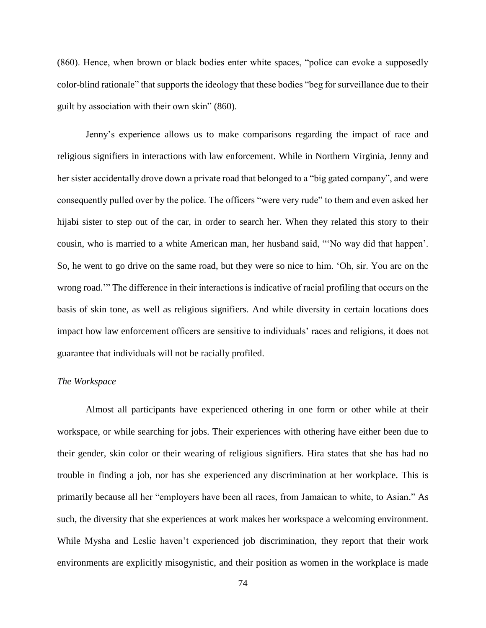(860). Hence, when brown or black bodies enter white spaces, "police can evoke a supposedly color-blind rationale" that supports the ideology that these bodies "beg for surveillance due to their guilt by association with their own skin" (860).

Jenny's experience allows us to make comparisons regarding the impact of race and religious signifiers in interactions with law enforcement. While in Northern Virginia, Jenny and her sister accidentally drove down a private road that belonged to a "big gated company", and were consequently pulled over by the police. The officers "were very rude" to them and even asked her hijabi sister to step out of the car, in order to search her. When they related this story to their cousin, who is married to a white American man, her husband said, "'No way did that happen'. So, he went to go drive on the same road, but they were so nice to him. 'Oh, sir. You are on the wrong road.'" The difference in their interactions is indicative of racial profiling that occurs on the basis of skin tone, as well as religious signifiers. And while diversity in certain locations does impact how law enforcement officers are sensitive to individuals' races and religions, it does not guarantee that individuals will not be racially profiled.

### *The Workspace*

Almost all participants have experienced othering in one form or other while at their workspace, or while searching for jobs. Their experiences with othering have either been due to their gender, skin color or their wearing of religious signifiers. Hira states that she has had no trouble in finding a job, nor has she experienced any discrimination at her workplace. This is primarily because all her "employers have been all races, from Jamaican to white, to Asian." As such, the diversity that she experiences at work makes her workspace a welcoming environment. While Mysha and Leslie haven't experienced job discrimination, they report that their work environments are explicitly misogynistic, and their position as women in the workplace is made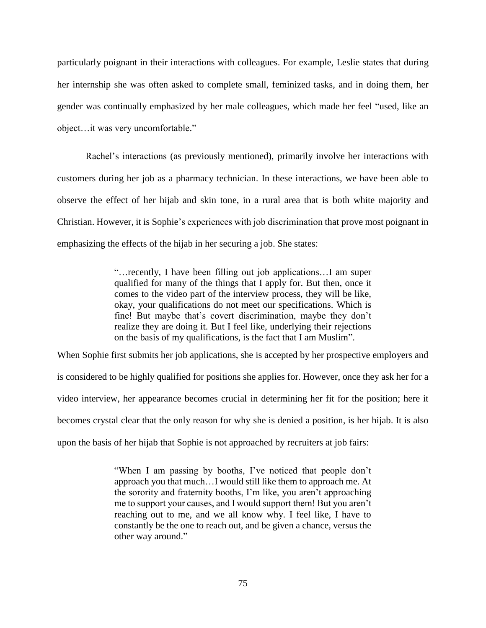particularly poignant in their interactions with colleagues. For example, Leslie states that during her internship she was often asked to complete small, feminized tasks, and in doing them, her gender was continually emphasized by her male colleagues, which made her feel "used, like an object…it was very uncomfortable."

Rachel's interactions (as previously mentioned), primarily involve her interactions with customers during her job as a pharmacy technician. In these interactions, we have been able to observe the effect of her hijab and skin tone, in a rural area that is both white majority and Christian. However, it is Sophie's experiences with job discrimination that prove most poignant in emphasizing the effects of the hijab in her securing a job. She states:

> "…recently, I have been filling out job applications…I am super qualified for many of the things that I apply for. But then, once it comes to the video part of the interview process, they will be like, okay, your qualifications do not meet our specifications. Which is fine! But maybe that's covert discrimination, maybe they don't realize they are doing it. But I feel like, underlying their rejections on the basis of my qualifications, is the fact that I am Muslim".

When Sophie first submits her job applications, she is accepted by her prospective employers and is considered to be highly qualified for positions she applies for. However, once they ask her for a video interview, her appearance becomes crucial in determining her fit for the position; here it becomes crystal clear that the only reason for why she is denied a position, is her hijab. It is also upon the basis of her hijab that Sophie is not approached by recruiters at job fairs:

> "When I am passing by booths, I've noticed that people don't approach you that much…I would still like them to approach me. At the sorority and fraternity booths, I'm like, you aren't approaching me to support your causes, and I would support them! But you aren't reaching out to me, and we all know why. I feel like, I have to constantly be the one to reach out, and be given a chance, versus the other way around."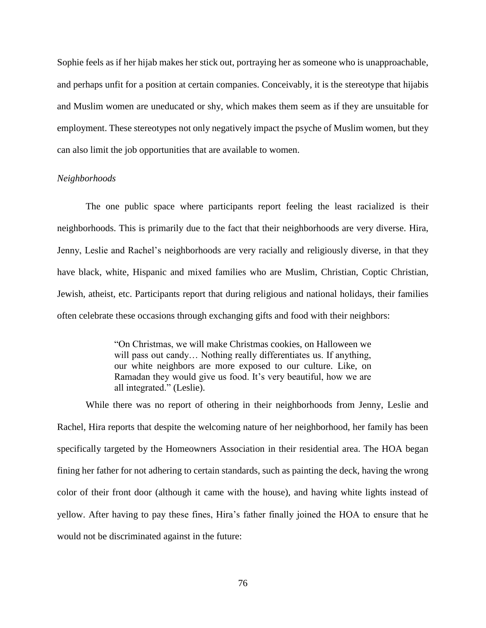Sophie feels as if her hijab makes her stick out, portraying her as someone who is unapproachable, and perhaps unfit for a position at certain companies. Conceivably, it is the stereotype that hijabis and Muslim women are uneducated or shy, which makes them seem as if they are unsuitable for employment. These stereotypes not only negatively impact the psyche of Muslim women, but they can also limit the job opportunities that are available to women.

### *Neighborhoods*

The one public space where participants report feeling the least racialized is their neighborhoods. This is primarily due to the fact that their neighborhoods are very diverse. Hira, Jenny, Leslie and Rachel's neighborhoods are very racially and religiously diverse, in that they have black, white, Hispanic and mixed families who are Muslim, Christian, Coptic Christian, Jewish, atheist, etc. Participants report that during religious and national holidays, their families often celebrate these occasions through exchanging gifts and food with their neighbors:

> "On Christmas, we will make Christmas cookies, on Halloween we will pass out candy... Nothing really differentiates us. If anything, our white neighbors are more exposed to our culture. Like, on Ramadan they would give us food. It's very beautiful, how we are all integrated." (Leslie).

While there was no report of othering in their neighborhoods from Jenny, Leslie and Rachel, Hira reports that despite the welcoming nature of her neighborhood, her family has been specifically targeted by the Homeowners Association in their residential area. The HOA began fining her father for not adhering to certain standards, such as painting the deck, having the wrong color of their front door (although it came with the house), and having white lights instead of yellow. After having to pay these fines, Hira's father finally joined the HOA to ensure that he would not be discriminated against in the future: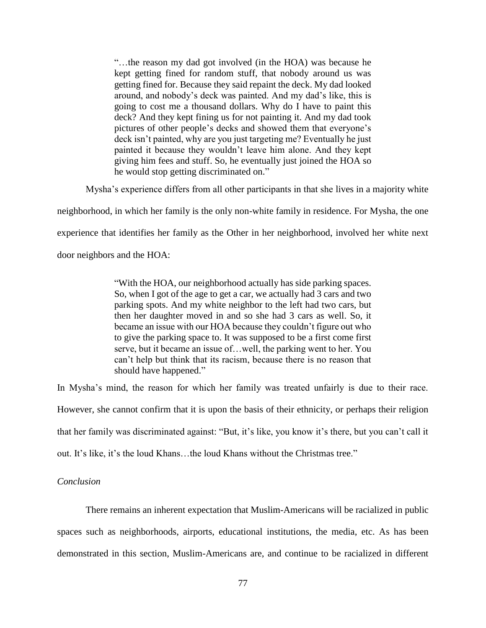"…the reason my dad got involved (in the HOA) was because he kept getting fined for random stuff, that nobody around us was getting fined for. Because they said repaint the deck. My dad looked around, and nobody's deck was painted. And my dad's like, this is going to cost me a thousand dollars. Why do I have to paint this deck? And they kept fining us for not painting it. And my dad took pictures of other people's decks and showed them that everyone's deck isn't painted, why are you just targeting me? Eventually he just painted it because they wouldn't leave him alone. And they kept giving him fees and stuff. So, he eventually just joined the HOA so he would stop getting discriminated on."

Mysha's experience differs from all other participants in that she lives in a majority white

neighborhood, in which her family is the only non-white family in residence. For Mysha, the one

experience that identifies her family as the Other in her neighborhood, involved her white next

door neighbors and the HOA:

"With the HOA, our neighborhood actually has side parking spaces. So, when I got of the age to get a car, we actually had 3 cars and two parking spots. And my white neighbor to the left had two cars, but then her daughter moved in and so she had 3 cars as well. So, it became an issue with our HOA because they couldn't figure out who to give the parking space to. It was supposed to be a first come first serve, but it became an issue of…well, the parking went to her. You can't help but think that its racism, because there is no reason that should have happened."

In Mysha's mind, the reason for which her family was treated unfairly is due to their race. However, she cannot confirm that it is upon the basis of their ethnicity, or perhaps their religion that her family was discriminated against: "But, it's like, you know it's there, but you can't call it out. It's like, it's the loud Khans…the loud Khans without the Christmas tree."

## *Conclusion*

There remains an inherent expectation that Muslim-Americans will be racialized in public spaces such as neighborhoods, airports, educational institutions, the media, etc. As has been demonstrated in this section, Muslim-Americans are, and continue to be racialized in different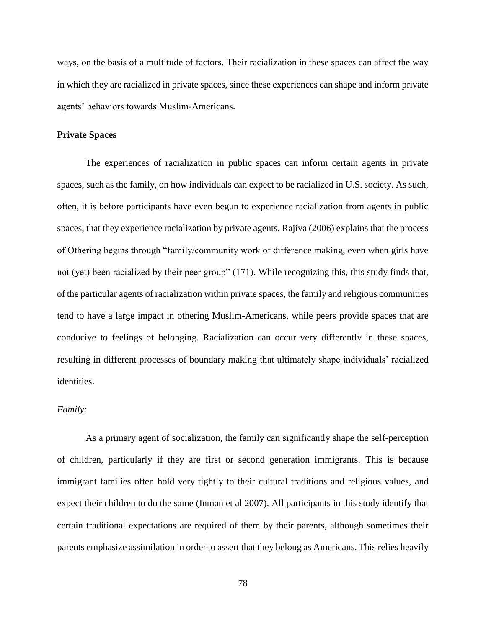ways, on the basis of a multitude of factors. Their racialization in these spaces can affect the way in which they are racialized in private spaces, since these experiences can shape and inform private agents' behaviors towards Muslim-Americans.

## **Private Spaces**

The experiences of racialization in public spaces can inform certain agents in private spaces, such as the family, on how individuals can expect to be racialized in U.S. society. As such, often, it is before participants have even begun to experience racialization from agents in public spaces, that they experience racialization by private agents. Rajiva (2006) explains that the process of Othering begins through "family/community work of difference making, even when girls have not (yet) been racialized by their peer group" (171). While recognizing this, this study finds that, of the particular agents of racialization within private spaces, the family and religious communities tend to have a large impact in othering Muslim-Americans, while peers provide spaces that are conducive to feelings of belonging. Racialization can occur very differently in these spaces, resulting in different processes of boundary making that ultimately shape individuals' racialized identities.

## *Family:*

As a primary agent of socialization, the family can significantly shape the self-perception of children, particularly if they are first or second generation immigrants. This is because immigrant families often hold very tightly to their cultural traditions and religious values, and expect their children to do the same (Inman et al 2007). All participants in this study identify that certain traditional expectations are required of them by their parents, although sometimes their parents emphasize assimilation in order to assert that they belong as Americans. This relies heavily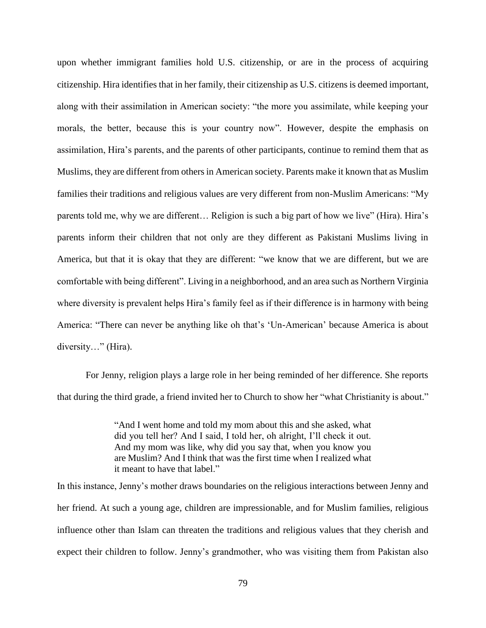upon whether immigrant families hold U.S. citizenship, or are in the process of acquiring citizenship. Hira identifies that in her family, their citizenship as U.S. citizens is deemed important, along with their assimilation in American society: "the more you assimilate, while keeping your morals, the better, because this is your country now". However, despite the emphasis on assimilation, Hira's parents, and the parents of other participants, continue to remind them that as Muslims, they are different from others in American society. Parents make it known that as Muslim families their traditions and religious values are very different from non-Muslim Americans: "My parents told me, why we are different… Religion is such a big part of how we live" (Hira). Hira's parents inform their children that not only are they different as Pakistani Muslims living in America, but that it is okay that they are different: "we know that we are different, but we are comfortable with being different". Living in a neighborhood, and an area such as Northern Virginia where diversity is prevalent helps Hira's family feel as if their difference is in harmony with being America: "There can never be anything like oh that's 'Un-American' because America is about diversity…" (Hira).

For Jenny, religion plays a large role in her being reminded of her difference. She reports that during the third grade, a friend invited her to Church to show her "what Christianity is about."

> "And I went home and told my mom about this and she asked, what did you tell her? And I said, I told her, oh alright, I'll check it out. And my mom was like, why did you say that, when you know you are Muslim? And I think that was the first time when I realized what it meant to have that label."

In this instance, Jenny's mother draws boundaries on the religious interactions between Jenny and her friend. At such a young age, children are impressionable, and for Muslim families, religious influence other than Islam can threaten the traditions and religious values that they cherish and expect their children to follow. Jenny's grandmother, who was visiting them from Pakistan also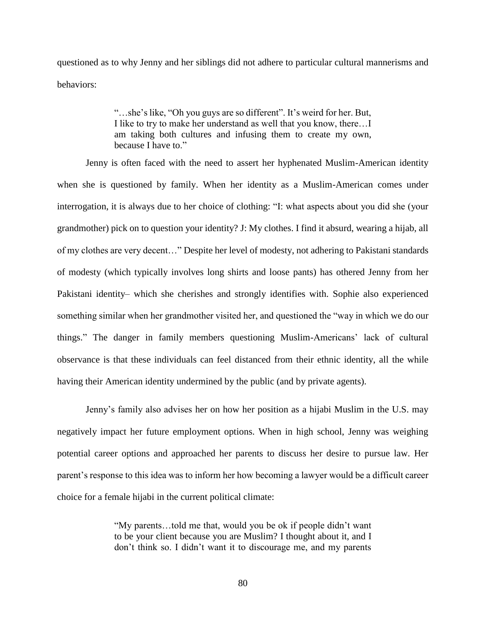questioned as to why Jenny and her siblings did not adhere to particular cultural mannerisms and behaviors:

> "…she's like, "Oh you guys are so different". It's weird for her. But, I like to try to make her understand as well that you know, there…I am taking both cultures and infusing them to create my own, because I have to."

Jenny is often faced with the need to assert her hyphenated Muslim-American identity when she is questioned by family. When her identity as a Muslim-American comes under interrogation, it is always due to her choice of clothing: "I: what aspects about you did she (your grandmother) pick on to question your identity? J: My clothes. I find it absurd, wearing a hijab, all of my clothes are very decent…" Despite her level of modesty, not adhering to Pakistani standards of modesty (which typically involves long shirts and loose pants) has othered Jenny from her Pakistani identity– which she cherishes and strongly identifies with. Sophie also experienced something similar when her grandmother visited her, and questioned the "way in which we do our things." The danger in family members questioning Muslim-Americans' lack of cultural observance is that these individuals can feel distanced from their ethnic identity, all the while having their American identity undermined by the public (and by private agents).

Jenny's family also advises her on how her position as a hijabi Muslim in the U.S. may negatively impact her future employment options. When in high school, Jenny was weighing potential career options and approached her parents to discuss her desire to pursue law. Her parent's response to this idea was to inform her how becoming a lawyer would be a difficult career choice for a female hijabi in the current political climate:

> "My parents…told me that, would you be ok if people didn't want to be your client because you are Muslim? I thought about it, and I don't think so. I didn't want it to discourage me, and my parents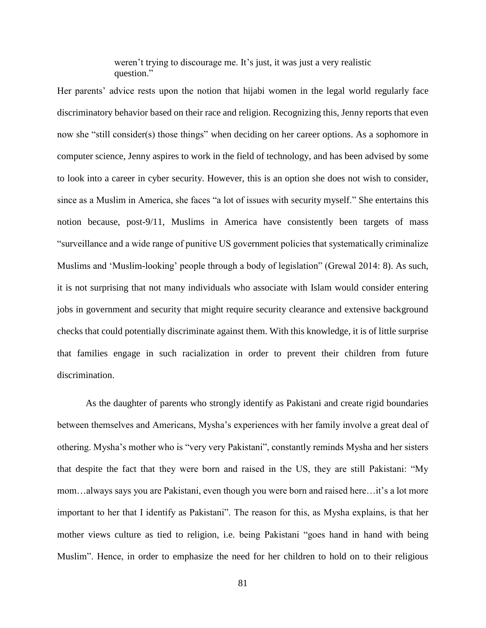weren't trying to discourage me. It's just, it was just a very realistic question."

Her parents' advice rests upon the notion that hijabi women in the legal world regularly face discriminatory behavior based on their race and religion. Recognizing this, Jenny reports that even now she "still consider(s) those things" when deciding on her career options. As a sophomore in computer science, Jenny aspires to work in the field of technology, and has been advised by some to look into a career in cyber security. However, this is an option she does not wish to consider, since as a Muslim in America, she faces "a lot of issues with security myself." She entertains this notion because, post-9/11, Muslims in America have consistently been targets of mass "surveillance and a wide range of punitive US government policies that systematically criminalize Muslims and 'Muslim-looking' people through a body of legislation" (Grewal 2014: 8). As such, it is not surprising that not many individuals who associate with Islam would consider entering jobs in government and security that might require security clearance and extensive background checks that could potentially discriminate against them. With this knowledge, it is of little surprise that families engage in such racialization in order to prevent their children from future discrimination.

As the daughter of parents who strongly identify as Pakistani and create rigid boundaries between themselves and Americans, Mysha's experiences with her family involve a great deal of othering. Mysha's mother who is "very very Pakistani", constantly reminds Mysha and her sisters that despite the fact that they were born and raised in the US, they are still Pakistani: "My mom…always says you are Pakistani, even though you were born and raised here…it's a lot more important to her that I identify as Pakistani". The reason for this, as Mysha explains, is that her mother views culture as tied to religion, i.e. being Pakistani "goes hand in hand with being Muslim". Hence, in order to emphasize the need for her children to hold on to their religious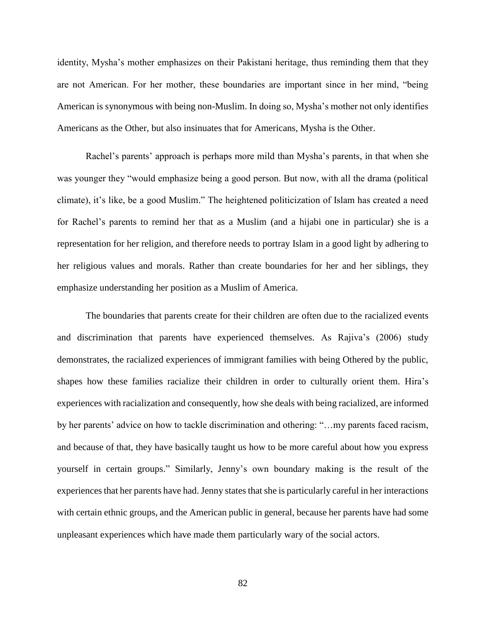identity, Mysha's mother emphasizes on their Pakistani heritage, thus reminding them that they are not American. For her mother, these boundaries are important since in her mind, "being American is synonymous with being non-Muslim. In doing so, Mysha's mother not only identifies Americans as the Other, but also insinuates that for Americans, Mysha is the Other.

Rachel's parents' approach is perhaps more mild than Mysha's parents, in that when she was younger they "would emphasize being a good person. But now, with all the drama (political climate), it's like, be a good Muslim." The heightened politicization of Islam has created a need for Rachel's parents to remind her that as a Muslim (and a hijabi one in particular) she is a representation for her religion, and therefore needs to portray Islam in a good light by adhering to her religious values and morals. Rather than create boundaries for her and her siblings, they emphasize understanding her position as a Muslim of America.

The boundaries that parents create for their children are often due to the racialized events and discrimination that parents have experienced themselves. As Rajiva's (2006) study demonstrates, the racialized experiences of immigrant families with being Othered by the public, shapes how these families racialize their children in order to culturally orient them. Hira's experiences with racialization and consequently, how she deals with being racialized, are informed by her parents' advice on how to tackle discrimination and othering: "…my parents faced racism, and because of that, they have basically taught us how to be more careful about how you express yourself in certain groups." Similarly, Jenny's own boundary making is the result of the experiences that her parents have had. Jenny states that she is particularly careful in her interactions with certain ethnic groups, and the American public in general, because her parents have had some unpleasant experiences which have made them particularly wary of the social actors.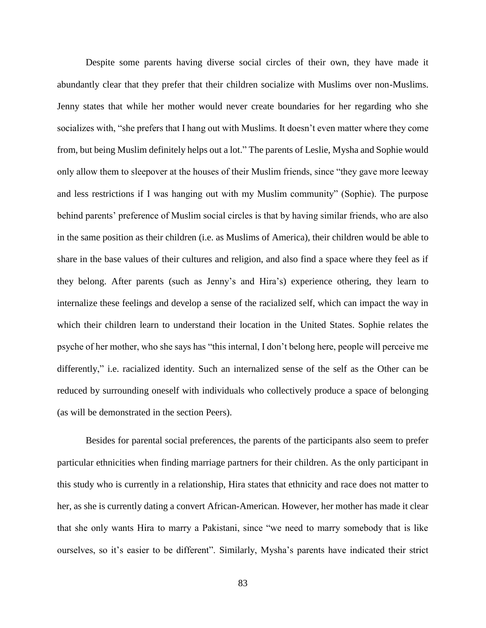Despite some parents having diverse social circles of their own, they have made it abundantly clear that they prefer that their children socialize with Muslims over non-Muslims. Jenny states that while her mother would never create boundaries for her regarding who she socializes with, "she prefers that I hang out with Muslims. It doesn't even matter where they come from, but being Muslim definitely helps out a lot." The parents of Leslie, Mysha and Sophie would only allow them to sleepover at the houses of their Muslim friends, since "they gave more leeway and less restrictions if I was hanging out with my Muslim community" (Sophie). The purpose behind parents' preference of Muslim social circles is that by having similar friends, who are also in the same position as their children (i.e. as Muslims of America), their children would be able to share in the base values of their cultures and religion, and also find a space where they feel as if they belong. After parents (such as Jenny's and Hira's) experience othering, they learn to internalize these feelings and develop a sense of the racialized self, which can impact the way in which their children learn to understand their location in the United States. Sophie relates the psyche of her mother, who she says has "this internal, I don't belong here, people will perceive me differently," i.e. racialized identity. Such an internalized sense of the self as the Other can be reduced by surrounding oneself with individuals who collectively produce a space of belonging (as will be demonstrated in the section Peers).

Besides for parental social preferences, the parents of the participants also seem to prefer particular ethnicities when finding marriage partners for their children. As the only participant in this study who is currently in a relationship, Hira states that ethnicity and race does not matter to her, as she is currently dating a convert African-American. However, her mother has made it clear that she only wants Hira to marry a Pakistani, since "we need to marry somebody that is like ourselves, so it's easier to be different". Similarly, Mysha's parents have indicated their strict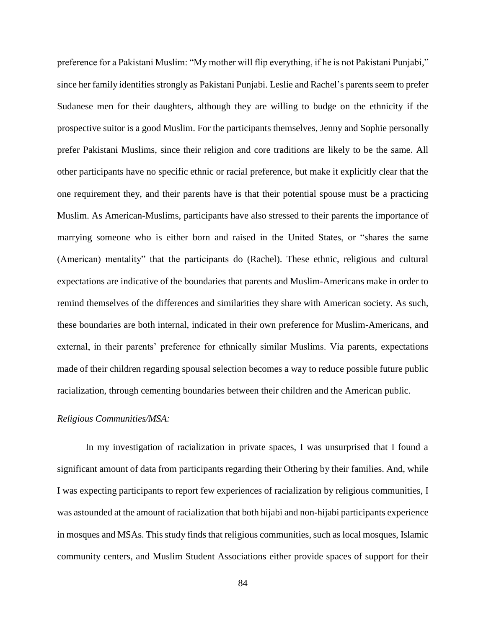preference for a Pakistani Muslim: "My mother will flip everything, if he is not Pakistani Punjabi," since her family identifies strongly as Pakistani Punjabi. Leslie and Rachel's parents seem to prefer Sudanese men for their daughters, although they are willing to budge on the ethnicity if the prospective suitor is a good Muslim. For the participants themselves, Jenny and Sophie personally prefer Pakistani Muslims, since their religion and core traditions are likely to be the same. All other participants have no specific ethnic or racial preference, but make it explicitly clear that the one requirement they, and their parents have is that their potential spouse must be a practicing Muslim. As American-Muslims, participants have also stressed to their parents the importance of marrying someone who is either born and raised in the United States, or "shares the same (American) mentality" that the participants do (Rachel). These ethnic, religious and cultural expectations are indicative of the boundaries that parents and Muslim-Americans make in order to remind themselves of the differences and similarities they share with American society. As such, these boundaries are both internal, indicated in their own preference for Muslim-Americans, and external, in their parents' preference for ethnically similar Muslims. Via parents, expectations made of their children regarding spousal selection becomes a way to reduce possible future public racialization, through cementing boundaries between their children and the American public.

## *Religious Communities/MSA:*

In my investigation of racialization in private spaces, I was unsurprised that I found a significant amount of data from participants regarding their Othering by their families. And, while I was expecting participants to report few experiences of racialization by religious communities, I was astounded at the amount of racialization that both hijabi and non-hijabi participants experience in mosques and MSAs. This study finds that religious communities, such as local mosques, Islamic community centers, and Muslim Student Associations either provide spaces of support for their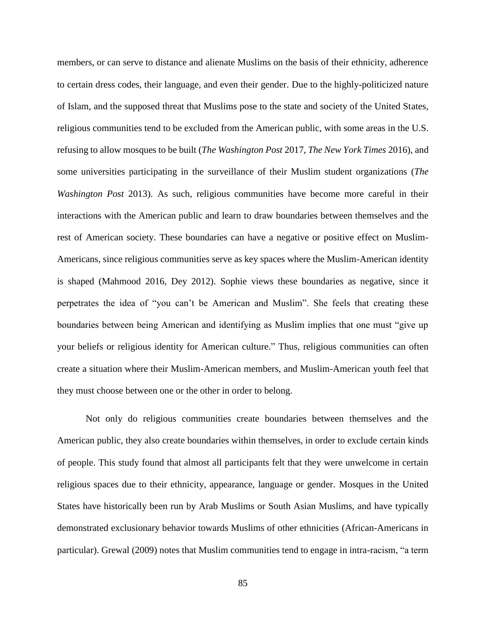members, or can serve to distance and alienate Muslims on the basis of their ethnicity, adherence to certain dress codes, their language, and even their gender. Due to the highly-politicized nature of Islam, and the supposed threat that Muslims pose to the state and society of the United States, religious communities tend to be excluded from the American public, with some areas in the U.S. refusing to allow mosques to be built (*The Washington Post* 2017, *The New York Times* 2016), and some universities participating in the surveillance of their Muslim student organizations (*The Washington Post* 2013). As such, religious communities have become more careful in their interactions with the American public and learn to draw boundaries between themselves and the rest of American society. These boundaries can have a negative or positive effect on Muslim-Americans, since religious communities serve as key spaces where the Muslim-American identity is shaped (Mahmood 2016, Dey 2012). Sophie views these boundaries as negative, since it perpetrates the idea of "you can't be American and Muslim". She feels that creating these boundaries between being American and identifying as Muslim implies that one must "give up your beliefs or religious identity for American culture." Thus, religious communities can often create a situation where their Muslim-American members, and Muslim-American youth feel that they must choose between one or the other in order to belong.

Not only do religious communities create boundaries between themselves and the American public, they also create boundaries within themselves, in order to exclude certain kinds of people. This study found that almost all participants felt that they were unwelcome in certain religious spaces due to their ethnicity, appearance, language or gender. Mosques in the United States have historically been run by Arab Muslims or South Asian Muslims, and have typically demonstrated exclusionary behavior towards Muslims of other ethnicities (African-Americans in particular). Grewal (2009) notes that Muslim communities tend to engage in intra-racism, "a term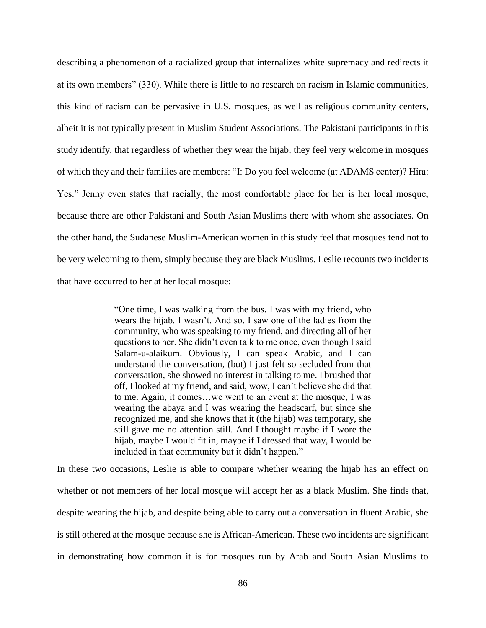describing a phenomenon of a racialized group that internalizes white supremacy and redirects it at its own members" (330). While there is little to no research on racism in Islamic communities, this kind of racism can be pervasive in U.S. mosques, as well as religious community centers, albeit it is not typically present in Muslim Student Associations. The Pakistani participants in this study identify, that regardless of whether they wear the hijab, they feel very welcome in mosques of which they and their families are members: "I: Do you feel welcome (at ADAMS center)? Hira: Yes." Jenny even states that racially, the most comfortable place for her is her local mosque, because there are other Pakistani and South Asian Muslims there with whom she associates. On the other hand, the Sudanese Muslim-American women in this study feel that mosques tend not to be very welcoming to them, simply because they are black Muslims. Leslie recounts two incidents that have occurred to her at her local mosque:

> "One time, I was walking from the bus. I was with my friend, who wears the hijab. I wasn't. And so, I saw one of the ladies from the community, who was speaking to my friend, and directing all of her questions to her. She didn't even talk to me once, even though I said Salam-u-alaikum. Obviously, I can speak Arabic, and I can understand the conversation, (but) I just felt so secluded from that conversation, she showed no interest in talking to me. I brushed that off, I looked at my friend, and said, wow, I can't believe she did that to me. Again, it comes…we went to an event at the mosque, I was wearing the abaya and I was wearing the headscarf, but since she recognized me, and she knows that it (the hijab) was temporary, she still gave me no attention still. And I thought maybe if I wore the hijab, maybe I would fit in, maybe if I dressed that way, I would be included in that community but it didn't happen."

In these two occasions, Leslie is able to compare whether wearing the hijab has an effect on whether or not members of her local mosque will accept her as a black Muslim. She finds that, despite wearing the hijab, and despite being able to carry out a conversation in fluent Arabic, she is still othered at the mosque because she is African-American. These two incidents are significant in demonstrating how common it is for mosques run by Arab and South Asian Muslims to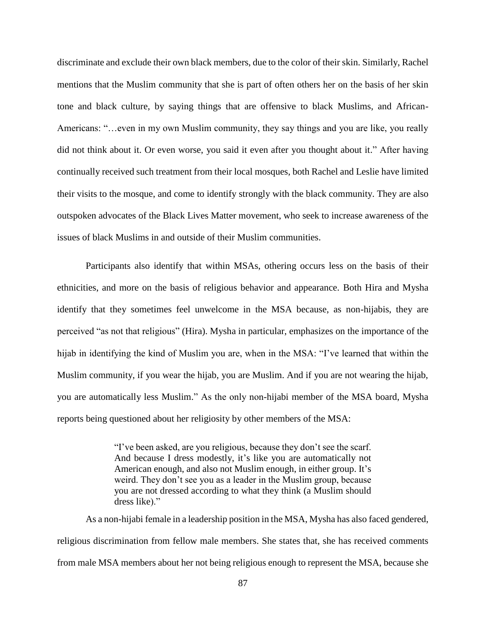discriminate and exclude their own black members, due to the color of their skin. Similarly, Rachel mentions that the Muslim community that she is part of often others her on the basis of her skin tone and black culture, by saying things that are offensive to black Muslims, and African-Americans: "…even in my own Muslim community, they say things and you are like, you really did not think about it. Or even worse, you said it even after you thought about it." After having continually received such treatment from their local mosques, both Rachel and Leslie have limited their visits to the mosque, and come to identify strongly with the black community. They are also outspoken advocates of the Black Lives Matter movement, who seek to increase awareness of the issues of black Muslims in and outside of their Muslim communities.

Participants also identify that within MSAs, othering occurs less on the basis of their ethnicities, and more on the basis of religious behavior and appearance. Both Hira and Mysha identify that they sometimes feel unwelcome in the MSA because, as non-hijabis, they are perceived "as not that religious" (Hira). Mysha in particular, emphasizes on the importance of the hijab in identifying the kind of Muslim you are, when in the MSA: "I've learned that within the Muslim community, if you wear the hijab, you are Muslim. And if you are not wearing the hijab, you are automatically less Muslim." As the only non-hijabi member of the MSA board, Mysha reports being questioned about her religiosity by other members of the MSA:

> "I've been asked, are you religious, because they don't see the scarf. And because I dress modestly, it's like you are automatically not American enough, and also not Muslim enough, in either group. It's weird. They don't see you as a leader in the Muslim group, because you are not dressed according to what they think (a Muslim should dress like)."

As a non-hijabi female in a leadership position in the MSA, Mysha has also faced gendered, religious discrimination from fellow male members. She states that, she has received comments from male MSA members about her not being religious enough to represent the MSA, because she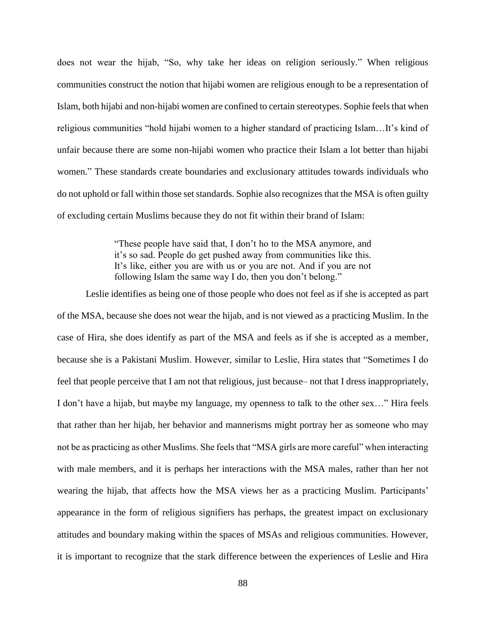does not wear the hijab, "So, why take her ideas on religion seriously." When religious communities construct the notion that hijabi women are religious enough to be a representation of Islam, both hijabi and non-hijabi women are confined to certain stereotypes. Sophie feels that when religious communities "hold hijabi women to a higher standard of practicing Islam…It's kind of unfair because there are some non-hijabi women who practice their Islam a lot better than hijabi women." These standards create boundaries and exclusionary attitudes towards individuals who do not uphold or fall within those set standards. Sophie also recognizes that the MSA is often guilty of excluding certain Muslims because they do not fit within their brand of Islam:

> "These people have said that, I don't ho to the MSA anymore, and it's so sad. People do get pushed away from communities like this. It's like, either you are with us or you are not. And if you are not following Islam the same way I do, then you don't belong."

Leslie identifies as being one of those people who does not feel as if she is accepted as part of the MSA, because she does not wear the hijab, and is not viewed as a practicing Muslim. In the case of Hira, she does identify as part of the MSA and feels as if she is accepted as a member, because she is a Pakistani Muslim. However, similar to Leslie, Hira states that "Sometimes I do feel that people perceive that I am not that religious, just because– not that I dress inappropriately, I don't have a hijab, but maybe my language, my openness to talk to the other sex…" Hira feels that rather than her hijab, her behavior and mannerisms might portray her as someone who may not be as practicing as other Muslims. She feels that "MSA girls are more careful" when interacting with male members, and it is perhaps her interactions with the MSA males, rather than her not wearing the hijab, that affects how the MSA views her as a practicing Muslim. Participants' appearance in the form of religious signifiers has perhaps, the greatest impact on exclusionary attitudes and boundary making within the spaces of MSAs and religious communities. However, it is important to recognize that the stark difference between the experiences of Leslie and Hira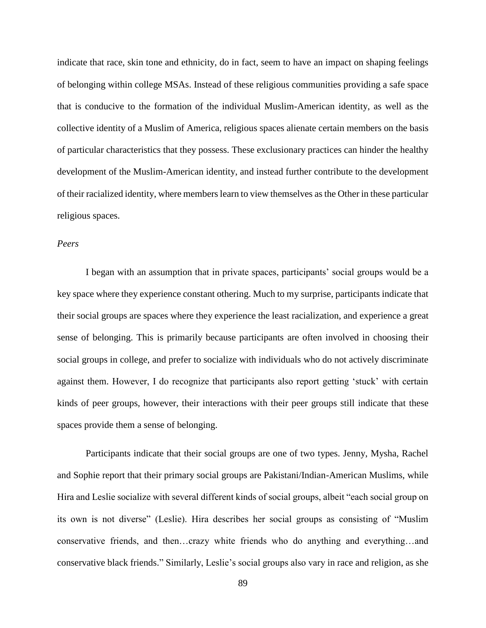indicate that race, skin tone and ethnicity, do in fact, seem to have an impact on shaping feelings of belonging within college MSAs. Instead of these religious communities providing a safe space that is conducive to the formation of the individual Muslim-American identity, as well as the collective identity of a Muslim of America, religious spaces alienate certain members on the basis of particular characteristics that they possess. These exclusionary practices can hinder the healthy development of the Muslim-American identity, and instead further contribute to the development of their racialized identity, where members learn to view themselves as the Other in these particular religious spaces.

# *Peers*

I began with an assumption that in private spaces, participants' social groups would be a key space where they experience constant othering. Much to my surprise, participants indicate that their social groups are spaces where they experience the least racialization, and experience a great sense of belonging. This is primarily because participants are often involved in choosing their social groups in college, and prefer to socialize with individuals who do not actively discriminate against them. However, I do recognize that participants also report getting 'stuck' with certain kinds of peer groups, however, their interactions with their peer groups still indicate that these spaces provide them a sense of belonging.

Participants indicate that their social groups are one of two types. Jenny, Mysha, Rachel and Sophie report that their primary social groups are Pakistani/Indian-American Muslims, while Hira and Leslie socialize with several different kinds of social groups, albeit "each social group on its own is not diverse" (Leslie). Hira describes her social groups as consisting of "Muslim conservative friends, and then…crazy white friends who do anything and everything…and conservative black friends." Similarly, Leslie's social groups also vary in race and religion, as she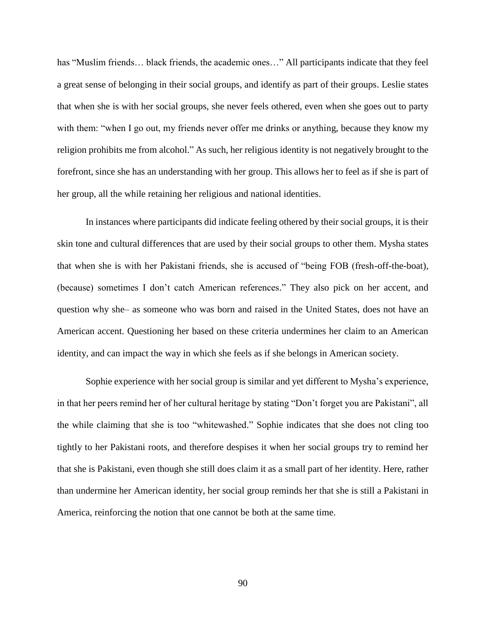has "Muslim friends… black friends, the academic ones…" All participants indicate that they feel a great sense of belonging in their social groups, and identify as part of their groups. Leslie states that when she is with her social groups, she never feels othered, even when she goes out to party with them: "when I go out, my friends never offer me drinks or anything, because they know my religion prohibits me from alcohol." As such, her religious identity is not negatively brought to the forefront, since she has an understanding with her group. This allows her to feel as if she is part of her group, all the while retaining her religious and national identities.

In instances where participants did indicate feeling othered by their social groups, it is their skin tone and cultural differences that are used by their social groups to other them. Mysha states that when she is with her Pakistani friends, she is accused of "being FOB (fresh-off-the-boat), (because) sometimes I don't catch American references." They also pick on her accent, and question why she– as someone who was born and raised in the United States, does not have an American accent. Questioning her based on these criteria undermines her claim to an American identity, and can impact the way in which she feels as if she belongs in American society.

Sophie experience with her social group is similar and yet different to Mysha's experience, in that her peers remind her of her cultural heritage by stating "Don't forget you are Pakistani", all the while claiming that she is too "whitewashed." Sophie indicates that she does not cling too tightly to her Pakistani roots, and therefore despises it when her social groups try to remind her that she is Pakistani, even though she still does claim it as a small part of her identity. Here, rather than undermine her American identity, her social group reminds her that she is still a Pakistani in America, reinforcing the notion that one cannot be both at the same time.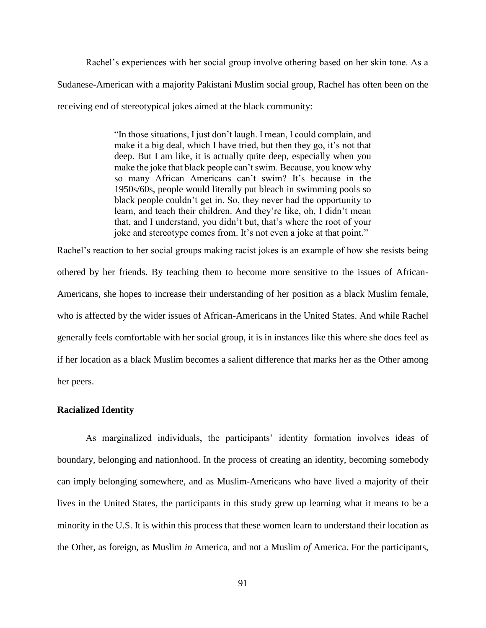Rachel's experiences with her social group involve othering based on her skin tone. As a Sudanese-American with a majority Pakistani Muslim social group, Rachel has often been on the receiving end of stereotypical jokes aimed at the black community:

> "In those situations, I just don't laugh. I mean, I could complain, and make it a big deal, which I have tried, but then they go, it's not that deep. But I am like, it is actually quite deep, especially when you make the joke that black people can't swim. Because, you know why so many African Americans can't swim? It's because in the 1950s/60s, people would literally put bleach in swimming pools so black people couldn't get in. So, they never had the opportunity to learn, and teach their children. And they're like, oh, I didn't mean that, and I understand, you didn't but, that's where the root of your joke and stereotype comes from. It's not even a joke at that point."

Rachel's reaction to her social groups making racist jokes is an example of how she resists being othered by her friends. By teaching them to become more sensitive to the issues of African-Americans, she hopes to increase their understanding of her position as a black Muslim female, who is affected by the wider issues of African-Americans in the United States. And while Rachel generally feels comfortable with her social group, it is in instances like this where she does feel as if her location as a black Muslim becomes a salient difference that marks her as the Other among her peers.

## **Racialized Identity**

As marginalized individuals, the participants' identity formation involves ideas of boundary, belonging and nationhood. In the process of creating an identity, becoming somebody can imply belonging somewhere, and as Muslim-Americans who have lived a majority of their lives in the United States, the participants in this study grew up learning what it means to be a minority in the U.S. It is within this process that these women learn to understand their location as the Other, as foreign, as Muslim *in* America, and not a Muslim *of* America. For the participants,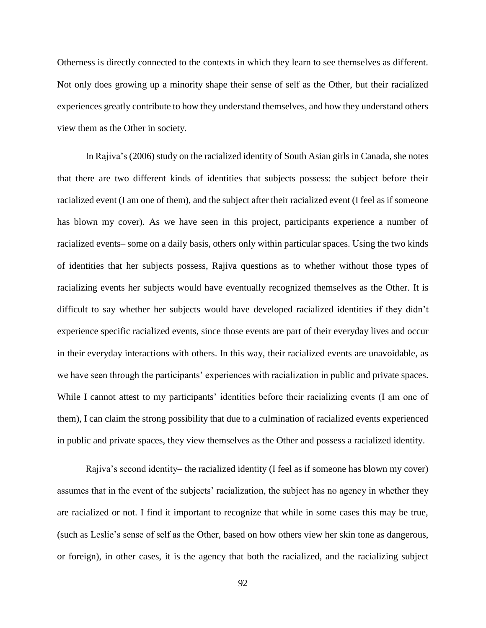Otherness is directly connected to the contexts in which they learn to see themselves as different. Not only does growing up a minority shape their sense of self as the Other, but their racialized experiences greatly contribute to how they understand themselves, and how they understand others view them as the Other in society.

In Rajiva's (2006) study on the racialized identity of South Asian girls in Canada, she notes that there are two different kinds of identities that subjects possess: the subject before their racialized event (I am one of them), and the subject after their racialized event (I feel as if someone has blown my cover). As we have seen in this project, participants experience a number of racialized events– some on a daily basis, others only within particular spaces. Using the two kinds of identities that her subjects possess, Rajiva questions as to whether without those types of racializing events her subjects would have eventually recognized themselves as the Other. It is difficult to say whether her subjects would have developed racialized identities if they didn't experience specific racialized events, since those events are part of their everyday lives and occur in their everyday interactions with others. In this way, their racialized events are unavoidable, as we have seen through the participants' experiences with racialization in public and private spaces. While I cannot attest to my participants' identities before their racializing events (I am one of them), I can claim the strong possibility that due to a culmination of racialized events experienced in public and private spaces, they view themselves as the Other and possess a racialized identity.

Rajiva's second identity– the racialized identity (I feel as if someone has blown my cover) assumes that in the event of the subjects' racialization, the subject has no agency in whether they are racialized or not. I find it important to recognize that while in some cases this may be true, (such as Leslie's sense of self as the Other, based on how others view her skin tone as dangerous, or foreign), in other cases, it is the agency that both the racialized, and the racializing subject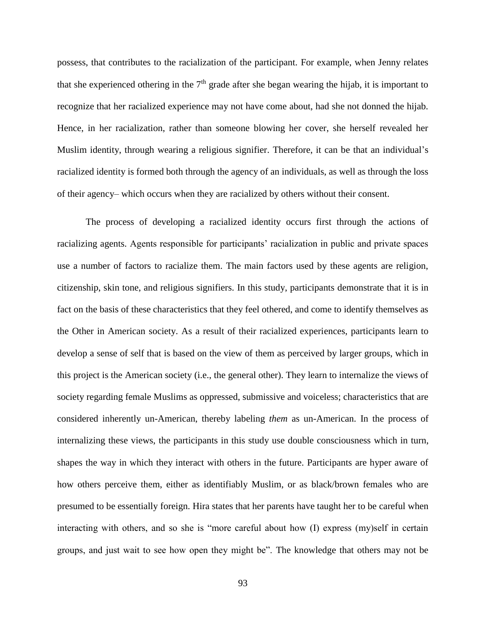possess, that contributes to the racialization of the participant. For example, when Jenny relates that she experienced othering in the  $7<sup>th</sup>$  grade after she began wearing the hijab, it is important to recognize that her racialized experience may not have come about, had she not donned the hijab. Hence, in her racialization, rather than someone blowing her cover, she herself revealed her Muslim identity, through wearing a religious signifier. Therefore, it can be that an individual's racialized identity is formed both through the agency of an individuals, as well as through the loss of their agency– which occurs when they are racialized by others without their consent.

The process of developing a racialized identity occurs first through the actions of racializing agents. Agents responsible for participants' racialization in public and private spaces use a number of factors to racialize them. The main factors used by these agents are religion, citizenship, skin tone, and religious signifiers. In this study, participants demonstrate that it is in fact on the basis of these characteristics that they feel othered, and come to identify themselves as the Other in American society. As a result of their racialized experiences, participants learn to develop a sense of self that is based on the view of them as perceived by larger groups, which in this project is the American society (i.e., the general other). They learn to internalize the views of society regarding female Muslims as oppressed, submissive and voiceless; characteristics that are considered inherently un-American, thereby labeling *them* as un-American. In the process of internalizing these views, the participants in this study use double consciousness which in turn, shapes the way in which they interact with others in the future. Participants are hyper aware of how others perceive them, either as identifiably Muslim, or as black/brown females who are presumed to be essentially foreign. Hira states that her parents have taught her to be careful when interacting with others, and so she is "more careful about how (I) express (my)self in certain groups, and just wait to see how open they might be". The knowledge that others may not be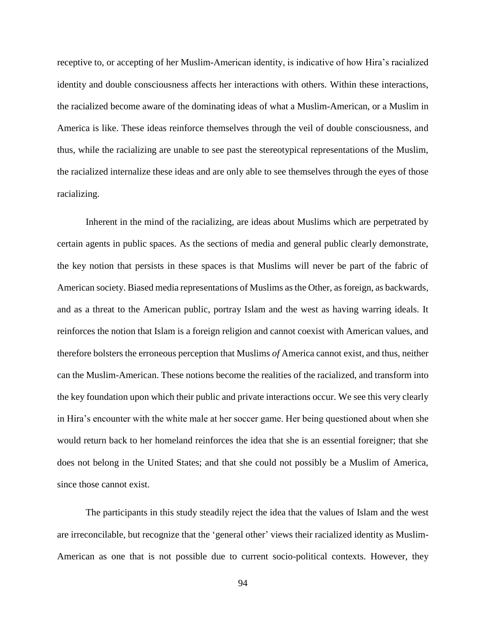receptive to, or accepting of her Muslim-American identity, is indicative of how Hira's racialized identity and double consciousness affects her interactions with others. Within these interactions, the racialized become aware of the dominating ideas of what a Muslim-American, or a Muslim in America is like. These ideas reinforce themselves through the veil of double consciousness, and thus, while the racializing are unable to see past the stereotypical representations of the Muslim, the racialized internalize these ideas and are only able to see themselves through the eyes of those racializing.

Inherent in the mind of the racializing, are ideas about Muslims which are perpetrated by certain agents in public spaces. As the sections of media and general public clearly demonstrate, the key notion that persists in these spaces is that Muslims will never be part of the fabric of American society. Biased media representations of Muslims as the Other, as foreign, as backwards, and as a threat to the American public, portray Islam and the west as having warring ideals. It reinforces the notion that Islam is a foreign religion and cannot coexist with American values, and therefore bolsters the erroneous perception that Muslims *of* America cannot exist, and thus, neither can the Muslim-American. These notions become the realities of the racialized, and transform into the key foundation upon which their public and private interactions occur. We see this very clearly in Hira's encounter with the white male at her soccer game. Her being questioned about when she would return back to her homeland reinforces the idea that she is an essential foreigner; that she does not belong in the United States; and that she could not possibly be a Muslim of America, since those cannot exist.

The participants in this study steadily reject the idea that the values of Islam and the west are irreconcilable, but recognize that the 'general other' views their racialized identity as Muslim-American as one that is not possible due to current socio-political contexts. However, they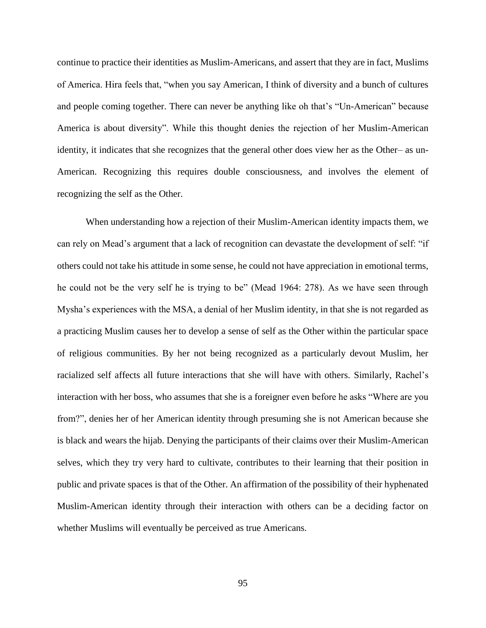continue to practice their identities as Muslim-Americans, and assert that they are in fact, Muslims of America. Hira feels that, "when you say American, I think of diversity and a bunch of cultures and people coming together. There can never be anything like oh that's "Un-American" because America is about diversity". While this thought denies the rejection of her Muslim-American identity, it indicates that she recognizes that the general other does view her as the Other– as un-American. Recognizing this requires double consciousness, and involves the element of recognizing the self as the Other.

When understanding how a rejection of their Muslim-American identity impacts them, we can rely on Mead's argument that a lack of recognition can devastate the development of self: "if others could not take his attitude in some sense, he could not have appreciation in emotional terms, he could not be the very self he is trying to be" (Mead 1964: 278). As we have seen through Mysha's experiences with the MSA, a denial of her Muslim identity, in that she is not regarded as a practicing Muslim causes her to develop a sense of self as the Other within the particular space of religious communities. By her not being recognized as a particularly devout Muslim, her racialized self affects all future interactions that she will have with others. Similarly, Rachel's interaction with her boss, who assumes that she is a foreigner even before he asks "Where are you from?", denies her of her American identity through presuming she is not American because she is black and wears the hijab. Denying the participants of their claims over their Muslim-American selves, which they try very hard to cultivate, contributes to their learning that their position in public and private spaces is that of the Other. An affirmation of the possibility of their hyphenated Muslim-American identity through their interaction with others can be a deciding factor on whether Muslims will eventually be perceived as true Americans.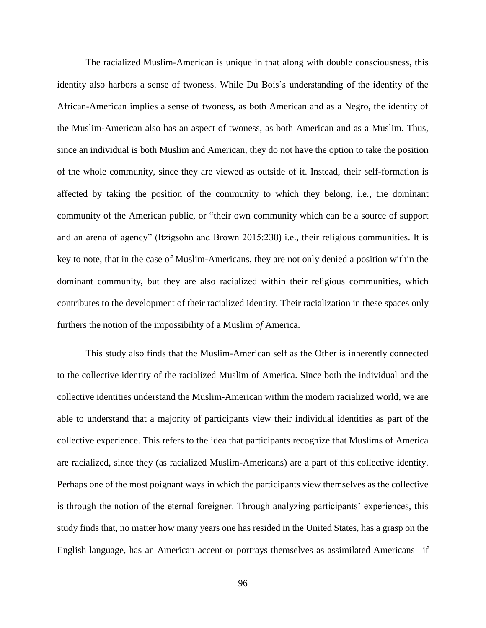The racialized Muslim-American is unique in that along with double consciousness, this identity also harbors a sense of twoness. While Du Bois's understanding of the identity of the African-American implies a sense of twoness, as both American and as a Negro, the identity of the Muslim-American also has an aspect of twoness, as both American and as a Muslim. Thus, since an individual is both Muslim and American, they do not have the option to take the position of the whole community, since they are viewed as outside of it. Instead, their self-formation is affected by taking the position of the community to which they belong, i.e., the dominant community of the American public, or "their own community which can be a source of support and an arena of agency" (Itzigsohn and Brown 2015:238) i.e., their religious communities. It is key to note, that in the case of Muslim-Americans, they are not only denied a position within the dominant community, but they are also racialized within their religious communities, which contributes to the development of their racialized identity. Their racialization in these spaces only furthers the notion of the impossibility of a Muslim *of* America.

This study also finds that the Muslim-American self as the Other is inherently connected to the collective identity of the racialized Muslim of America. Since both the individual and the collective identities understand the Muslim-American within the modern racialized world, we are able to understand that a majority of participants view their individual identities as part of the collective experience. This refers to the idea that participants recognize that Muslims of America are racialized, since they (as racialized Muslim-Americans) are a part of this collective identity. Perhaps one of the most poignant ways in which the participants view themselves as the collective is through the notion of the eternal foreigner. Through analyzing participants' experiences, this study finds that, no matter how many years one has resided in the United States, has a grasp on the English language, has an American accent or portrays themselves as assimilated Americans– if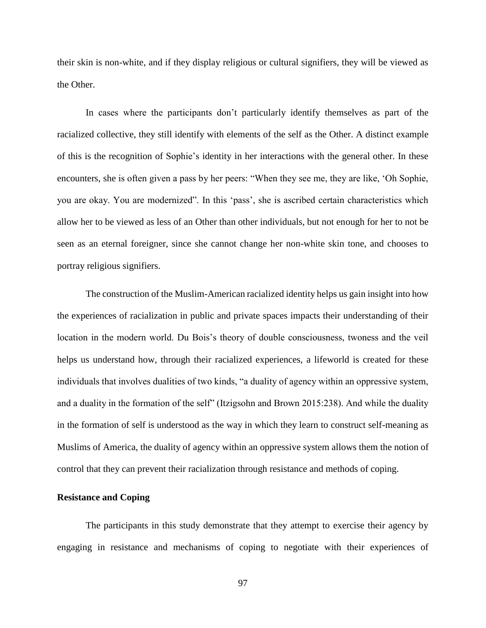their skin is non-white, and if they display religious or cultural signifiers, they will be viewed as the Other.

In cases where the participants don't particularly identify themselves as part of the racialized collective, they still identify with elements of the self as the Other. A distinct example of this is the recognition of Sophie's identity in her interactions with the general other. In these encounters, she is often given a pass by her peers: "When they see me, they are like, 'Oh Sophie, you are okay. You are modernized". In this 'pass', she is ascribed certain characteristics which allow her to be viewed as less of an Other than other individuals, but not enough for her to not be seen as an eternal foreigner, since she cannot change her non-white skin tone, and chooses to portray religious signifiers.

The construction of the Muslim-American racialized identity helps us gain insight into how the experiences of racialization in public and private spaces impacts their understanding of their location in the modern world. Du Bois's theory of double consciousness, twoness and the veil helps us understand how, through their racialized experiences, a lifeworld is created for these individuals that involves dualities of two kinds, "a duality of agency within an oppressive system, and a duality in the formation of the self" (Itzigsohn and Brown 2015:238). And while the duality in the formation of self is understood as the way in which they learn to construct self-meaning as Muslims of America, the duality of agency within an oppressive system allows them the notion of control that they can prevent their racialization through resistance and methods of coping.

## **Resistance and Coping**

The participants in this study demonstrate that they attempt to exercise their agency by engaging in resistance and mechanisms of coping to negotiate with their experiences of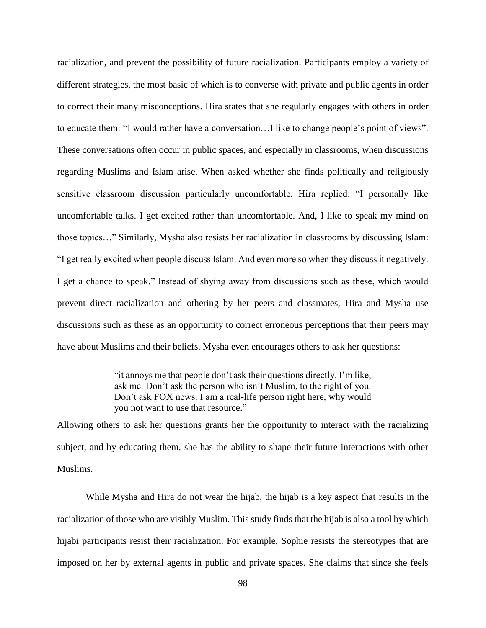racialization, and prevent the possibility of future racialization. Participants employ a variety of different strategies, the most basic of which is to converse with private and public agents in order to correct their many misconceptions. Hira states that she regularly engages with others in order to educate them: "I would rather have a conversation…I like to change people's point of views". These conversations often occur in public spaces, and especially in classrooms, when discussions regarding Muslims and Islam arise. When asked whether she finds politically and religiously sensitive classroom discussion particularly uncomfortable, Hira replied: "I personally like uncomfortable talks. I get excited rather than uncomfortable. And, I like to speak my mind on those topics…" Similarly, Mysha also resists her racialization in classrooms by discussing Islam: "I get really excited when people discuss Islam. And even more so when they discuss it negatively. I get a chance to speak." Instead of shying away from discussions such as these, which would prevent direct racialization and othering by her peers and classmates, Hira and Mysha use discussions such as these as an opportunity to correct erroneous perceptions that their peers may have about Muslims and their beliefs. Mysha even encourages others to ask her questions:

> "it annoys me that people don't ask their questions directly. I'm like, ask me. Don't ask the person who isn't Muslim, to the right of you. Don't ask FOX news. I am a real-life person right here, why would you not want to use that resource."

Allowing others to ask her questions grants her the opportunity to interact with the racializing subject, and by educating them, she has the ability to shape their future interactions with other Muslims.

While Mysha and Hira do not wear the hijab, the hijab is a key aspect that results in the racialization of those who are visibly Muslim. This study finds that the hijab is also a tool by which hijabi participants resist their racialization. For example, Sophie resists the stereotypes that are imposed on her by external agents in public and private spaces. She claims that since she feels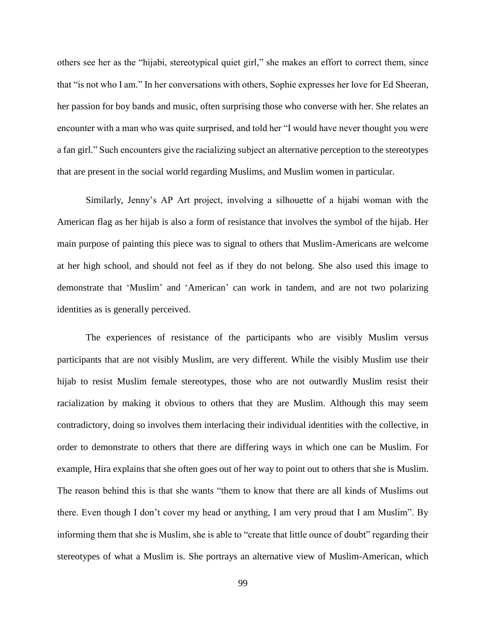others see her as the "hijabi, stereotypical quiet girl," she makes an effort to correct them, since that "is not who I am." In her conversations with others, Sophie expresses her love for Ed Sheeran, her passion for boy bands and music, often surprising those who converse with her. She relates an encounter with a man who was quite surprised, and told her "I would have never thought you were a fan girl." Such encounters give the racializing subject an alternative perception to the stereotypes that are present in the social world regarding Muslims, and Muslim women in particular.

Similarly, Jenny's AP Art project, involving a silhouette of a hijabi woman with the American flag as her hijab is also a form of resistance that involves the symbol of the hijab. Her main purpose of painting this piece was to signal to others that Muslim-Americans are welcome at her high school, and should not feel as if they do not belong. She also used this image to demonstrate that 'Muslim' and 'American' can work in tandem, and are not two polarizing identities as is generally perceived.

The experiences of resistance of the participants who are visibly Muslim versus participants that are not visibly Muslim, are very different. While the visibly Muslim use their hijab to resist Muslim female stereotypes, those who are not outwardly Muslim resist their racialization by making it obvious to others that they are Muslim. Although this may seem contradictory, doing so involves them interlacing their individual identities with the collective, in order to demonstrate to others that there are differing ways in which one can be Muslim. For example, Hira explains that she often goes out of her way to point out to others that she is Muslim. The reason behind this is that she wants "them to know that there are all kinds of Muslims out there. Even though I don't cover my head or anything, I am very proud that I am Muslim". By informing them that she is Muslim, she is able to "create that little ounce of doubt" regarding their stereotypes of what a Muslim is. She portrays an alternative view of Muslim-American, which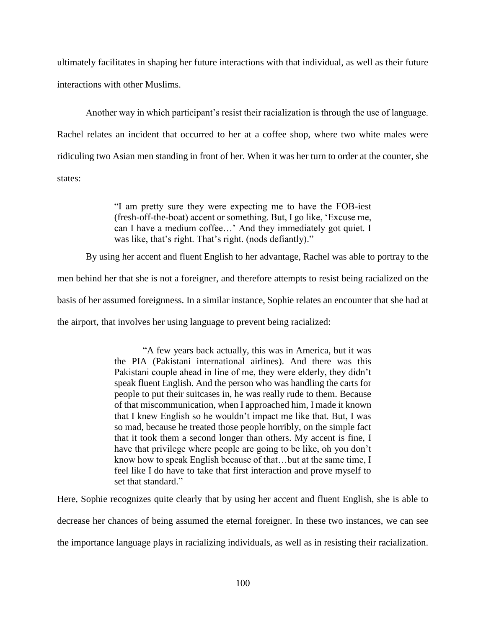ultimately facilitates in shaping her future interactions with that individual, as well as their future interactions with other Muslims.

Another way in which participant's resist their racialization is through the use of language. Rachel relates an incident that occurred to her at a coffee shop, where two white males were ridiculing two Asian men standing in front of her. When it was her turn to order at the counter, she states:

> "I am pretty sure they were expecting me to have the FOB-iest (fresh-off-the-boat) accent or something. But, I go like, 'Excuse me, can I have a medium coffee…' And they immediately got quiet. I was like, that's right. That's right. (nods defiantly)."

By using her accent and fluent English to her advantage, Rachel was able to portray to the

men behind her that she is not a foreigner, and therefore attempts to resist being racialized on the

basis of her assumed foreignness. In a similar instance, Sophie relates an encounter that she had at

the airport, that involves her using language to prevent being racialized:

"A few years back actually, this was in America, but it was the PIA (Pakistani international airlines). And there was this Pakistani couple ahead in line of me, they were elderly, they didn't speak fluent English. And the person who was handling the carts for people to put their suitcases in, he was really rude to them. Because of that miscommunication, when I approached him, I made it known that I knew English so he wouldn't impact me like that. But, I was so mad, because he treated those people horribly, on the simple fact that it took them a second longer than others. My accent is fine, I have that privilege where people are going to be like, oh you don't know how to speak English because of that…but at the same time, I feel like I do have to take that first interaction and prove myself to set that standard."

Here, Sophie recognizes quite clearly that by using her accent and fluent English, she is able to decrease her chances of being assumed the eternal foreigner. In these two instances, we can see the importance language plays in racializing individuals, as well as in resisting their racialization.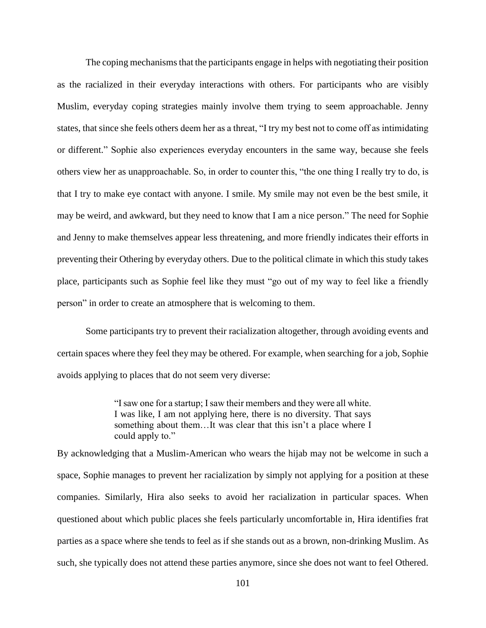The coping mechanisms that the participants engage in helps with negotiating their position as the racialized in their everyday interactions with others. For participants who are visibly Muslim, everyday coping strategies mainly involve them trying to seem approachable. Jenny states, that since she feels others deem her as a threat, "I try my best not to come off as intimidating or different." Sophie also experiences everyday encounters in the same way, because she feels others view her as unapproachable. So, in order to counter this, "the one thing I really try to do, is that I try to make eye contact with anyone. I smile. My smile may not even be the best smile, it may be weird, and awkward, but they need to know that I am a nice person." The need for Sophie and Jenny to make themselves appear less threatening, and more friendly indicates their efforts in preventing their Othering by everyday others. Due to the political climate in which this study takes place, participants such as Sophie feel like they must "go out of my way to feel like a friendly person" in order to create an atmosphere that is welcoming to them.

Some participants try to prevent their racialization altogether, through avoiding events and certain spaces where they feel they may be othered. For example, when searching for a job, Sophie avoids applying to places that do not seem very diverse:

> "I saw one for a startup; I saw their members and they were all white. I was like, I am not applying here, there is no diversity. That says something about them…It was clear that this isn't a place where I could apply to."

By acknowledging that a Muslim-American who wears the hijab may not be welcome in such a space, Sophie manages to prevent her racialization by simply not applying for a position at these companies. Similarly, Hira also seeks to avoid her racialization in particular spaces. When questioned about which public places she feels particularly uncomfortable in, Hira identifies frat parties as a space where she tends to feel as if she stands out as a brown, non-drinking Muslim. As such, she typically does not attend these parties anymore, since she does not want to feel Othered.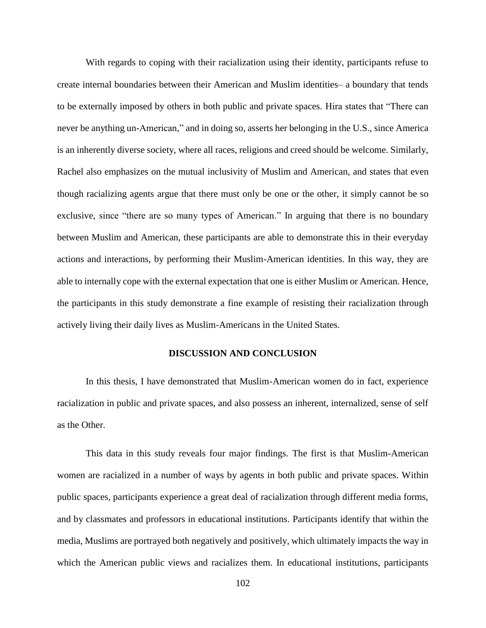With regards to coping with their racialization using their identity, participants refuse to create internal boundaries between their American and Muslim identities– a boundary that tends to be externally imposed by others in both public and private spaces. Hira states that "There can never be anything un-American," and in doing so, asserts her belonging in the U.S., since America is an inherently diverse society, where all races, religions and creed should be welcome. Similarly, Rachel also emphasizes on the mutual inclusivity of Muslim and American, and states that even though racializing agents argue that there must only be one or the other, it simply cannot be so exclusive, since "there are so many types of American." In arguing that there is no boundary between Muslim and American, these participants are able to demonstrate this in their everyday actions and interactions, by performing their Muslim-American identities. In this way, they are able to internally cope with the external expectation that one is either Muslim or American. Hence, the participants in this study demonstrate a fine example of resisting their racialization through actively living their daily lives as Muslim-Americans in the United States.

#### **DISCUSSION AND CONCLUSION**

In this thesis, I have demonstrated that Muslim-American women do in fact, experience racialization in public and private spaces, and also possess an inherent, internalized, sense of self as the Other.

This data in this study reveals four major findings. The first is that Muslim-American women are racialized in a number of ways by agents in both public and private spaces. Within public spaces, participants experience a great deal of racialization through different media forms, and by classmates and professors in educational institutions. Participants identify that within the media, Muslims are portrayed both negatively and positively, which ultimately impacts the way in which the American public views and racializes them. In educational institutions, participants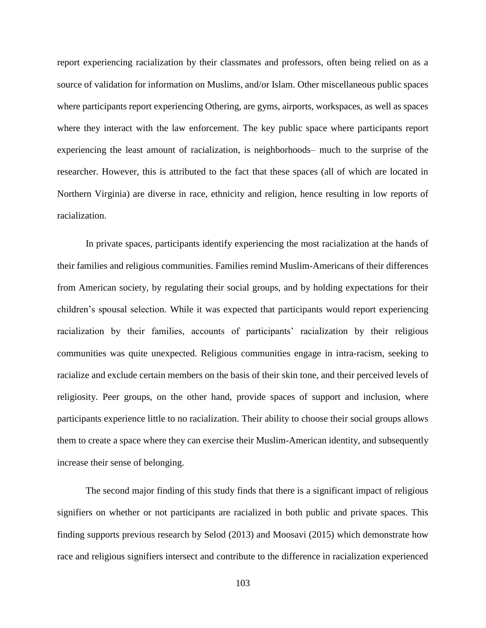report experiencing racialization by their classmates and professors, often being relied on as a source of validation for information on Muslims, and/or Islam. Other miscellaneous public spaces where participants report experiencing Othering, are gyms, airports, workspaces, as well as spaces where they interact with the law enforcement. The key public space where participants report experiencing the least amount of racialization, is neighborhoods– much to the surprise of the researcher. However, this is attributed to the fact that these spaces (all of which are located in Northern Virginia) are diverse in race, ethnicity and religion, hence resulting in low reports of racialization.

In private spaces, participants identify experiencing the most racialization at the hands of their families and religious communities. Families remind Muslim-Americans of their differences from American society, by regulating their social groups, and by holding expectations for their children's spousal selection. While it was expected that participants would report experiencing racialization by their families, accounts of participants' racialization by their religious communities was quite unexpected. Religious communities engage in intra-racism, seeking to racialize and exclude certain members on the basis of their skin tone, and their perceived levels of religiosity. Peer groups, on the other hand, provide spaces of support and inclusion, where participants experience little to no racialization. Their ability to choose their social groups allows them to create a space where they can exercise their Muslim-American identity, and subsequently increase their sense of belonging.

The second major finding of this study finds that there is a significant impact of religious signifiers on whether or not participants are racialized in both public and private spaces. This finding supports previous research by Selod (2013) and Moosavi (2015) which demonstrate how race and religious signifiers intersect and contribute to the difference in racialization experienced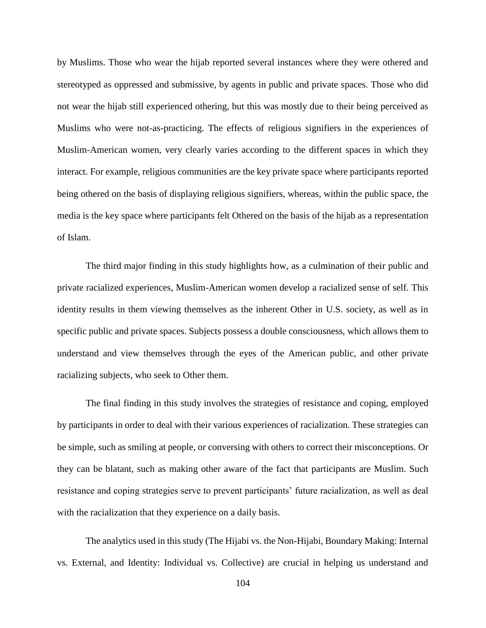by Muslims. Those who wear the hijab reported several instances where they were othered and stereotyped as oppressed and submissive, by agents in public and private spaces. Those who did not wear the hijab still experienced othering, but this was mostly due to their being perceived as Muslims who were not-as-practicing. The effects of religious signifiers in the experiences of Muslim-American women, very clearly varies according to the different spaces in which they interact. For example, religious communities are the key private space where participants reported being othered on the basis of displaying religious signifiers, whereas, within the public space, the media is the key space where participants felt Othered on the basis of the hijab as a representation of Islam.

The third major finding in this study highlights how, as a culmination of their public and private racialized experiences, Muslim-American women develop a racialized sense of self. This identity results in them viewing themselves as the inherent Other in U.S. society, as well as in specific public and private spaces. Subjects possess a double consciousness, which allows them to understand and view themselves through the eyes of the American public, and other private racializing subjects, who seek to Other them.

The final finding in this study involves the strategies of resistance and coping, employed by participants in order to deal with their various experiences of racialization. These strategies can be simple, such as smiling at people, or conversing with others to correct their misconceptions. Or they can be blatant, such as making other aware of the fact that participants are Muslim. Such resistance and coping strategies serve to prevent participants' future racialization, as well as deal with the racialization that they experience on a daily basis.

The analytics used in this study (The Hijabi vs. the Non-Hijabi, Boundary Making: Internal vs. External, and Identity: Individual vs. Collective) are crucial in helping us understand and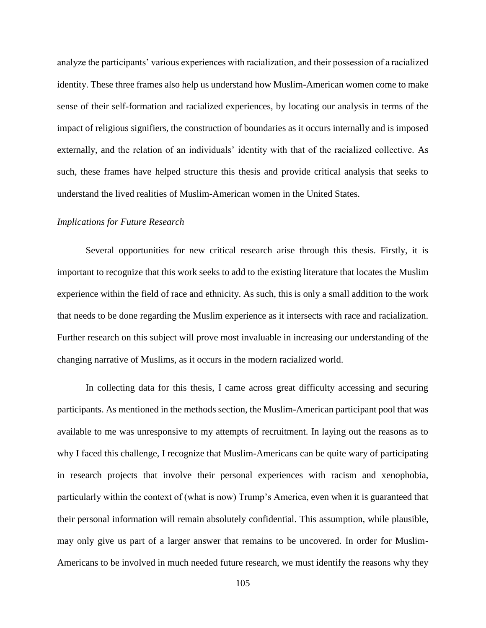analyze the participants' various experiences with racialization, and their possession of a racialized identity. These three frames also help us understand how Muslim-American women come to make sense of their self-formation and racialized experiences, by locating our analysis in terms of the impact of religious signifiers, the construction of boundaries as it occurs internally and is imposed externally, and the relation of an individuals' identity with that of the racialized collective. As such, these frames have helped structure this thesis and provide critical analysis that seeks to understand the lived realities of Muslim-American women in the United States.

#### *Implications for Future Research*

Several opportunities for new critical research arise through this thesis. Firstly, it is important to recognize that this work seeks to add to the existing literature that locates the Muslim experience within the field of race and ethnicity. As such, this is only a small addition to the work that needs to be done regarding the Muslim experience as it intersects with race and racialization. Further research on this subject will prove most invaluable in increasing our understanding of the changing narrative of Muslims, as it occurs in the modern racialized world.

In collecting data for this thesis, I came across great difficulty accessing and securing participants. As mentioned in the methods section, the Muslim-American participant pool that was available to me was unresponsive to my attempts of recruitment. In laying out the reasons as to why I faced this challenge, I recognize that Muslim-Americans can be quite wary of participating in research projects that involve their personal experiences with racism and xenophobia, particularly within the context of (what is now) Trump's America, even when it is guaranteed that their personal information will remain absolutely confidential. This assumption, while plausible, may only give us part of a larger answer that remains to be uncovered. In order for Muslim-Americans to be involved in much needed future research, we must identify the reasons why they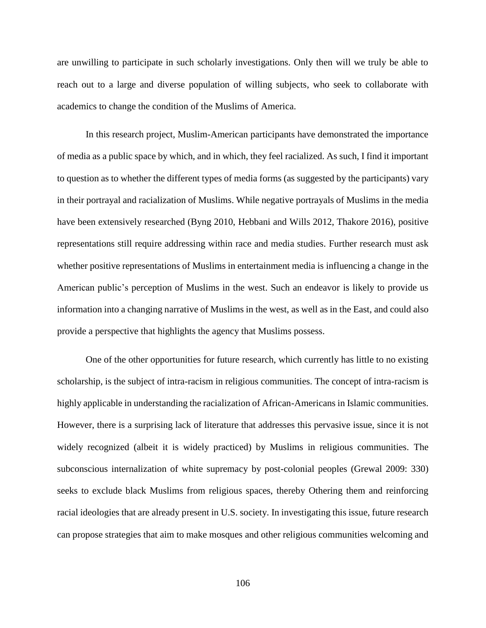are unwilling to participate in such scholarly investigations. Only then will we truly be able to reach out to a large and diverse population of willing subjects, who seek to collaborate with academics to change the condition of the Muslims of America.

In this research project, Muslim-American participants have demonstrated the importance of media as a public space by which, and in which, they feel racialized. As such, I find it important to question as to whether the different types of media forms (as suggested by the participants) vary in their portrayal and racialization of Muslims. While negative portrayals of Muslims in the media have been extensively researched (Byng 2010, Hebbani and Wills 2012, Thakore 2016), positive representations still require addressing within race and media studies. Further research must ask whether positive representations of Muslims in entertainment media is influencing a change in the American public's perception of Muslims in the west. Such an endeavor is likely to provide us information into a changing narrative of Muslims in the west, as well as in the East, and could also provide a perspective that highlights the agency that Muslims possess.

One of the other opportunities for future research, which currently has little to no existing scholarship, is the subject of intra-racism in religious communities. The concept of intra-racism is highly applicable in understanding the racialization of African-Americans in Islamic communities. However, there is a surprising lack of literature that addresses this pervasive issue, since it is not widely recognized (albeit it is widely practiced) by Muslims in religious communities. The subconscious internalization of white supremacy by post-colonial peoples (Grewal 2009: 330) seeks to exclude black Muslims from religious spaces, thereby Othering them and reinforcing racial ideologies that are already present in U.S. society. In investigating this issue, future research can propose strategies that aim to make mosques and other religious communities welcoming and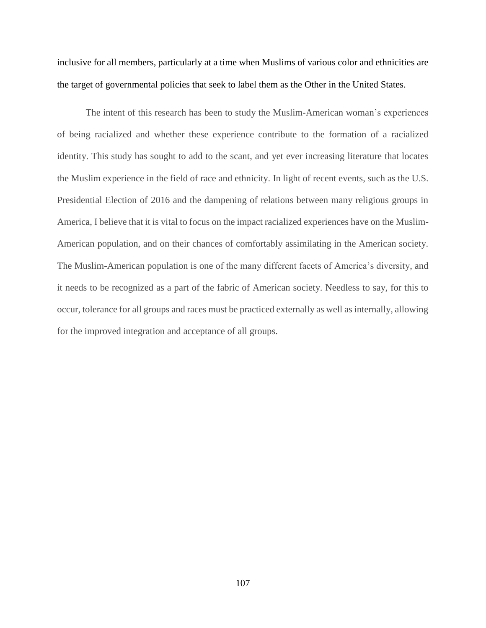inclusive for all members, particularly at a time when Muslims of various color and ethnicities are the target of governmental policies that seek to label them as the Other in the United States.

The intent of this research has been to study the Muslim-American woman's experiences of being racialized and whether these experience contribute to the formation of a racialized identity. This study has sought to add to the scant, and yet ever increasing literature that locates the Muslim experience in the field of race and ethnicity. In light of recent events, such as the U.S. Presidential Election of 2016 and the dampening of relations between many religious groups in America, I believe that it is vital to focus on the impact racialized experiences have on the Muslim-American population, and on their chances of comfortably assimilating in the American society. The Muslim-American population is one of the many different facets of America's diversity, and it needs to be recognized as a part of the fabric of American society. Needless to say, for this to occur, tolerance for all groups and races must be practiced externally as well as internally, allowing for the improved integration and acceptance of all groups.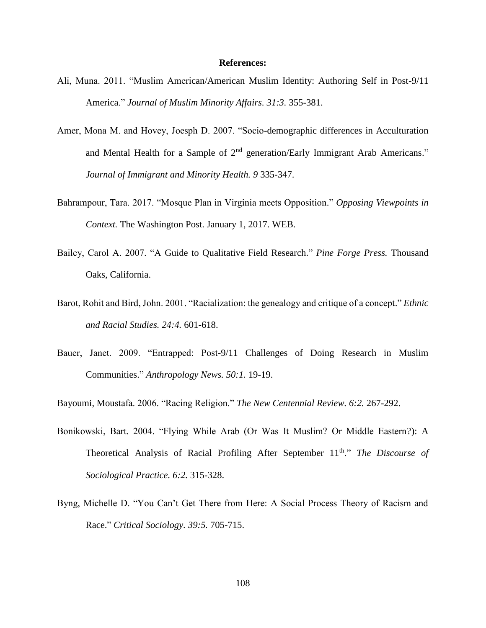#### **References:**

- Ali, Muna. 2011. "Muslim American/American Muslim Identity: Authoring Self in Post-9/11 America." *Journal of Muslim Minority Affairs. 31:3.* 355-381.
- Amer, Mona M. and Hovey, Joesph D. 2007. "Socio-demographic differences in Acculturation and Mental Health for a Sample of  $2<sup>nd</sup>$  generation/Early Immigrant Arab Americans." *Journal of Immigrant and Minority Health. 9* 335-347.
- Bahrampour, Tara. 2017. "Mosque Plan in Virginia meets Opposition." *Opposing Viewpoints in Context.* The Washington Post. January 1, 2017. WEB.
- Bailey, Carol A. 2007. "A Guide to Qualitative Field Research." *Pine Forge Press.* Thousand Oaks, California.
- Barot, Rohit and Bird, John. 2001. "Racialization: the genealogy and critique of a concept." *Ethnic and Racial Studies. 24:4.* 601-618.
- Bauer, Janet. 2009. "Entrapped: Post-9/11 Challenges of Doing Research in Muslim Communities." *Anthropology News. 50:1.* 19-19.

Bayoumi, Moustafa. 2006. "Racing Religion." *The New Centennial Review. 6:2.* 267-292.

- Bonikowski, Bart. 2004. "Flying While Arab (Or Was It Muslim? Or Middle Eastern?): A Theoretical Analysis of Racial Profiling After September 11<sup>th</sup>." *The Discourse of Sociological Practice. 6:2.* 315-328.
- Byng, Michelle D. "You Can't Get There from Here: A Social Process Theory of Racism and Race." *Critical Sociology. 39:5.* 705-715.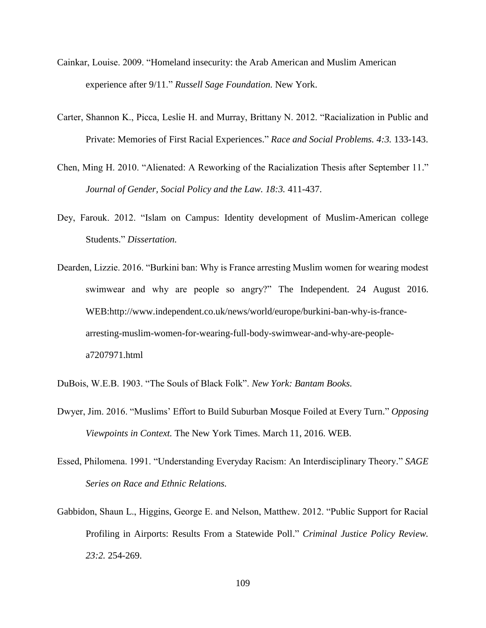- Cainkar, Louise. 2009. "Homeland insecurity: the Arab American and Muslim American experience after 9/11." *Russell Sage Foundation.* New York.
- Carter, Shannon K., Picca, Leslie H. and Murray, Brittany N. 2012. "Racialization in Public and Private: Memories of First Racial Experiences." *Race and Social Problems. 4:3.* 133-143.
- Chen, Ming H. 2010. "Alienated: A Reworking of the Racialization Thesis after September 11." *Journal of Gender, Social Policy and the Law. 18:3.* 411-437.
- Dey, Farouk. 2012. "Islam on Campus: Identity development of Muslim-American college Students." *Dissertation.*
- Dearden, Lizzie. 2016. "Burkini ban: Why is France arresting Muslim women for wearing modest swimwear and why are people so angry?" The Independent*.* 24 August 2016. WEB:http://www.independent.co.uk/news/world/europe/burkini-ban-why-is-francearresting-muslim-women-for-wearing-full-body-swimwear-and-why-are-peoplea7207971.html
- DuBois, W.E.B. 1903. "The Souls of Black Folk". *New York: Bantam Books.*
- Dwyer, Jim. 2016. "Muslims' Effort to Build Suburban Mosque Foiled at Every Turn." *Opposing Viewpoints in Context.* The New York Times. March 11, 2016. WEB.
- Essed, Philomena. 1991. "Understanding Everyday Racism: An Interdisciplinary Theory." *SAGE Series on Race and Ethnic Relations.*
- Gabbidon, Shaun L., Higgins, George E. and Nelson, Matthew. 2012. "Public Support for Racial Profiling in Airports: Results From a Statewide Poll." *Criminal Justice Policy Review. 23:2.* 254-269.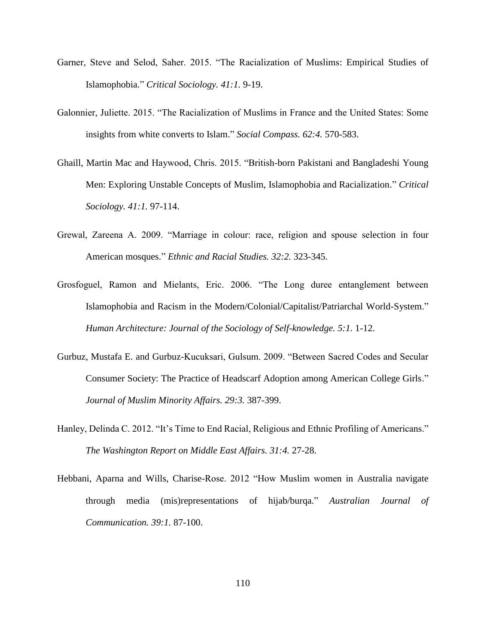- Garner, Steve and Selod, Saher. 2015. "The Racialization of Muslims: Empirical Studies of Islamophobia." *Critical Sociology. 41:1.* 9-19.
- Galonnier, Juliette. 2015. "The Racialization of Muslims in France and the United States: Some insights from white converts to Islam." *Social Compass. 62:4.* 570-583.
- Ghaill, Martin Mac and Haywood, Chris. 2015. "British-born Pakistani and Bangladeshi Young Men: Exploring Unstable Concepts of Muslim, Islamophobia and Racialization." *Critical Sociology. 41:1.* 97-114.
- Grewal, Zareena A. 2009. "Marriage in colour: race, religion and spouse selection in four American mosques." *Ethnic and Racial Studies. 32:2.* 323-345.
- Grosfoguel, Ramon and Mielants, Eric. 2006. "The Long duree entanglement between Islamophobia and Racism in the Modern/Colonial/Capitalist/Patriarchal World-System." *Human Architecture: Journal of the Sociology of Self-knowledge. 5:1.* 1-12.
- Gurbuz, Mustafa E. and Gurbuz-Kucuksari, Gulsum. 2009. "Between Sacred Codes and Secular Consumer Society: The Practice of Headscarf Adoption among American College Girls." *Journal of Muslim Minority Affairs. 29:3.* 387-399.
- Hanley, Delinda C. 2012. "It's Time to End Racial, Religious and Ethnic Profiling of Americans." *The Washington Report on Middle East Affairs. 31:4.* 27-28.
- Hebbani, Aparna and Wills, Charise-Rose. 2012 "How Muslim women in Australia navigate through media (mis)representations of hijab/burqa." *Australian Journal of Communication. 39:1.* 87-100.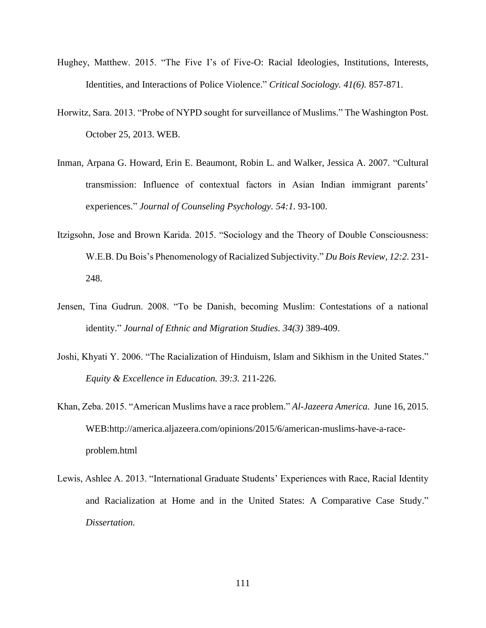- Hughey, Matthew. 2015. "The Five I's of Five-O: Racial Ideologies, Institutions, Interests, Identities, and Interactions of Police Violence." *Critical Sociology. 41(6).* 857-871.
- Horwitz, Sara. 2013. "Probe of NYPD sought for surveillance of Muslims." The Washington Post*.* October 25, 2013. WEB.
- Inman, Arpana G. Howard, Erin E. Beaumont, Robin L. and Walker, Jessica A. 2007. "Cultural transmission: Influence of contextual factors in Asian Indian immigrant parents' experiences." *Journal of Counseling Psychology. 54:1.* 93-100.
- Itzigsohn, Jose and Brown Karida. 2015. "Sociology and the Theory of Double Consciousness: W.E.B. Du Bois's Phenomenology of Racialized Subjectivity." *Du Bois Review, 12:2.* 231- 248.
- Jensen, Tina Gudrun. 2008. "To be Danish, becoming Muslim: Contestations of a national identity." *Journal of Ethnic and Migration Studies. 34(3)* 389-409.
- Joshi, Khyati Y. 2006. "The Racialization of Hinduism, Islam and Sikhism in the United States." *Equity & Excellence in Education. 39:3.* 211-226.
- Khan, Zeba. 2015. "American Muslims have a race problem." *Al-Jazeera America.* June 16, 2015. WEB:http://america.aljazeera.com/opinions/2015/6/american-muslims-have-a-raceproblem.html
- Lewis, Ashlee A. 2013. "International Graduate Students' Experiences with Race, Racial Identity and Racialization at Home and in the United States: A Comparative Case Study." *Dissertation.*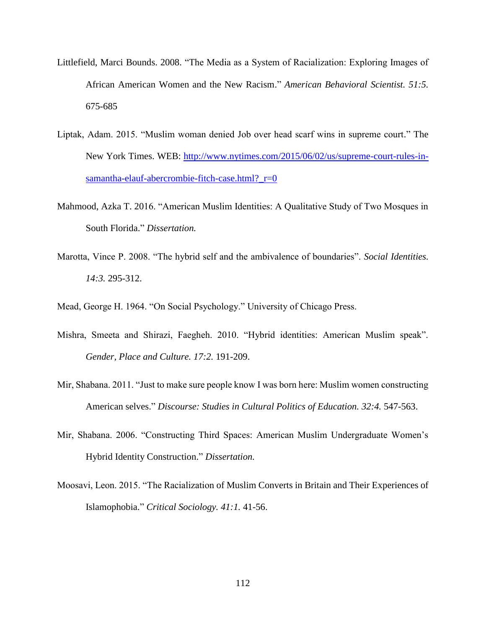- Littlefield, Marci Bounds. 2008. "The Media as a System of Racialization: Exploring Images of African American Women and the New Racism." *American Behavioral Scientist. 51:5.*  675-685
- Liptak, Adam. 2015. "Muslim woman denied Job over head scarf wins in supreme court." The New York Times. WEB: [http://www.nytimes.com/2015/06/02/us/supreme-court-rules-in](http://www.nytimes.com/2015/06/02/us/supreme-court-rules-in-samantha-elauf-abercrombie-fitch-case.html?_r=0)[samantha-elauf-abercrombie-fitch-case.html?\\_r=0](http://www.nytimes.com/2015/06/02/us/supreme-court-rules-in-samantha-elauf-abercrombie-fitch-case.html?_r=0)
- Mahmood, Azka T. 2016. "American Muslim Identities: A Qualitative Study of Two Mosques in South Florida." *Dissertation.*
- Marotta, Vince P. 2008. "The hybrid self and the ambivalence of boundaries". *Social Identities. 14:3.* 295-312.
- Mead, George H. 1964. "On Social Psychology." University of Chicago Press.
- Mishra, Smeeta and Shirazi, Faegheh. 2010. "Hybrid identities: American Muslim speak". *Gender, Place and Culture. 17:2.* 191-209.
- Mir, Shabana. 2011. "Just to make sure people know I was born here: Muslim women constructing American selves." *Discourse: Studies in Cultural Politics of Education. 32:4.* 547-563.
- Mir, Shabana. 2006. "Constructing Third Spaces: American Muslim Undergraduate Women's Hybrid Identity Construction." *Dissertation.*
- Moosavi, Leon. 2015. "The Racialization of Muslim Converts in Britain and Their Experiences of Islamophobia." *Critical Sociology. 41:1.* 41-56.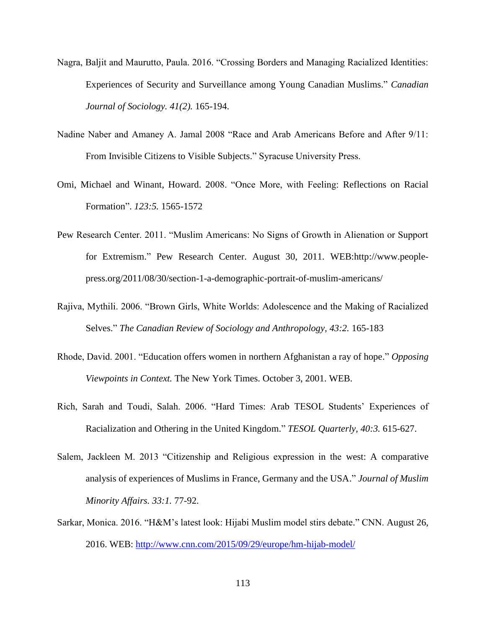- Nagra, Baljit and Maurutto, Paula. 2016. "Crossing Borders and Managing Racialized Identities: Experiences of Security and Surveillance among Young Canadian Muslims." *Canadian Journal of Sociology. 41(2).* 165-194.
- Nadine Naber and Amaney A. Jamal 2008 "Race and Arab Americans Before and After 9/11: From Invisible Citizens to Visible Subjects." Syracuse University Press.
- Omi, Michael and Winant, Howard. 2008. "Once More, with Feeling: Reflections on Racial Formation". *123:5.* 1565-1572
- Pew Research Center. 2011. "Muslim Americans: No Signs of Growth in Alienation or Support for Extremism." Pew Research Center. August 30, 2011. WEB:http://www.peoplepress.org/2011/08/30/section-1-a-demographic-portrait-of-muslim-americans/
- Rajiva, Mythili. 2006. "Brown Girls, White Worlds: Adolescence and the Making of Racialized Selves." *The Canadian Review of Sociology and Anthropology, 43:2.* 165-183
- Rhode, David. 2001. "Education offers women in northern Afghanistan a ray of hope." *Opposing Viewpoints in Context.* The New York Times. October 3, 2001. WEB.
- Rich, Sarah and Toudi, Salah. 2006. "Hard Times: Arab TESOL Students' Experiences of Racialization and Othering in the United Kingdom." *TESOL Quarterly, 40:3.* 615-627.
- Salem, Jackleen M. 2013 "Citizenship and Religious expression in the west: A comparative analysis of experiences of Muslims in France, Germany and the USA." *Journal of Muslim Minority Affairs. 33:1.* 77-92.
- Sarkar, Monica. 2016. "H&M's latest look: Hijabi Muslim model stirs debate." CNN. August 26, 2016. WEB: <http://www.cnn.com/2015/09/29/europe/hm-hijab-model/>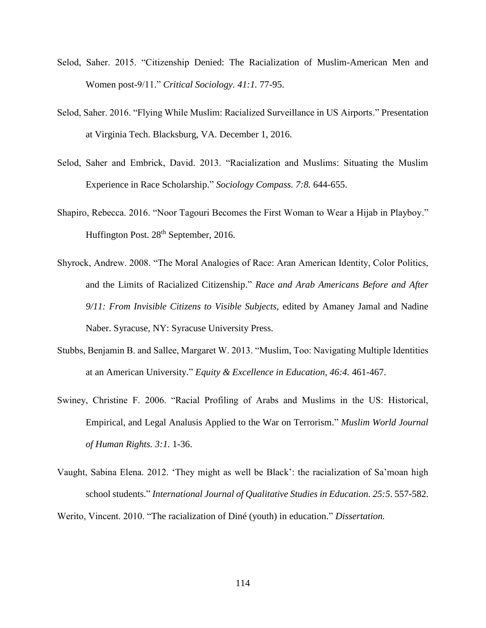- Selod, Saher. 2015. "Citizenship Denied: The Racialization of Muslim-American Men and Women post-9/11." *Critical Sociology. 41:1.* 77-95.
- Selod, Saher. 2016. "Flying While Muslim: Racialized Surveillance in US Airports." Presentation at Virginia Tech. Blacksburg, VA. December 1, 2016.
- Selod, Saher and Embrick, David. 2013. "Racialization and Muslims: Situating the Muslim Experience in Race Scholarship." *Sociology Compass. 7:8.* 644-655.
- Shapiro, Rebecca. 2016. "Noor Tagouri Becomes the First Woman to Wear a Hijab in Playboy." Huffington Post. 28<sup>th</sup> September, 2016.
- Shyrock, Andrew. 2008. "The Moral Analogies of Race: Aran American Identity, Color Politics, and the Limits of Racialized Citizenship." *Race and Arab Americans Before and After 9/11: From Invisible Citizens to Visible Subjects,* edited by Amaney Jamal and Nadine Naber. Syracuse, NY: Syracuse University Press.
- Stubbs, Benjamin B. and Sallee, Margaret W. 2013. "Muslim, Too: Navigating Multiple Identities at an American University." *Equity & Excellence in Education, 46:4.* 461-467.
- Swiney, Christine F. 2006. "Racial Profiling of Arabs and Muslims in the US: Historical, Empirical, and Legal Analusis Applied to the War on Terrorism." *Muslim World Journal of Human Rights. 3:1.* 1-36.
- Vaught, Sabina Elena. 2012. 'They might as well be Black': the racialization of Sa'moan high school students." *International Journal of Qualitative Studies in Education. 25:5*. 557-582.

Werito, Vincent. 2010. "The racialization of Diné (youth) in education." *Dissertation.*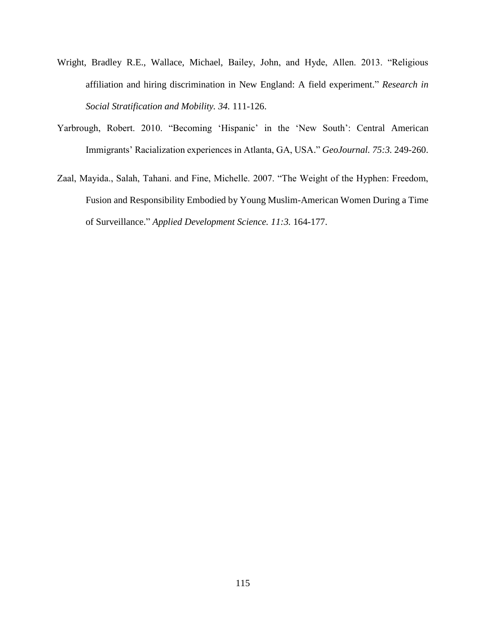- Wright, Bradley R.E., Wallace, Michael, Bailey, John, and Hyde, Allen. 2013. "Religious affiliation and hiring discrimination in New England: A field experiment." *Research in Social Stratification and Mobility. 34.* 111-126.
- Yarbrough, Robert. 2010. "Becoming 'Hispanic' in the 'New South': Central American Immigrants' Racialization experiences in Atlanta, GA, USA." *GeoJournal. 75:3.* 249-260.
- Zaal, Mayida., Salah, Tahani. and Fine, Michelle. 2007. "The Weight of the Hyphen: Freedom, Fusion and Responsibility Embodied by Young Muslim-American Women During a Time of Surveillance." *Applied Development Science. 11:3.* 164-177.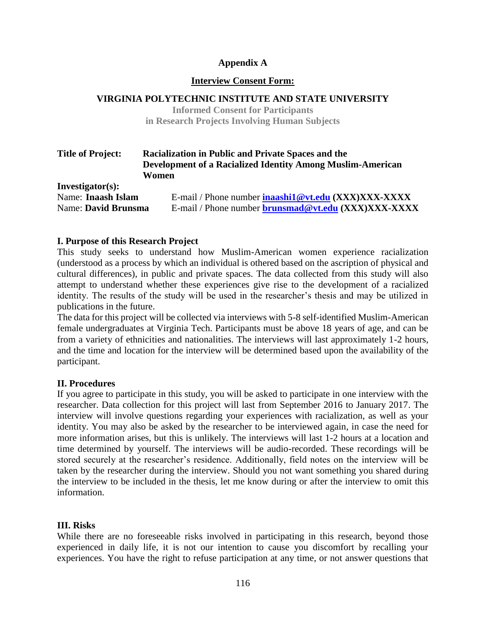## **Appendix A**

#### **Interview Consent Form:**

#### **VIRGINIA POLYTECHNIC INSTITUTE AND STATE UNIVERSITY**

**Informed Consent for Participants in Research Projects Involving Human Subjects**

| <b>Title of Project:</b>   | <b>Racialization in Public and Private Spaces and the</b><br>Development of a Racialized Identity Among Muslim-American |  |
|----------------------------|-------------------------------------------------------------------------------------------------------------------------|--|
| Investigator(s):           | Women                                                                                                                   |  |
| Name: Inaash Islam         | E-mail / Phone number inaashi1@vt.edu (XXX)XXX-XXXX                                                                     |  |
| <b>Name: David Brunsma</b> | E-mail / Phone number <b>brunsmad@vt.edu</b> (XXX)XXX-XXXX                                                              |  |

#### **I. Purpose of this Research Project**

This study seeks to understand how Muslim-American women experience racialization (understood as a process by which an individual is othered based on the ascription of physical and cultural differences), in public and private spaces. The data collected from this study will also attempt to understand whether these experiences give rise to the development of a racialized identity. The results of the study will be used in the researcher's thesis and may be utilized in publications in the future.

The data for this project will be collected via interviews with 5-8 self-identified Muslim-American female undergraduates at Virginia Tech. Participants must be above 18 years of age, and can be from a variety of ethnicities and nationalities. The interviews will last approximately 1-2 hours, and the time and location for the interview will be determined based upon the availability of the participant.

#### **II. Procedures**

If you agree to participate in this study, you will be asked to participate in one interview with the researcher. Data collection for this project will last from September 2016 to January 2017. The interview will involve questions regarding your experiences with racialization, as well as your identity. You may also be asked by the researcher to be interviewed again, in case the need for more information arises, but this is unlikely. The interviews will last 1-2 hours at a location and time determined by yourself. The interviews will be audio-recorded. These recordings will be stored securely at the researcher's residence. Additionally, field notes on the interview will be taken by the researcher during the interview. Should you not want something you shared during the interview to be included in the thesis, let me know during or after the interview to omit this information.

#### **III. Risks**

While there are no foreseeable risks involved in participating in this research, beyond those experienced in daily life, it is not our intention to cause you discomfort by recalling your experiences. You have the right to refuse participation at any time, or not answer questions that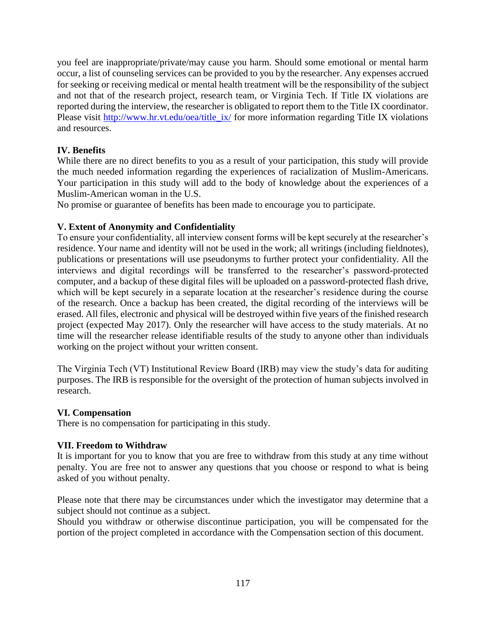you feel are inappropriate/private/may cause you harm. Should some emotional or mental harm occur, a list of counseling services can be provided to you by the researcher. Any expenses accrued for seeking or receiving medical or mental health treatment will be the responsibility of the subject and not that of the research project, research team, or Virginia Tech. If Title IX violations are reported during the interview, the researcher is obligated to report them to the Title IX coordinator. Please visit [http://www.hr.vt.edu/oea/title\\_ix/](http://www.hr.vt.edu/oea/title_ix/) for more information regarding Title IX violations and resources.

## **IV. Benefits**

While there are no direct benefits to you as a result of your participation, this study will provide the much needed information regarding the experiences of racialization of Muslim-Americans. Your participation in this study will add to the body of knowledge about the experiences of a Muslim-American woman in the U.S.

No promise or guarantee of benefits has been made to encourage you to participate.

## **V. Extent of Anonymity and Confidentiality**

To ensure your confidentiality, all interview consent forms will be kept securely at the researcher's residence. Your name and identity will not be used in the work; all writings (including fieldnotes), publications or presentations will use pseudonyms to further protect your confidentiality. All the interviews and digital recordings will be transferred to the researcher's password-protected computer, and a backup of these digital files will be uploaded on a password-protected flash drive, which will be kept securely in a separate location at the researcher's residence during the course of the research. Once a backup has been created, the digital recording of the interviews will be erased. All files, electronic and physical will be destroyed within five years of the finished research project (expected May 2017). Only the researcher will have access to the study materials. At no time will the researcher release identifiable results of the study to anyone other than individuals working on the project without your written consent.

The Virginia Tech (VT) Institutional Review Board (IRB) may view the study's data for auditing purposes. The IRB is responsible for the oversight of the protection of human subjects involved in research.

## **VI. Compensation**

There is no compensation for participating in this study.

## **VII. Freedom to Withdraw**

It is important for you to know that you are free to withdraw from this study at any time without penalty. You are free not to answer any questions that you choose or respond to what is being asked of you without penalty.

Please note that there may be circumstances under which the investigator may determine that a subject should not continue as a subject.

Should you withdraw or otherwise discontinue participation, you will be compensated for the portion of the project completed in accordance with the Compensation section of this document.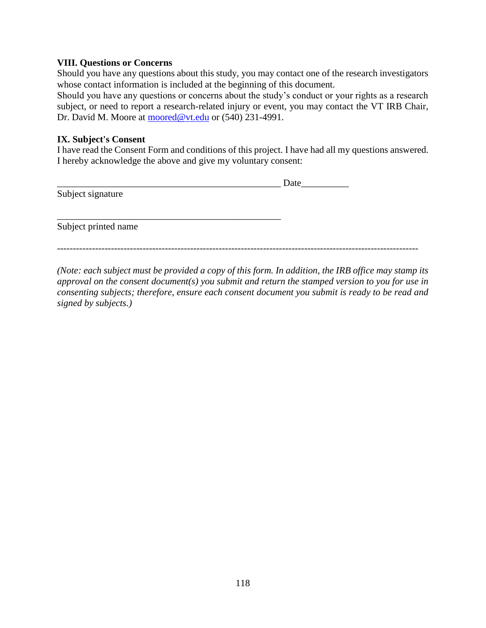#### **VIII. Questions or Concerns**

Should you have any questions about this study, you may contact one of the research investigators whose contact information is included at the beginning of this document.

Should you have any questions or concerns about the study's conduct or your rights as a research subject, or need to report a research-related injury or event, you may contact the VT IRB Chair, Dr. David M. Moore at [moored@vt.edu](mailto:moored@vt.edu) or (540) 231-4991.

#### **IX. Subject's Consent**

I have read the Consent Form and conditions of this project. I have had all my questions answered. I hereby acknowledge the above and give my voluntary consent:

|                      | Date |
|----------------------|------|
| Subject signature    |      |
|                      |      |
|                      |      |
| Subject printed name |      |
|                      |      |

*------------------------------------------------------------------------------------------------------------------*

*(Note: each subject must be provided a copy of this form. In addition, the IRB office may stamp its approval on the consent document(s) you submit and return the stamped version to you for use in consenting subjects; therefore, ensure each consent document you submit is ready to be read and signed by subjects.)*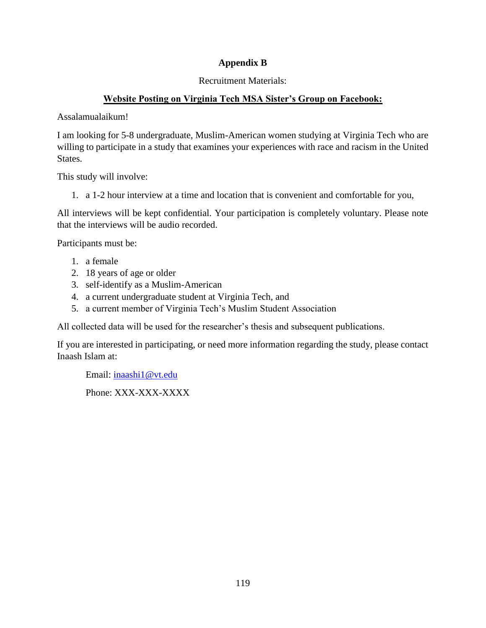## **Appendix B**

## Recruitment Materials:

## **Website Posting on Virginia Tech MSA Sister's Group on Facebook:**

Assalamualaikum!

I am looking for 5-8 undergraduate, Muslim-American women studying at Virginia Tech who are willing to participate in a study that examines your experiences with race and racism in the United States.

This study will involve:

1. a 1-2 hour interview at a time and location that is convenient and comfortable for you,

All interviews will be kept confidential. Your participation is completely voluntary. Please note that the interviews will be audio recorded.

Participants must be:

- 1. a female
- 2. 18 years of age or older
- 3. self-identify as a Muslim-American
- 4. a current undergraduate student at Virginia Tech, and
- 5. a current member of Virginia Tech's Muslim Student Association

All collected data will be used for the researcher's thesis and subsequent publications.

If you are interested in participating, or need more information regarding the study, please contact Inaash Islam at:

Email: [inaashi1@vt.edu](mailto:inaashi1@vt.edu)

Phone: XXX-XXX-XXXX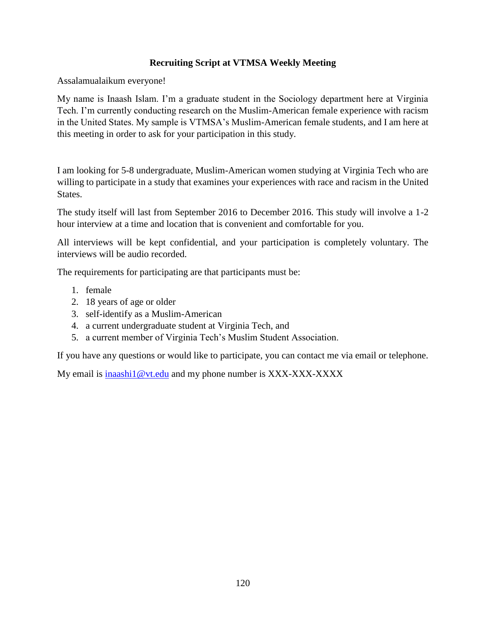## **Recruiting Script at VTMSA Weekly Meeting**

Assalamualaikum everyone!

My name is Inaash Islam. I'm a graduate student in the Sociology department here at Virginia Tech. I'm currently conducting research on the Muslim-American female experience with racism in the United States. My sample is VTMSA's Muslim-American female students, and I am here at this meeting in order to ask for your participation in this study.

I am looking for 5-8 undergraduate, Muslim-American women studying at Virginia Tech who are willing to participate in a study that examines your experiences with race and racism in the United States.

The study itself will last from September 2016 to December 2016. This study will involve a 1-2 hour interview at a time and location that is convenient and comfortable for you.

All interviews will be kept confidential, and your participation is completely voluntary. The interviews will be audio recorded.

The requirements for participating are that participants must be:

- 1. female
- 2. 18 years of age or older
- 3. self-identify as a Muslim-American
- 4. a current undergraduate student at Virginia Tech, and
- 5. a current member of Virginia Tech's Muslim Student Association.

If you have any questions or would like to participate, you can contact me via email or telephone.

My email is  $\frac{\text{in aashi1@vt.edu}}{\text{in aashi1@vt.edu}}$  and my phone number is XXX-XXX-XXXXX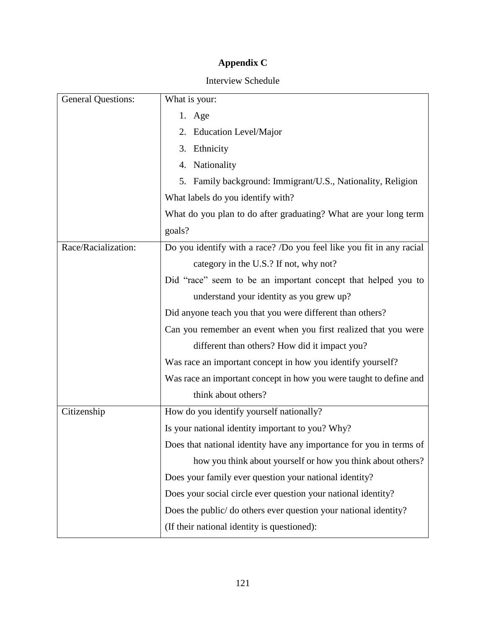# **Appendix C**

## Interview Schedule

| <b>General Questions:</b> | What is your:                                                        |
|---------------------------|----------------------------------------------------------------------|
|                           | 1. Age                                                               |
|                           | 2. Education Level/Major                                             |
|                           | 3. Ethnicity                                                         |
|                           | 4. Nationality                                                       |
|                           | 5. Family background: Immigrant/U.S., Nationality, Religion          |
|                           | What labels do you identify with?                                    |
|                           | What do you plan to do after graduating? What are your long term     |
|                           | goals?                                                               |
| Race/Racialization:       | Do you identify with a race? /Do you feel like you fit in any racial |
|                           | category in the U.S.? If not, why not?                               |
|                           | Did "race" seem to be an important concept that helped you to        |
|                           | understand your identity as you grew up?                             |
|                           | Did anyone teach you that you were different than others?            |
|                           | Can you remember an event when you first realized that you were      |
|                           | different than others? How did it impact you?                        |
|                           | Was race an important concept in how you identify yourself?          |
|                           | Was race an important concept in how you were taught to define and   |
|                           | think about others?                                                  |
| Citizenship               | How do you identify yourself nationally?                             |
|                           | Is your national identity important to you? Why?                     |
|                           | Does that national identity have any importance for you in terms of  |
|                           | how you think about yourself or how you think about others?          |
|                           | Does your family ever question your national identity?               |
|                           | Does your social circle ever question your national identity?        |
|                           | Does the public/ do others ever question your national identity?     |
|                           | (If their national identity is questioned):                          |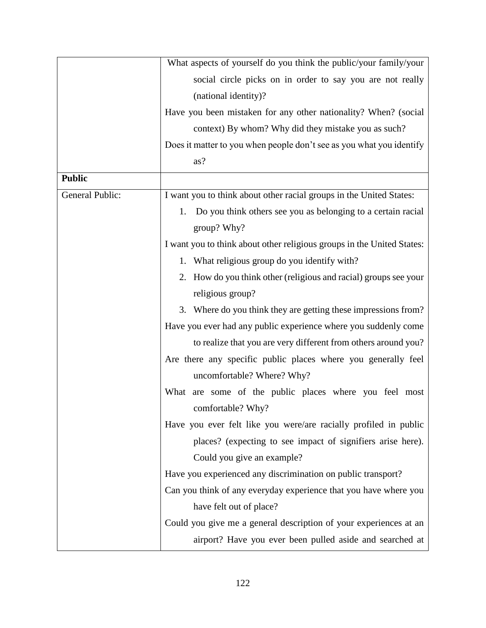|                 | What aspects of yourself do you think the public/your family/your                 |
|-----------------|-----------------------------------------------------------------------------------|
|                 | social circle picks on in order to say you are not really                         |
|                 | (national identity)?                                                              |
|                 | Have you been mistaken for any other nationality? When? (social                   |
|                 | context) By whom? Why did they mistake you as such?                               |
|                 | Does it matter to you when people don't see as you what you identify              |
|                 | as?                                                                               |
| <b>Public</b>   |                                                                                   |
| General Public: | I want you to think about other racial groups in the United States:               |
|                 | Do you think others see you as belonging to a certain racial<br>1.<br>group? Why? |
|                 | I want you to think about other religious groups in the United States:            |
|                 | 1. What religious group do you identify with?                                     |
|                 | 2. How do you think other (religious and racial) groups see your                  |
|                 | religious group?                                                                  |
|                 | 3. Where do you think they are getting these impressions from?                    |
|                 | Have you ever had any public experience where you suddenly come                   |
|                 | to realize that you are very different from others around you?                    |
|                 | Are there any specific public places where you generally feel                     |
|                 | uncomfortable? Where? Why?                                                        |
|                 | What are some of the public places where you feel most<br>comfortable? Why?       |
|                 | Have you ever felt like you were/are racially profiled in public                  |
|                 | places? (expecting to see impact of signifiers arise here).                       |
|                 | Could you give an example?                                                        |
|                 | Have you experienced any discrimination on public transport?                      |
|                 | Can you think of any everyday experience that you have where you                  |
|                 | have felt out of place?                                                           |
|                 | Could you give me a general description of your experiences at an                 |
|                 | airport? Have you ever been pulled aside and searched at                          |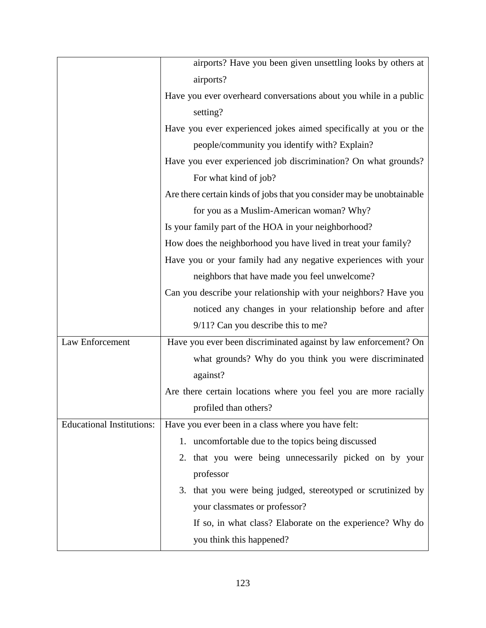|                                  | airports? Have you been given unsettling looks by others at           |
|----------------------------------|-----------------------------------------------------------------------|
|                                  | airports?                                                             |
|                                  | Have you ever overheard conversations about you while in a public     |
|                                  | setting?                                                              |
|                                  | Have you ever experienced jokes aimed specifically at you or the      |
|                                  | people/community you identify with? Explain?                          |
|                                  | Have you ever experienced job discrimination? On what grounds?        |
|                                  | For what kind of job?                                                 |
|                                  | Are there certain kinds of jobs that you consider may be unobtainable |
|                                  | for you as a Muslim-American woman? Why?                              |
|                                  | Is your family part of the HOA in your neighborhood?                  |
|                                  | How does the neighborhood you have lived in treat your family?        |
|                                  | Have you or your family had any negative experiences with your        |
|                                  | neighbors that have made you feel unwelcome?                          |
|                                  | Can you describe your relationship with your neighbors? Have you      |
|                                  | noticed any changes in your relationship before and after             |
|                                  | 9/11? Can you describe this to me?                                    |
| Law Enforcement                  | Have you ever been discriminated against by law enforcement? On       |
|                                  | what grounds? Why do you think you were discriminated                 |
|                                  | against?                                                              |
|                                  | Are there certain locations where you feel you are more racially      |
|                                  | profiled than others?                                                 |
| <b>Educational Institutions:</b> | Have you ever been in a class where you have felt:                    |
|                                  | 1. uncomfortable due to the topics being discussed                    |
|                                  | 2. that you were being unnecessarily picked on by your                |
|                                  | professor                                                             |
|                                  | 3. that you were being judged, stereotyped or scrutinized by          |
|                                  | your classmates or professor?                                         |
|                                  | If so, in what class? Elaborate on the experience? Why do             |
|                                  | you think this happened?                                              |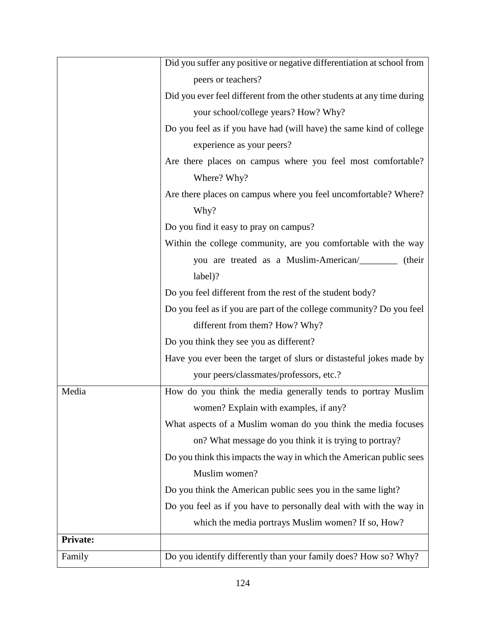|                 | Did you suffer any positive or negative differentiation at school from |
|-----------------|------------------------------------------------------------------------|
|                 | peers or teachers?                                                     |
|                 | Did you ever feel different from the other students at any time during |
|                 | your school/college years? How? Why?                                   |
|                 | Do you feel as if you have had (will have) the same kind of college    |
|                 | experience as your peers?                                              |
|                 | Are there places on campus where you feel most comfortable?            |
|                 | Where? Why?                                                            |
|                 | Are there places on campus where you feel uncomfortable? Where?        |
|                 | Why?                                                                   |
|                 | Do you find it easy to pray on campus?                                 |
|                 | Within the college community, are you comfortable with the way         |
|                 | you are treated as a Muslim-American/<br>(their                        |
|                 | label)?                                                                |
|                 | Do you feel different from the rest of the student body?               |
|                 | Do you feel as if you are part of the college community? Do you feel   |
|                 | different from them? How? Why?                                         |
|                 | Do you think they see you as different?                                |
|                 | Have you ever been the target of slurs or distasteful jokes made by    |
|                 | your peers/classmates/professors, etc.?                                |
| Media           | How do you think the media generally tends to portray Muslim           |
|                 | women? Explain with examples, if any?                                  |
|                 | What aspects of a Muslim woman do you think the media focuses          |
|                 | on? What message do you think it is trying to portray?                 |
|                 | Do you think this impacts the way in which the American public sees    |
|                 | Muslim women?                                                          |
|                 | Do you think the American public sees you in the same light?           |
|                 | Do you feel as if you have to personally deal with with the way in     |
|                 | which the media portrays Muslim women? If so, How?                     |
| <b>Private:</b> |                                                                        |
| Family          | Do you identify differently than your family does? How so? Why?        |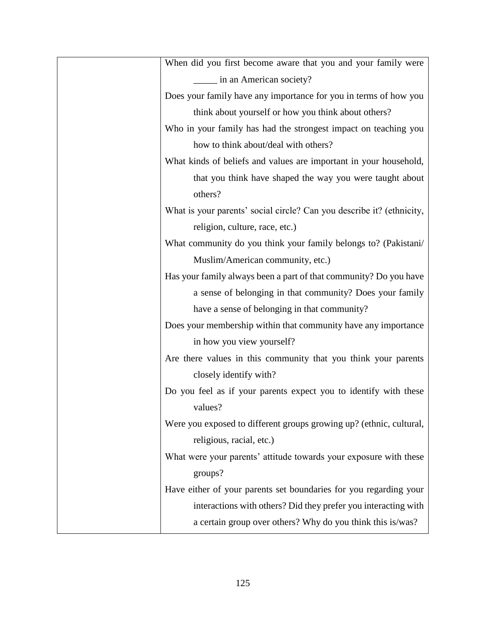| When did you first become aware that you and your family were         |
|-----------------------------------------------------------------------|
| in an American society?                                               |
| Does your family have any importance for you in terms of how you      |
| think about yourself or how you think about others?                   |
| Who in your family has had the strongest impact on teaching you       |
| how to think about/deal with others?                                  |
| What kinds of beliefs and values are important in your household,     |
| that you think have shaped the way you were taught about              |
| others?                                                               |
| What is your parents' social circle? Can you describe it? (ethnicity, |
| religion, culture, race, etc.)                                        |
| What community do you think your family belongs to? (Pakistani/       |
| Muslim/American community, etc.)                                      |
| Has your family always been a part of that community? Do you have     |
| a sense of belonging in that community? Does your family              |
| have a sense of belonging in that community?                          |
| Does your membership within that community have any importance        |
| in how you view yourself?                                             |
| Are there values in this community that you think your parents        |
| closely identify with?                                                |
| Do you feel as if your parents expect you to identify with these      |
| values?                                                               |
| Were you exposed to different groups growing up? (ethnic, cultural,   |
| religious, racial, etc.)                                              |
| What were your parents' attitude towards your exposure with these     |
| groups?                                                               |
| Have either of your parents set boundaries for you regarding your     |
| interactions with others? Did they prefer you interacting with        |
| a certain group over others? Why do you think this is/was?            |
|                                                                       |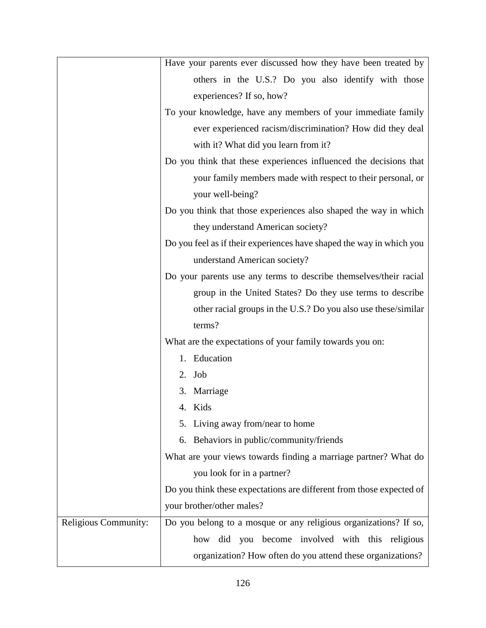|                      | Have your parents ever discussed how they have been treated by       |
|----------------------|----------------------------------------------------------------------|
|                      | others in the U.S.? Do you also identify with those                  |
|                      | experiences? If so, how?                                             |
|                      | To your knowledge, have any members of your immediate family         |
|                      | ever experienced racism/discrimination? How did they deal            |
|                      | with it? What did you learn from it?                                 |
|                      | Do you think that these experiences influenced the decisions that    |
|                      | your family members made with respect to their personal, or          |
|                      | your well-being?                                                     |
|                      | Do you think that those experiences also shaped the way in which     |
|                      | they understand American society?                                    |
|                      | Do you feel as if their experiences have shaped the way in which you |
|                      | understand American society?                                         |
|                      | Do your parents use any terms to describe themselves/their racial    |
|                      | group in the United States? Do they use terms to describe            |
|                      | other racial groups in the U.S.? Do you also use these/similar       |
|                      | terms?                                                               |
|                      | What are the expectations of your family towards you on:             |
|                      | 1. Education                                                         |
|                      | 2. Job                                                               |
|                      | 3. Marriage                                                          |
|                      | 4. Kids                                                              |
|                      | 5. Living away from/near to home                                     |
|                      | 6. Behaviors in public/community/friends                             |
|                      | What are your views towards finding a marriage partner? What do      |
|                      | you look for in a partner?                                           |
|                      | Do you think these expectations are different from those expected of |
|                      | your brother/other males?                                            |
| Religious Community: | Do you belong to a mosque or any religious organizations? If so,     |
|                      | how did you become involved with this religious                      |
|                      | organization? How often do you attend these organizations?           |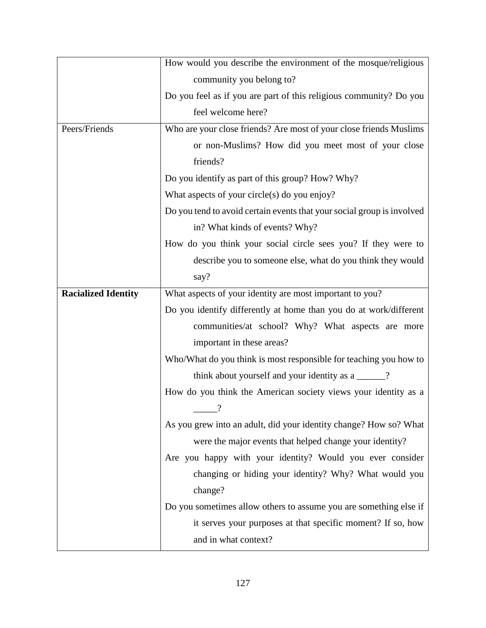|                            | How would you describe the environment of the mosque/religious         |
|----------------------------|------------------------------------------------------------------------|
|                            | community you belong to?                                               |
|                            | Do you feel as if you are part of this religious community? Do you     |
|                            | feel welcome here?                                                     |
| Peers/Friends              | Who are your close friends? Are most of your close friends Muslims     |
|                            | or non-Muslims? How did you meet most of your close                    |
|                            | friends?                                                               |
|                            | Do you identify as part of this group? How? Why?                       |
|                            | What aspects of your circle(s) do you enjoy?                           |
|                            | Do you tend to avoid certain events that your social group is involved |
|                            | in? What kinds of events? Why?                                         |
|                            | How do you think your social circle sees you? If they were to          |
|                            | describe you to someone else, what do you think they would             |
|                            | say?                                                                   |
| <b>Racialized Identity</b> | What aspects of your identity are most important to you?               |
|                            | Do you identify differently at home than you do at work/different      |
|                            | communities/at school? Why? What aspects are more                      |
|                            | important in these areas?                                              |
|                            | Who/What do you think is most responsible for teaching you how to      |
|                            | think about yourself and your identity as a _____?                     |
|                            | How do you think the American society views your identity as a         |
|                            | $\ddot{?}$                                                             |
|                            | As you grew into an adult, did your identity change? How so? What      |
|                            | were the major events that helped change your identity?                |
|                            | Are you happy with your identity? Would you ever consider              |
|                            | changing or hiding your identity? Why? What would you                  |
|                            | change?                                                                |
|                            | Do you sometimes allow others to assume you are something else if      |
|                            | it serves your purposes at that specific moment? If so, how            |
|                            | and in what context?                                                   |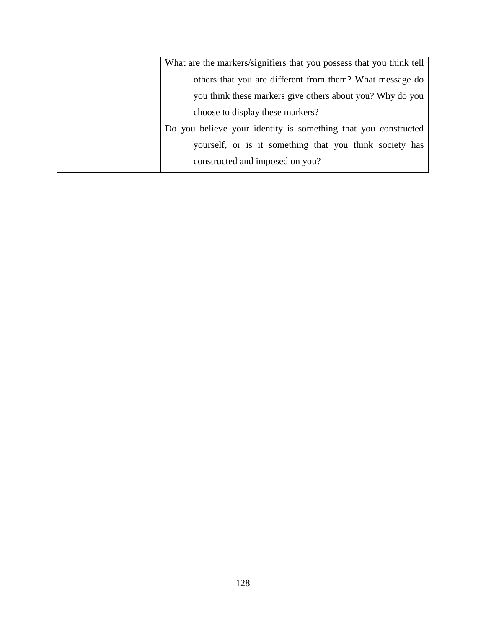| What are the markers/signifiers that you possess that you think tell |
|----------------------------------------------------------------------|
| others that you are different from them? What message do             |
| you think these markers give others about you? Why do you            |
| choose to display these markers?                                     |
| Do you believe your identity is something that you constructed       |
| yourself, or is it something that you think society has              |
| constructed and imposed on you?                                      |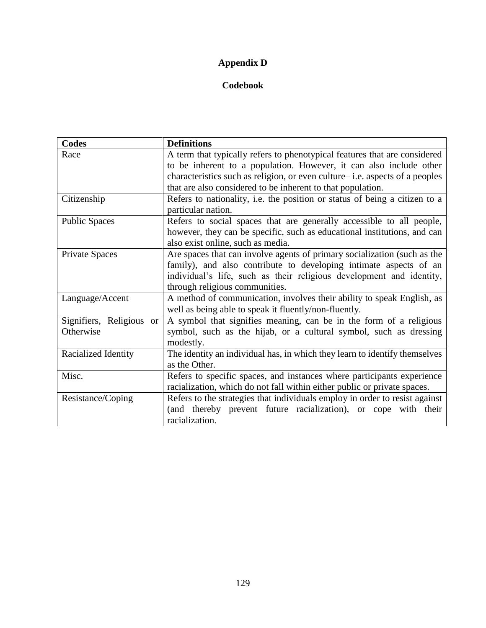# **Appendix D**

## **Codebook**

| <b>Codes</b>             | <b>Definitions</b>                                                           |
|--------------------------|------------------------------------------------------------------------------|
| Race                     | A term that typically refers to phenotypical features that are considered    |
|                          | to be inherent to a population. However, it can also include other           |
|                          | characteristics such as religion, or even culture– i.e. aspects of a peoples |
|                          | that are also considered to be inherent to that population.                  |
| Citizenship              | Refers to nationality, i.e. the position or status of being a citizen to a   |
|                          | particular nation.                                                           |
| <b>Public Spaces</b>     | Refers to social spaces that are generally accessible to all people,         |
|                          | however, they can be specific, such as educational institutions, and can     |
|                          | also exist online, such as media.                                            |
| Private Spaces           | Are spaces that can involve agents of primary socialization (such as the     |
|                          | family), and also contribute to developing intimate aspects of an            |
|                          | individual's life, such as their religious development and identity,         |
|                          | through religious communities.                                               |
| Language/Accent          | A method of communication, involves their ability to speak English, as       |
|                          | well as being able to speak it fluently/non-fluently.                        |
| Signifiers, Religious or | A symbol that signifies meaning, can be in the form of a religious           |
| Otherwise                | symbol, such as the hijab, or a cultural symbol, such as dressing            |
|                          | modestly.                                                                    |
| Racialized Identity      | The identity an individual has, in which they learn to identify themselves   |
|                          | as the Other.                                                                |
| Misc.                    | Refers to specific spaces, and instances where participants experience       |
|                          | racialization, which do not fall within either public or private spaces.     |
| Resistance/Coping        | Refers to the strategies that individuals employ in order to resist against  |
|                          | (and thereby prevent future racialization), or cope with their               |
|                          | racialization.                                                               |